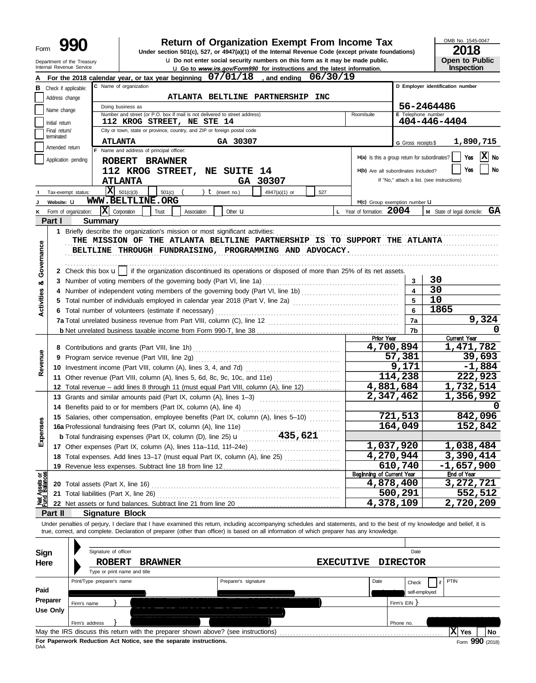| Form | 990                        |
|------|----------------------------|
|      | Department of the Treasury |

# **990 2018 2018 Depending Solution Solution Solution Script Script Script Script Script Script private foundations)**<br> **P900** Under section 501(c), 527, or 4947(a)(1) of the Internal Revenue Code (except private founda

u **Do not enter social security numbers on this form as it may be made public. Open to Public**

OMB No. 1545-0047

|                                |                | Internal Revenue Service      | La Go to www.irs.gov/Form990 for instructions and the latest information.                                                                                                                                                      |                     | Inspection                                 |  |  |  |  |
|--------------------------------|----------------|-------------------------------|--------------------------------------------------------------------------------------------------------------------------------------------------------------------------------------------------------------------------------|---------------------|--------------------------------------------|--|--|--|--|
|                                |                |                               | For the 2018 calendar year, or tax year beginning 07/01/18, and ending 06/30/19                                                                                                                                                |                     |                                            |  |  |  |  |
|                                |                | <b>B</b> Check if applicable: | C Name of organization                                                                                                                                                                                                         |                     | D Employer identification number           |  |  |  |  |
|                                | Address change |                               | ATLANTA BELTLINE PARTNERSHIP INC                                                                                                                                                                                               |                     |                                            |  |  |  |  |
|                                |                |                               | Doing business as                                                                                                                                                                                                              |                     | 56-2464486                                 |  |  |  |  |
|                                | Name change    |                               | Number and street (or P.O. box if mail is not delivered to street address)<br>Room/suite                                                                                                                                       | E Telephone number  |                                            |  |  |  |  |
|                                | Initial return |                               | <b>112 KROG STREET, NE STE 14</b>                                                                                                                                                                                              |                     | 404-446-4404                               |  |  |  |  |
|                                | Final return/  |                               | City or town, state or province, country, and ZIP or foreign postal code                                                                                                                                                       |                     |                                            |  |  |  |  |
|                                | terminated     |                               | GA 30307<br><b>ATLANTA</b>                                                                                                                                                                                                     | G Gross receipts \$ | 1,890,715                                  |  |  |  |  |
|                                | Amended return |                               | F Name and address of principal officer:                                                                                                                                                                                       |                     |                                            |  |  |  |  |
|                                |                | Application pending           | H(a) Is this a group return for subordinates?<br>ROBERT BRAWNER                                                                                                                                                                |                     | $ \mathbf{X} $ No<br>Yes                   |  |  |  |  |
|                                |                |                               | H(b) Are all subordinates included?<br>112 KROG STREET, NE SUITE 14                                                                                                                                                            |                     | <b>No</b><br>Yes                           |  |  |  |  |
|                                |                |                               | GA 30307<br><b>ATLANTA</b>                                                                                                                                                                                                     |                     | If "No," attach a list. (see instructions) |  |  |  |  |
|                                |                | Tax-exempt status:            | $\overline{\mathbf{X}}$ 501(c)(3)<br>501(c)<br>) $t$ (insert no.)<br>4947(a)(1) or<br>527                                                                                                                                      |                     |                                            |  |  |  |  |
|                                | Website: U     |                               | WWW.BELTLINE.ORG                                                                                                                                                                                                               |                     |                                            |  |  |  |  |
|                                |                |                               | H(c) Group exemption number U<br>$ \mathbf{X} $ Corporation<br>L Year of formation: 2004                                                                                                                                       |                     | M State of legal domicile: GA              |  |  |  |  |
| Κ                              |                | Form of organization:         | Trust<br>Association<br>Other $\mathbf u$                                                                                                                                                                                      |                     |                                            |  |  |  |  |
|                                | Part I         |                               | <b>Summary</b>                                                                                                                                                                                                                 |                     |                                            |  |  |  |  |
|                                |                |                               |                                                                                                                                                                                                                                |                     |                                            |  |  |  |  |
|                                |                |                               | THE MISSION OF THE ATLANTA BELTLINE PARTNERSHIP IS TO SUPPORT THE ATLANTA                                                                                                                                                      |                     |                                            |  |  |  |  |
|                                |                |                               | BELTLINE THROUGH FUNDRAISING, PROGRAMMING AND ADVOCACY.                                                                                                                                                                        |                     |                                            |  |  |  |  |
|                                |                |                               |                                                                                                                                                                                                                                |                     |                                            |  |  |  |  |
| Governance                     |                |                               | 2 Check this box $\mathbf{u}$   if the organization discontinued its operations or disposed of more than 25% of its net assets.                                                                                                |                     |                                            |  |  |  |  |
| œ                              |                |                               |                                                                                                                                                                                                                                | 3                   | 30                                         |  |  |  |  |
|                                |                |                               |                                                                                                                                                                                                                                |                     | 30                                         |  |  |  |  |
| Activities                     |                |                               | 5 Total number of individuals employed in calendar year 2018 (Part V, line 2a) [11] [20] [11] [20] [11] Total number of individuals employed in calendar year 2018 (Part V, line 2a) [12] [20] [20] [20] [20] [20] [20] [20] [ |                     | 10                                         |  |  |  |  |
|                                |                |                               | 6 Total number of volunteers (estimate if necessary)                                                                                                                                                                           | 6                   | 1865                                       |  |  |  |  |
|                                |                |                               |                                                                                                                                                                                                                                |                     | 9,324                                      |  |  |  |  |
|                                |                |                               |                                                                                                                                                                                                                                | 7a                  | 0                                          |  |  |  |  |
|                                |                |                               | Prior Year                                                                                                                                                                                                                     | 7b                  | <b>Current Year</b>                        |  |  |  |  |
|                                |                |                               |                                                                                                                                                                                                                                | 4,700,894           | 1,471,782                                  |  |  |  |  |
|                                |                |                               |                                                                                                                                                                                                                                | 57,381              | 39,693                                     |  |  |  |  |
| Revenue                        |                |                               | 9 Program service revenue (Part VIII, line 2g)                                                                                                                                                                                 | 9,171               | $-1,884$                                   |  |  |  |  |
|                                |                |                               |                                                                                                                                                                                                                                | 114,238             |                                            |  |  |  |  |
|                                |                |                               | 11 Other revenue (Part VIII, column (A), lines 5, 6d, 8c, 9c, 10c, and 11e)                                                                                                                                                    |                     | 222,923                                    |  |  |  |  |
|                                |                |                               | 12 Total revenue - add lines 8 through 11 (must equal Part VIII, column (A), line 12)                                                                                                                                          | 4,881,684           | $\overline{1,732,514}$                     |  |  |  |  |
|                                |                |                               | 13 Grants and similar amounts paid (Part IX, column (A), lines 1-3)                                                                                                                                                            | 2,347,462           | 1,356,992                                  |  |  |  |  |
|                                |                |                               | 14 Benefits paid to or for members (Part IX, column (A), line 4)                                                                                                                                                               |                     |                                            |  |  |  |  |
|                                |                |                               | 15 Salaries, other compensation, employee benefits (Part IX, column (A), lines 5-10)                                                                                                                                           | 721,513             | 842,096                                    |  |  |  |  |
| enses                          |                |                               |                                                                                                                                                                                                                                | 164,049             | 152,842                                    |  |  |  |  |
|                                |                |                               |                                                                                                                                                                                                                                |                     |                                            |  |  |  |  |
| Еxр                            |                |                               | 17 Other expenses (Part IX, column (A), lines 11a-11d, 11f-24e)                                                                                                                                                                | 1,037,920           | 1,038,484                                  |  |  |  |  |
|                                |                |                               | 18 Total expenses. Add lines 13-17 (must equal Part IX, column (A), line 25) [ [ [ [ [ [ ] ]                                                                                                                                   | 4,270,944           | 3,390,414                                  |  |  |  |  |
|                                |                |                               |                                                                                                                                                                                                                                | 610,740             | $-1,657,900$                               |  |  |  |  |
|                                |                |                               | <b>Beginning of Current Year</b>                                                                                                                                                                                               |                     | End of Year                                |  |  |  |  |
|                                |                |                               |                                                                                                                                                                                                                                | 4,878,400           | 3,272,721                                  |  |  |  |  |
| Net Assets or<br>Fund Balances |                |                               |                                                                                                                                                                                                                                | 500,291             | 552,512                                    |  |  |  |  |
|                                |                |                               |                                                                                                                                                                                                                                | 4,378,109           | 2,720,209                                  |  |  |  |  |
|                                | Part II        |                               | <b>Signature Block</b>                                                                                                                                                                                                         |                     |                                            |  |  |  |  |
|                                |                |                               | Under penalties of perjury, I declare that I have examined this return, including accompanying schedules and statements, and to the best of my knowledge and belief, it is                                                     |                     |                                            |  |  |  |  |
|                                |                |                               | true, correct, and complete. Declaration of preparer (other than officer) is based on all information of which preparer has any knowledge.                                                                                     |                     |                                            |  |  |  |  |
|                                |                |                               |                                                                                                                                                                                                                                |                     |                                            |  |  |  |  |
|                                |                |                               |                                                                                                                                                                                                                                |                     |                                            |  |  |  |  |
| <b>Sign</b>                    |                |                               | Signature of officer                                                                                                                                                                                                           | Date                |                                            |  |  |  |  |

| Sign     |                                                                                          | Signature of officer         |                |                      |                  |      | Date            |      |  |  |  |
|----------|------------------------------------------------------------------------------------------|------------------------------|----------------|----------------------|------------------|------|-----------------|------|--|--|--|
| Here     |                                                                                          | <b>ROBERT</b>                | <b>BRAWNER</b> |                      | <b>EXECUTIVE</b> |      | <b>DIRECTOR</b> |      |  |  |  |
|          |                                                                                          | Type or print name and title |                |                      |                  |      |                 |      |  |  |  |
|          | Print/Type preparer's name                                                               |                              |                | Preparer's signature |                  | Date | Check           | PTIN |  |  |  |
| Paid     |                                                                                          |                              |                |                      |                  |      | self-employed   |      |  |  |  |
| Preparer | Firm's name                                                                              |                              |                |                      |                  |      | Firm's EIN      |      |  |  |  |
| Use Only |                                                                                          |                              |                |                      |                  |      |                 |      |  |  |  |
|          | Firm's address                                                                           |                              |                |                      |                  |      | Phone no.       |      |  |  |  |
|          | ΙXΙ<br>May the IRS discuss this return with the preparer shown above? (see instructions) |                              |                |                      |                  |      |                 |      |  |  |  |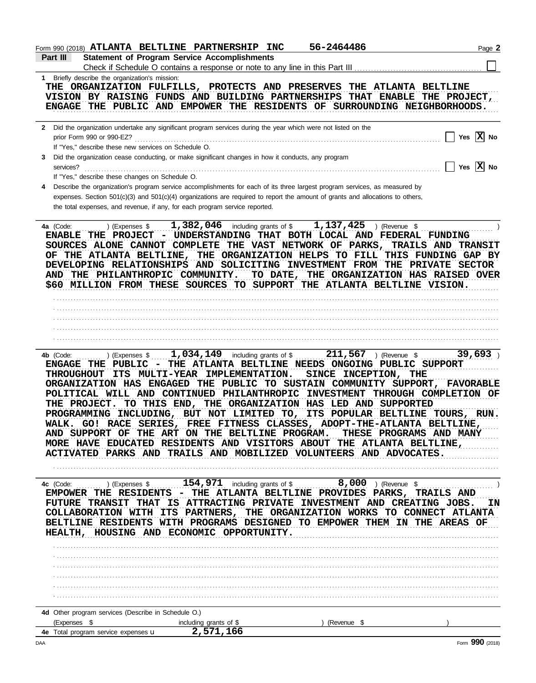| Form 990 (2018) ATLANTA BELTLINE PARTNERSHIP INC                                                                                                                                                                                                                                                                                                                                                                                                                                                                                                                                                                                                                                                             |                                                                                               | 56-2464486                                                                                                                                                       | Page 2                                                                          |
|--------------------------------------------------------------------------------------------------------------------------------------------------------------------------------------------------------------------------------------------------------------------------------------------------------------------------------------------------------------------------------------------------------------------------------------------------------------------------------------------------------------------------------------------------------------------------------------------------------------------------------------------------------------------------------------------------------------|-----------------------------------------------------------------------------------------------|------------------------------------------------------------------------------------------------------------------------------------------------------------------|---------------------------------------------------------------------------------|
| Part III                                                                                                                                                                                                                                                                                                                                                                                                                                                                                                                                                                                                                                                                                                     | <b>Statement of Program Service Accomplishments</b>                                           | Check if Schedule O contains a response or note to any line in this Part III                                                                                     |                                                                                 |
| Briefly describe the organization's mission:<br>1.                                                                                                                                                                                                                                                                                                                                                                                                                                                                                                                                                                                                                                                           |                                                                                               |                                                                                                                                                                  |                                                                                 |
| THE ORGANIZATION FULFILLS, PROTECTS AND PRESERVES<br>VISION BY RAISING FUNDS AND BUILDING PARTNERSHIPS<br>ENGAGE THE PUBLIC AND EMPOWER THE RESIDENTS OF SURROUNDING NEIGHBORHOODS.                                                                                                                                                                                                                                                                                                                                                                                                                                                                                                                          |                                                                                               | <b>THAT ENABLE</b>                                                                                                                                               | <b>THE ATLANTA BELTLINE</b><br>THE PROJECT,                                     |
| 2 Did the organization undertake any significant program services during the year which were not listed on the<br>prior Form 990 or 990-EZ?                                                                                                                                                                                                                                                                                                                                                                                                                                                                                                                                                                  |                                                                                               |                                                                                                                                                                  | Yes $X$ No                                                                      |
| If "Yes," describe these new services on Schedule O.<br>Did the organization cease conducting, or make significant changes in how it conducts, any program<br>3<br>services?                                                                                                                                                                                                                                                                                                                                                                                                                                                                                                                                 |                                                                                               |                                                                                                                                                                  | Yes $ X $ No                                                                    |
| If "Yes," describe these changes on Schedule O.                                                                                                                                                                                                                                                                                                                                                                                                                                                                                                                                                                                                                                                              |                                                                                               |                                                                                                                                                                  |                                                                                 |
| Describe the organization's program service accomplishments for each of its three largest program services, as measured by<br>expenses. Section 501(c)(3) and 501(c)(4) organizations are required to report the amount of grants and allocations to others,<br>the total expenses, and revenue, if any, for each program service reported.                                                                                                                                                                                                                                                                                                                                                                  |                                                                                               |                                                                                                                                                                  |                                                                                 |
| ) (Expenses \$<br>4a (Code:<br>ENABLE THE PROJECT - UNDERSTANDING THAT BOTH LOCAL AND FEDERAL FUNDING<br>SOURCES ALONE CANNOT COMPLETE THE VAST NETWORK OF PARKS, TRAILS AND TRANSIT<br>OF THE ATLANTA BELTLINE, THE ORGANIZATION HELPS TO FILL THIS FUNDING GAP BY<br>DEVELOPING RELATIONSHIPS AND SOLICITING INVESTMENT FROM THE PRIVATE<br>AND THE PHILANTHROPIC COMMUNITY.<br>\$60 MILLION FROM THESE SOURCES TO SUPPORT THE ATLANTA BELTLINE VISION.                                                                                                                                                                                                                                                    | $1,382,046$ including grants of \$                                                            | 1,137,425<br>TO DATE, THE ORGANIZATION HAS RAISED OVER                                                                                                           | ) (Revenue \$<br><b>SECTOR</b>                                                  |
|                                                                                                                                                                                                                                                                                                                                                                                                                                                                                                                                                                                                                                                                                                              |                                                                                               |                                                                                                                                                                  |                                                                                 |
|                                                                                                                                                                                                                                                                                                                                                                                                                                                                                                                                                                                                                                                                                                              |                                                                                               |                                                                                                                                                                  |                                                                                 |
|                                                                                                                                                                                                                                                                                                                                                                                                                                                                                                                                                                                                                                                                                                              |                                                                                               |                                                                                                                                                                  |                                                                                 |
| ) (Expenses \$<br>4b (Code:<br>PUBLIC<br>ENGAGE THE<br>$\overline{\phantom{a}}$<br><b>THROUGHOUT</b><br>ORGANIZATION HAS ENGAGED THE PUBLIC TO SUSTAIN COMMUNITY SUPPORT, FAVORABLE<br>POLITICAL WILL AND CONTINUED<br>THE PROJECT.<br>PROGRAMMING INCLUDING, BUT NOT LIMITED TO, ITS POPULAR BELTLINE TOURS, RUN.<br>WALK. GO! RACE SERIES, FREE FITNESS CLASSES, ADOPT-THE-ATLANTA BELTLINE,<br>AND SUPPORT OF THE ART ON THE BELTLINE PROGRAM.<br>MORE HAVE EDUCATED RESIDENTS AND VISITORS ABOUT THE ATLANTA BELTLINE,<br>ACTIVATED PARKS AND TRAILS AND MOBILIZED VOLUNTEERS AND ADVOCATES.<br>4c (Code:  ) (Expenses $\frac{154,971}{154,971}$ including grants of $\frac{8,000}{100,900}$ (Revenue \$ | 1,034,149<br>including grants of \$<br>ITS MULTI-YEAR IMPLEMENTATION.<br><b>PHILANTHROPIC</b> | 211,567<br>THE ATLANTA BELTLINE NEEDS ONGOING PUBLIC SUPPORT<br>SINCE INCEPTION, THE<br><b>INVESTMENT</b><br>TO THIS END, THE ORGANIZATION HAS LED AND SUPPORTED | $39,693$ )<br>) (Revenue \$<br>THROUGH COMPLETION OF<br>THESE PROGRAMS AND MANY |
| EMPOWER THE RESIDENTS - THE ATLANTA BELTLINE PROVIDES PARKS, TRAILS AND<br>FUTURE TRANSIT THAT IS ATTRACTING PRIVATE INVESTMENT AND CREATING JOBS.<br>COLLABORATION WITH ITS PARTNERS, THE ORGANIZATION WORKS TO CONNECT ATLANTA<br>BELTLINE RESIDENTS WITH PROGRAMS DESIGNED TO EMPOWER THEM IN THE AREAS OF<br>HEALTH, HOUSING AND ECONOMIC OPPORTUNITY.                                                                                                                                                                                                                                                                                                                                                   |                                                                                               |                                                                                                                                                                  | IN                                                                              |
| 4d Other program services (Describe in Schedule O.)<br>(Expenses \$                                                                                                                                                                                                                                                                                                                                                                                                                                                                                                                                                                                                                                          | including grants of \$                                                                        | (Revenue \$                                                                                                                                                      |                                                                                 |
| <b>4e</b> Total program service expenses <b>u</b>                                                                                                                                                                                                                                                                                                                                                                                                                                                                                                                                                                                                                                                            | 2,571,166                                                                                     |                                                                                                                                                                  |                                                                                 |
| DAA                                                                                                                                                                                                                                                                                                                                                                                                                                                                                                                                                                                                                                                                                                          |                                                                                               |                                                                                                                                                                  | Form 990 (2018)                                                                 |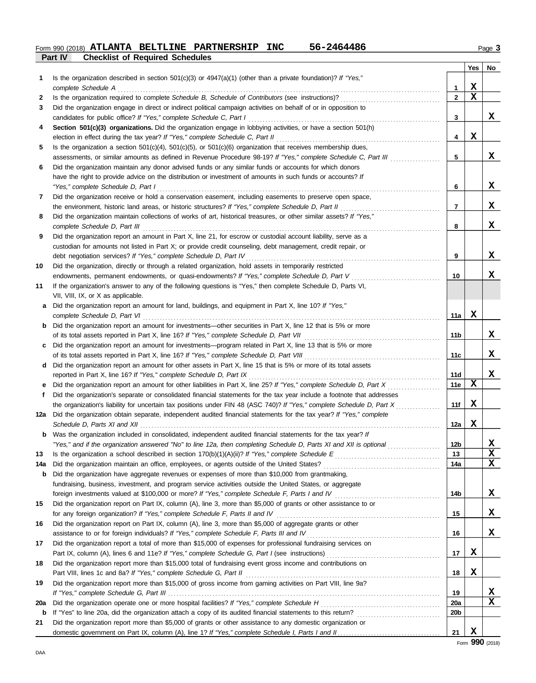|     |                                                                                                                                                                                                                                               |              | Yes         | No |
|-----|-----------------------------------------------------------------------------------------------------------------------------------------------------------------------------------------------------------------------------------------------|--------------|-------------|----|
| 1   | Is the organization described in section $501(c)(3)$ or $4947(a)(1)$ (other than a private foundation)? If "Yes,"                                                                                                                             |              |             |    |
|     | complete Schedule A                                                                                                                                                                                                                           | 1            | X           |    |
| 2   | Is the organization required to complete Schedule B, Schedule of Contributors (see instructions)?                                                                                                                                             | $\mathbf{2}$ | $\mathbf x$ |    |
| 3   | Did the organization engage in direct or indirect political campaign activities on behalf of or in opposition to                                                                                                                              |              |             | X  |
|     | candidates for public office? If "Yes," complete Schedule C, Part I                                                                                                                                                                           | 3            |             |    |
| 4   | Section 501(c)(3) organizations. Did the organization engage in lobbying activities, or have a section 501(h)                                                                                                                                 |              | X           |    |
| 5   | election in effect during the tax year? If "Yes," complete Schedule C, Part II<br>Is the organization a section $501(c)(4)$ , $501(c)(5)$ , or $501(c)(6)$ organization that receives membership dues,                                        | 4            |             |    |
|     | assessments, or similar amounts as defined in Revenue Procedure 98-19? If "Yes," complete Schedule C, Part III                                                                                                                                | 5            |             | X  |
| 6   | Did the organization maintain any donor advised funds or any similar funds or accounts for which donors                                                                                                                                       |              |             |    |
|     | have the right to provide advice on the distribution or investment of amounts in such funds or accounts? If                                                                                                                                   |              |             |    |
|     | "Yes," complete Schedule D, Part I                                                                                                                                                                                                            | 6            |             | X  |
| 7   | Did the organization receive or hold a conservation easement, including easements to preserve open space,                                                                                                                                     |              |             |    |
|     | the environment, historic land areas, or historic structures? If "Yes," complete Schedule D, Part II                                                                                                                                          | 7            |             | X  |
| 8   | Did the organization maintain collections of works of art, historical treasures, or other similar assets? If "Yes,"                                                                                                                           |              |             |    |
|     | complete Schedule D, Part III                                                                                                                                                                                                                 | 8            |             | X  |
| 9   | Did the organization report an amount in Part X, line 21, for escrow or custodial account liability, serve as a                                                                                                                               |              |             |    |
|     | custodian for amounts not listed in Part X; or provide credit counseling, debt management, credit repair, or                                                                                                                                  |              |             |    |
|     | debt negotiation services? If "Yes," complete Schedule D, Part IV                                                                                                                                                                             | 9            |             | X  |
| 10  | Did the organization, directly or through a related organization, hold assets in temporarily restricted                                                                                                                                       |              |             |    |
|     | endowments, permanent endowments, or quasi-endowments? If "Yes," complete Schedule D, Part V                                                                                                                                                  | 10           |             | x  |
| 11  | If the organization's answer to any of the following questions is "Yes," then complete Schedule D, Parts VI,                                                                                                                                  |              |             |    |
|     | VII, VIII, IX, or X as applicable.                                                                                                                                                                                                            |              |             |    |
| а   | Did the organization report an amount for land, buildings, and equipment in Part X, line 10? If "Yes,"                                                                                                                                        |              |             |    |
|     | complete Schedule D, Part VI                                                                                                                                                                                                                  | 11a          | x           |    |
| b   | Did the organization report an amount for investments—other securities in Part X, line 12 that is 5% or more                                                                                                                                  |              |             |    |
|     | of its total assets reported in Part X, line 16? If "Yes," complete Schedule D, Part VII                                                                                                                                                      | 11b          |             | x  |
| c   | Did the organization report an amount for investments—program related in Part X, line 13 that is 5% or more                                                                                                                                   |              |             |    |
|     | of its total assets reported in Part X, line 16? If "Yes," complete Schedule D, Part VIII                                                                                                                                                     | 11c          |             | x  |
| d   | Did the organization report an amount for other assets in Part X, line 15 that is 5% or more of its total assets                                                                                                                              |              |             |    |
|     | reported in Part X, line 16? If "Yes," complete Schedule D, Part IX                                                                                                                                                                           | 11d          |             | x  |
|     | Did the organization report an amount for other liabilities in Part X, line 25? If "Yes," complete Schedule D, Part X                                                                                                                         | 11e          | X           |    |
| f   | Did the organization's separate or consolidated financial statements for the tax year include a footnote that addresses                                                                                                                       |              | X           |    |
|     | the organization's liability for uncertain tax positions under FIN 48 (ASC 740)? If "Yes," complete Schedule D, Part X<br>Did the organization obtain separate, independent audited financial statements for the tax year? If "Yes," complete | 11f          |             |    |
| 12a | Schedule D, Parts XI and XII                                                                                                                                                                                                                  | 12a          | X           |    |
|     | Was the organization included in consolidated, independent audited financial statements for the tax year? If                                                                                                                                  |              |             |    |
|     | "Yes," and if the organization answered "No" to line 12a, then completing Schedule D, Parts XI and XII is optional                                                                                                                            | 12b          |             | X  |
| 13  | Is the organization a school described in section $170(b)(1)(A)(ii)$ ? If "Yes," complete Schedule E                                                                                                                                          | 13           |             | X  |
| 14a | Did the organization maintain an office, employees, or agents outside of the United States?                                                                                                                                                   | 14a          |             | x  |
| b   | Did the organization have aggregate revenues or expenses of more than \$10,000 from grantmaking,                                                                                                                                              |              |             |    |
|     | fundraising, business, investment, and program service activities outside the United States, or aggregate                                                                                                                                     |              |             |    |
|     | foreign investments valued at \$100,000 or more? If "Yes," complete Schedule F, Parts I and IV [[[[[[[[[[[[[[[[                                                                                                                               | 14b          |             | x  |
| 15  | Did the organization report on Part IX, column (A), line 3, more than \$5,000 of grants or other assistance to or                                                                                                                             |              |             |    |
|     |                                                                                                                                                                                                                                               | 15           |             | x  |
| 16  | Did the organization report on Part IX, column (A), line 3, more than \$5,000 of aggregate grants or other                                                                                                                                    |              |             |    |
|     | assistance to or for foreign individuals? If "Yes," complete Schedule F, Parts III and IV                                                                                                                                                     | 16           |             | x  |
| 17  | Did the organization report a total of more than \$15,000 of expenses for professional fundraising services on                                                                                                                                |              |             |    |
|     |                                                                                                                                                                                                                                               | 17           | X           |    |
| 18  | Did the organization report more than \$15,000 total of fundraising event gross income and contributions on                                                                                                                                   |              |             |    |
|     | Part VIII, lines 1c and 8a? If "Yes," complete Schedule G, Part II                                                                                                                                                                            | 18           | X           |    |
| 19  | Did the organization report more than \$15,000 of gross income from gaming activities on Part VIII, line 9a?                                                                                                                                  |              |             |    |
|     |                                                                                                                                                                                                                                               | 19           |             | X  |
| 20a |                                                                                                                                                                                                                                               | <b>20a</b>   |             | X  |
| b   |                                                                                                                                                                                                                                               | 20b          |             |    |
| 21  | Did the organization report more than \$5,000 of grants or other assistance to any domestic organization or                                                                                                                                   |              |             |    |
|     |                                                                                                                                                                                                                                               | 21           | X           |    |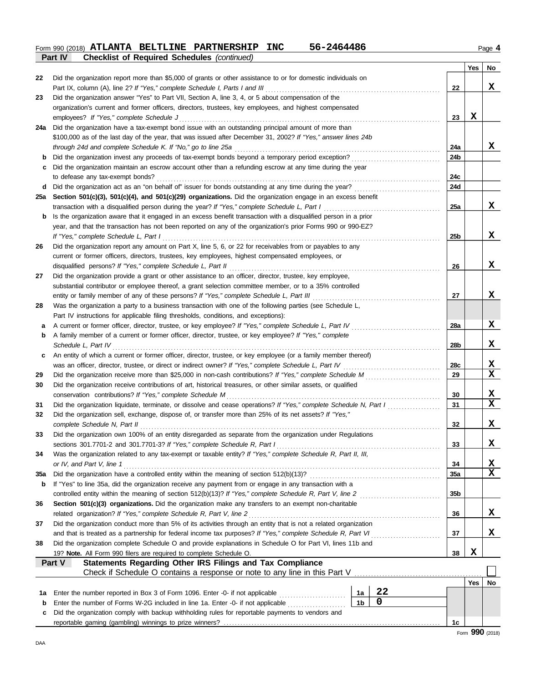|            | <b>Checklist of Required Schedules (continued)</b><br>Part IV                                                      |     |     |    |
|------------|--------------------------------------------------------------------------------------------------------------------|-----|-----|----|
|            |                                                                                                                    |     | Yes | No |
| 22         | Did the organization report more than \$5,000 of grants or other assistance to or for domestic individuals on      |     |     |    |
|            | Part IX, column (A), line 2? If "Yes," complete Schedule I, Parts I and III                                        | 22  |     | x  |
| 23         | Did the organization answer "Yes" to Part VII, Section A, line 3, 4, or 5 about compensation of the                |     |     |    |
|            | organization's current and former officers, directors, trustees, key employees, and highest compensated            |     |     |    |
|            | employees? If "Yes," complete Schedule J                                                                           | 23  | X   |    |
| 24a        | Did the organization have a tax-exempt bond issue with an outstanding principal amount of more than                |     |     |    |
|            | \$100,000 as of the last day of the year, that was issued after December 31, 2002? If "Yes," answer lines 24b      |     |     |    |
|            | through 24d and complete Schedule K. If "No," go to line 25a                                                       | 24a |     | x  |
| b          | Did the organization invest any proceeds of tax-exempt bonds beyond a temporary period exception?                  | 24b |     |    |
|            | Did the organization maintain an escrow account other than a refunding escrow at any time during the year          |     |     |    |
|            | to defease any tax-exempt bonds?                                                                                   | 24c |     |    |
| d          |                                                                                                                    | 24d |     |    |
| 25a        | Section 501(c)(3), 501(c)(4), and 501(c)(29) organizations. Did the organization engage in an excess benefit       |     |     |    |
|            | transaction with a disqualified person during the year? If "Yes," complete Schedule L, Part I                      | 25a |     | x  |
| b          | Is the organization aware that it engaged in an excess benefit transaction with a disqualified person in a prior   |     |     |    |
|            | year, and that the transaction has not been reported on any of the organization's prior Forms 990 or 990-EZ?       |     |     |    |
|            | If "Yes," complete Schedule L, Part I                                                                              | 25b |     | X  |
| 26         | Did the organization report any amount on Part X, line 5, 6, or 22 for receivables from or payables to any         |     |     |    |
|            | current or former officers, directors, trustees, key employees, highest compensated employees, or                  |     |     |    |
|            | disqualified persons? If "Yes," complete Schedule L, Part II                                                       | 26  |     | X  |
| 27         | Did the organization provide a grant or other assistance to an officer, director, trustee, key employee,           |     |     |    |
|            | substantial contributor or employee thereof, a grant selection committee member, or to a 35% controlled            |     |     |    |
|            | entity or family member of any of these persons? If "Yes," complete Schedule L, Part III                           | 27  |     | X  |
| 28         | Was the organization a party to a business transaction with one of the following parties (see Schedule L,          |     |     |    |
|            | Part IV instructions for applicable filing thresholds, conditions, and exceptions):                                |     |     |    |
| а          | A current or former officer, director, trustee, or key employee? If "Yes," complete Schedule L, Part IV            | 28a |     | X  |
| b          | A family member of a current or former officer, director, trustee, or key employee? If "Yes," complete             |     |     |    |
|            | Schedule L, Part IV                                                                                                | 28b |     | x  |
| c          | An entity of which a current or former officer, director, trustee, or key employee (or a family member thereof)    |     |     |    |
|            | was an officer, director, trustee, or direct or indirect owner? If "Yes," complete Schedule L, Part IV             | 28c |     | X  |
| 29         | Did the organization receive more than \$25,000 in non-cash contributions? If "Yes," complete Schedule M           | 29  |     | X  |
| 30         | Did the organization receive contributions of art, historical treasures, or other similar assets, or qualified     |     |     |    |
|            | conservation contributions? If "Yes," complete Schedule M                                                          | 30  |     | X  |
| 31         | Did the organization liquidate, terminate, or dissolve and cease operations? If "Yes," complete Schedule N, Part I | 31  |     | x  |
| 32         | Did the organization sell, exchange, dispose of, or transfer more than 25% of its net assets? If "Yes,"            |     |     |    |
|            | complete Schedule N, Part II                                                                                       | 32  |     | ᅀ  |
| 33         | Did the organization own 100% of an entity disregarded as separate from the organization under Regulations         |     |     |    |
|            | sections 301.7701-2 and 301.7701-3? If "Yes," complete Schedule R, Part I                                          | 33  |     | X  |
| 34         | Was the organization related to any tax-exempt or taxable entity? If "Yes," complete Schedule R, Part II, III,     |     |     |    |
|            | or IV, and Part V, line 1                                                                                          | 34  |     | X  |
| <b>35a</b> | Did the organization have a controlled entity within the meaning of section 512(b)(13)?                            | 35a |     | х  |
| b          | If "Yes" to line 35a, did the organization receive any payment from or engage in any transaction with a            |     |     |    |
|            | controlled entity within the meaning of section 512(b)(13)? If "Yes," complete Schedule R, Part V, line 2          | 35b |     |    |
| 36         | Section 501(c)(3) organizations. Did the organization make any transfers to an exempt non-charitable               |     |     |    |
|            | related organization? If "Yes," complete Schedule R, Part V, line 2                                                | 36  |     | X  |
| 37         | Did the organization conduct more than 5% of its activities through an entity that is not a related organization   |     |     |    |
|            | and that is treated as a partnership for federal income tax purposes? If "Yes," complete Schedule R, Part VI       | 37  |     | х  |
| 38         | Did the organization complete Schedule O and provide explanations in Schedule O for Part VI, lines 11b and         |     |     |    |
|            | 19? Note. All Form 990 filers are required to complete Schedule O.                                                 | 38  | X   |    |
|            | Statements Regarding Other IRS Filings and Tax Compliance<br>Part V                                                |     |     |    |
|            |                                                                                                                    |     |     |    |
|            |                                                                                                                    |     | Yes | No |
| 1а         | 22<br>Enter the number reported in Box 3 of Form 1096. Enter -0- if not applicable<br>1а<br>$\mathbf 0$            |     |     |    |
| b          | 1 <sub>b</sub><br>Enter the number of Forms W-2G included in line 1a. Enter -0- if not applicable                  |     |     |    |
| с          | Did the organization comply with backup withholding rules for reportable payments to vendors and                   |     |     |    |
|            |                                                                                                                    | 1c  |     |    |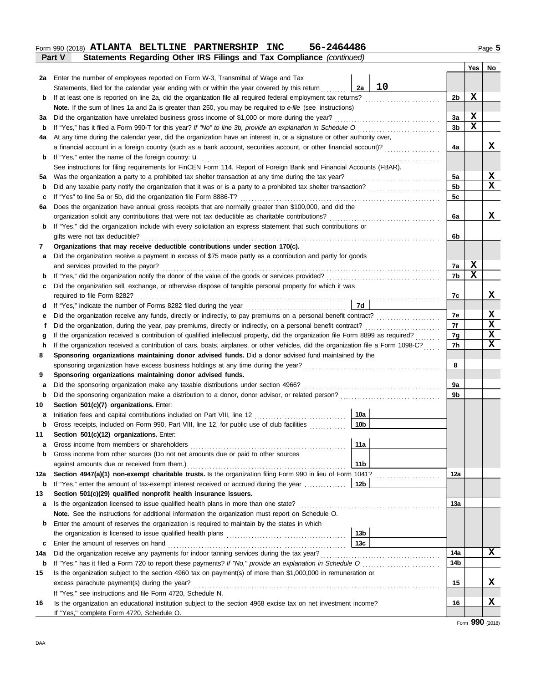|                                                                                                                       | Statements Regarding Other IRS Filings and Tax Compliance (continued)<br>Part V                                                                                                                                                                  |                      |             |        |  |  |  |  |  |  |  |  |  |
|-----------------------------------------------------------------------------------------------------------------------|--------------------------------------------------------------------------------------------------------------------------------------------------------------------------------------------------------------------------------------------------|----------------------|-------------|--------|--|--|--|--|--|--|--|--|--|
|                                                                                                                       |                                                                                                                                                                                                                                                  |                      | Yes         | No     |  |  |  |  |  |  |  |  |  |
| 2a                                                                                                                    | Enter the number of employees reported on Form W-3, Transmittal of Wage and Tax                                                                                                                                                                  |                      |             |        |  |  |  |  |  |  |  |  |  |
|                                                                                                                       | 10<br>Statements, filed for the calendar year ending with or within the year covered by this return<br>2a                                                                                                                                        |                      |             |        |  |  |  |  |  |  |  |  |  |
| b                                                                                                                     |                                                                                                                                                                                                                                                  | 2 <sub>b</sub>       | X           |        |  |  |  |  |  |  |  |  |  |
|                                                                                                                       | <b>Note.</b> If the sum of lines 1a and 2a is greater than 250, you may be required to e-file (see instructions)                                                                                                                                 |                      |             |        |  |  |  |  |  |  |  |  |  |
| За                                                                                                                    | Did the organization have unrelated business gross income of \$1,000 or more during the year?                                                                                                                                                    | 3a                   | X           |        |  |  |  |  |  |  |  |  |  |
| b                                                                                                                     | If "Yes," has it filed a Form 990-T for this year? If "No" to line 3b, provide an explanation in Schedule O                                                                                                                                      | 3 <sub>b</sub>       | $\mathbf x$ |        |  |  |  |  |  |  |  |  |  |
| 4a                                                                                                                    | At any time during the calendar year, did the organization have an interest in, or a signature or other authority over,                                                                                                                          |                      |             |        |  |  |  |  |  |  |  |  |  |
|                                                                                                                       | a financial account in a foreign country (such as a bank account, securities account, or other financial account)?                                                                                                                               | 4a                   |             | X      |  |  |  |  |  |  |  |  |  |
| b                                                                                                                     | If "Yes," enter the name of the foreign country: u                                                                                                                                                                                               |                      |             |        |  |  |  |  |  |  |  |  |  |
|                                                                                                                       | See instructions for filing requirements for FinCEN Form 114, Report of Foreign Bank and Financial Accounts (FBAR).                                                                                                                              |                      |             |        |  |  |  |  |  |  |  |  |  |
| 5a                                                                                                                    | Was the organization a party to a prohibited tax shelter transaction at any time during the tax year?                                                                                                                                            | 5a<br>5 <sub>b</sub> |             | X<br>X |  |  |  |  |  |  |  |  |  |
| Did any taxable party notify the organization that it was or is a party to a prohibited tax shelter transaction?<br>b |                                                                                                                                                                                                                                                  |                      |             |        |  |  |  |  |  |  |  |  |  |
| с                                                                                                                     | If "Yes" to line 5a or 5b, did the organization file Form 8886-T?                                                                                                                                                                                |                      |             |        |  |  |  |  |  |  |  |  |  |
| 6а                                                                                                                    | Does the organization have annual gross receipts that are normally greater than \$100,000, and did the                                                                                                                                           |                      |             |        |  |  |  |  |  |  |  |  |  |
|                                                                                                                       | organization solicit any contributions that were not tax deductible as charitable contributions?                                                                                                                                                 | 6a                   |             | X      |  |  |  |  |  |  |  |  |  |
| b                                                                                                                     | If "Yes," did the organization include with every solicitation an express statement that such contributions or                                                                                                                                   |                      |             |        |  |  |  |  |  |  |  |  |  |
|                                                                                                                       | gifts were not tax deductible?                                                                                                                                                                                                                   | 6b                   |             |        |  |  |  |  |  |  |  |  |  |
| 7                                                                                                                     | Organizations that may receive deductible contributions under section 170(c).                                                                                                                                                                    |                      |             |        |  |  |  |  |  |  |  |  |  |
| а                                                                                                                     | Did the organization receive a payment in excess of \$75 made partly as a contribution and partly for goods                                                                                                                                      |                      |             |        |  |  |  |  |  |  |  |  |  |
|                                                                                                                       | and services provided to the payor?                                                                                                                                                                                                              | 7a                   | X           |        |  |  |  |  |  |  |  |  |  |
| b                                                                                                                     |                                                                                                                                                                                                                                                  | 7b                   | X           |        |  |  |  |  |  |  |  |  |  |
|                                                                                                                       | Did the organization sell, exchange, or otherwise dispose of tangible personal property for which it was                                                                                                                                         |                      |             |        |  |  |  |  |  |  |  |  |  |
|                                                                                                                       | required to file Form 8282?                                                                                                                                                                                                                      | 7c                   |             | X      |  |  |  |  |  |  |  |  |  |
| d                                                                                                                     | 7d                                                                                                                                                                                                                                               |                      |             |        |  |  |  |  |  |  |  |  |  |
| е                                                                                                                     | Did the organization receive any funds, directly or indirectly, to pay premiums on a personal benefit contract?                                                                                                                                  | 7e<br>7f             |             | X<br>X |  |  |  |  |  |  |  |  |  |
| f                                                                                                                     | Did the organization, during the year, pay premiums, directly or indirectly, on a personal benefit contract?<br>If the organization received a contribution of qualified intellectual property, did the organization file Form 8899 as required? |                      |             | X      |  |  |  |  |  |  |  |  |  |
| g<br>h                                                                                                                | If the organization received a contribution of cars, boats, airplanes, or other vehicles, did the organization file a Form 1098-C?                                                                                                               | 7g<br>7h             |             | X      |  |  |  |  |  |  |  |  |  |
| Sponsoring organizations maintaining donor advised funds. Did a donor advised fund maintained by the<br>8             |                                                                                                                                                                                                                                                  |                      |             |        |  |  |  |  |  |  |  |  |  |
| sponsoring organization have excess business holdings at any time during the year?                                    |                                                                                                                                                                                                                                                  |                      |             |        |  |  |  |  |  |  |  |  |  |
| 9                                                                                                                     | Sponsoring organizations maintaining donor advised funds.                                                                                                                                                                                        | 8                    |             |        |  |  |  |  |  |  |  |  |  |
| а                                                                                                                     | Did the sponsoring organization make any taxable distributions under section 4966?                                                                                                                                                               | 9a                   |             |        |  |  |  |  |  |  |  |  |  |
| b                                                                                                                     | Did the sponsoring organization make a distribution to a donor, donor advisor, or related person?                                                                                                                                                | 9b                   |             |        |  |  |  |  |  |  |  |  |  |
| 10                                                                                                                    | Section 501(c)(7) organizations. Enter:                                                                                                                                                                                                          |                      |             |        |  |  |  |  |  |  |  |  |  |
| а                                                                                                                     | 10a                                                                                                                                                                                                                                              |                      |             |        |  |  |  |  |  |  |  |  |  |
|                                                                                                                       | 10 <sub>b</sub><br>Gross receipts, included on Form 990, Part VIII, line 12, for public use of club facilities                                                                                                                                   |                      |             |        |  |  |  |  |  |  |  |  |  |
| 11                                                                                                                    | Section 501(c)(12) organizations. Enter:                                                                                                                                                                                                         |                      |             |        |  |  |  |  |  |  |  |  |  |
| а                                                                                                                     | 11a<br>Gross income from members or shareholders                                                                                                                                                                                                 |                      |             |        |  |  |  |  |  |  |  |  |  |
| b                                                                                                                     | Gross income from other sources (Do not net amounts due or paid to other sources                                                                                                                                                                 |                      |             |        |  |  |  |  |  |  |  |  |  |
|                                                                                                                       | 11 <sub>b</sub><br>against amounts due or received from them.)                                                                                                                                                                                   |                      |             |        |  |  |  |  |  |  |  |  |  |
| 12a                                                                                                                   | Section 4947(a)(1) non-exempt charitable trusts. Is the organization filing Form 990 in lieu of Form 1041?                                                                                                                                       | 12a                  |             |        |  |  |  |  |  |  |  |  |  |
| b                                                                                                                     | If "Yes," enter the amount of tax-exempt interest received or accrued during the year<br>12b                                                                                                                                                     |                      |             |        |  |  |  |  |  |  |  |  |  |
| 13                                                                                                                    | Section 501(c)(29) qualified nonprofit health insurance issuers.                                                                                                                                                                                 |                      |             |        |  |  |  |  |  |  |  |  |  |
| a                                                                                                                     | Is the organization licensed to issue qualified health plans in more than one state?                                                                                                                                                             | 13а                  |             |        |  |  |  |  |  |  |  |  |  |
|                                                                                                                       | Note. See the instructions for additional information the organization must report on Schedule O.                                                                                                                                                |                      |             |        |  |  |  |  |  |  |  |  |  |
| b                                                                                                                     | Enter the amount of reserves the organization is required to maintain by the states in which                                                                                                                                                     |                      |             |        |  |  |  |  |  |  |  |  |  |
|                                                                                                                       | 13b                                                                                                                                                                                                                                              |                      |             |        |  |  |  |  |  |  |  |  |  |
| c                                                                                                                     | 13 <sub>c</sub><br>Enter the amount of reserves on hand                                                                                                                                                                                          |                      |             |        |  |  |  |  |  |  |  |  |  |
| 14a                                                                                                                   | Did the organization receive any payments for indoor tanning services during the tax year?                                                                                                                                                       | 14a                  |             | x      |  |  |  |  |  |  |  |  |  |
| b                                                                                                                     |                                                                                                                                                                                                                                                  | 14b                  |             |        |  |  |  |  |  |  |  |  |  |
| 15                                                                                                                    | Is the organization subject to the section 4960 tax on payment(s) of more than \$1,000,000 in remuneration or                                                                                                                                    |                      |             |        |  |  |  |  |  |  |  |  |  |
|                                                                                                                       | excess parachute payment(s) during the year?                                                                                                                                                                                                     | 15                   |             | x      |  |  |  |  |  |  |  |  |  |
|                                                                                                                       | If "Yes," see instructions and file Form 4720, Schedule N.                                                                                                                                                                                       |                      |             |        |  |  |  |  |  |  |  |  |  |
| 16                                                                                                                    | Is the organization an educational institution subject to the section 4968 excise tax on net investment income?                                                                                                                                  | 16                   |             | X      |  |  |  |  |  |  |  |  |  |
|                                                                                                                       | If "Yes," complete Form 4720, Schedule O.                                                                                                                                                                                                        |                      |             |        |  |  |  |  |  |  |  |  |  |

Form **990** (2018)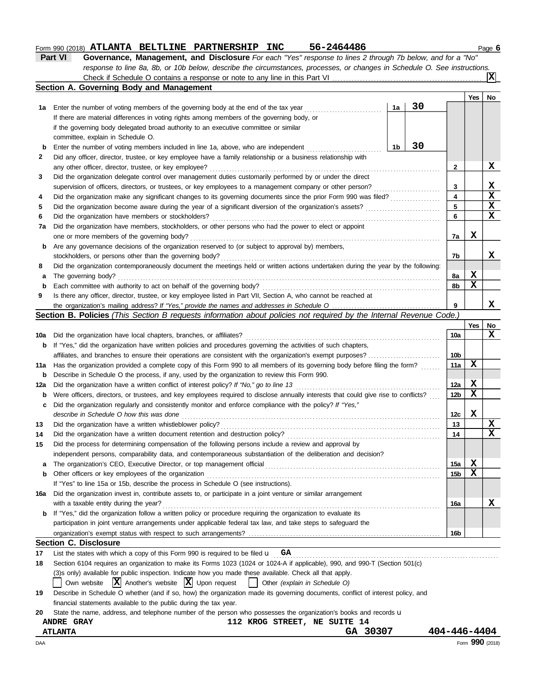|--|

| Part VI | Governance, Management, and Disclosure For each "Yes" response to lines 2 through 7b below, and for a "No"                |
|---------|---------------------------------------------------------------------------------------------------------------------------|
|         | response to line 8a, 8b, or 10b below, describe the circumstances, processes, or changes in Schedule O. See instructions. |
|         | $\mathbf{X}$                                                                                                              |
|         | <b>Continue A. Coverning Body and Monogoment</b>                                                                          |

|                                                                                                                                    | Section A. Governing Body and Management                                                                                                                                              |    |    |                              |     |                  |  |  |  |  |  |  |  |
|------------------------------------------------------------------------------------------------------------------------------------|---------------------------------------------------------------------------------------------------------------------------------------------------------------------------------------|----|----|------------------------------|-----|------------------|--|--|--|--|--|--|--|
|                                                                                                                                    |                                                                                                                                                                                       |    |    |                              | Yes | No               |  |  |  |  |  |  |  |
| 1а                                                                                                                                 | Enter the number of voting members of the governing body at the end of the tax year                                                                                                   | 1a | 30 |                              |     |                  |  |  |  |  |  |  |  |
|                                                                                                                                    | If there are material differences in voting rights among members of the governing body, or                                                                                            |    |    |                              |     |                  |  |  |  |  |  |  |  |
|                                                                                                                                    | if the governing body delegated broad authority to an executive committee or similar                                                                                                  |    |    |                              |     |                  |  |  |  |  |  |  |  |
|                                                                                                                                    | committee, explain in Schedule O.                                                                                                                                                     |    |    |                              |     |                  |  |  |  |  |  |  |  |
| b                                                                                                                                  | 30<br>Enter the number of voting members included in line 1a, above, who are independent<br>1b                                                                                        |    |    |                              |     |                  |  |  |  |  |  |  |  |
|                                                                                                                                    | $\mathbf{2}$<br>Did any officer, director, trustee, or key employee have a family relationship or a business relationship with                                                        |    |    |                              |     |                  |  |  |  |  |  |  |  |
| any other officer, director, trustee, or key employee?                                                                             |                                                                                                                                                                                       |    |    |                              |     |                  |  |  |  |  |  |  |  |
| 3                                                                                                                                  | Did the organization delegate control over management duties customarily performed by or under the direct                                                                             |    |    |                              |     |                  |  |  |  |  |  |  |  |
|                                                                                                                                    | supervision of officers, directors, or trustees, or key employees to a management company or other person?                                                                            |    |    | 3                            |     | X<br>$\mathbf x$ |  |  |  |  |  |  |  |
| 4                                                                                                                                  |                                                                                                                                                                                       |    |    | $\overline{\mathbf{4}}$<br>5 |     | $\mathbf x$      |  |  |  |  |  |  |  |
|                                                                                                                                    | Did the organization become aware during the year of a significant diversion of the organization's assets?<br>5                                                                       |    |    |                              |     |                  |  |  |  |  |  |  |  |
|                                                                                                                                    | Did the organization have members or stockholders?<br>6                                                                                                                               |    |    |                              |     |                  |  |  |  |  |  |  |  |
| 7a                                                                                                                                 | Did the organization have members, stockholders, or other persons who had the power to elect or appoint                                                                               |    |    |                              | X   |                  |  |  |  |  |  |  |  |
|                                                                                                                                    | one or more members of the governing body?                                                                                                                                            |    |    | 7a                           |     |                  |  |  |  |  |  |  |  |
| b                                                                                                                                  | Are any governance decisions of the organization reserved to (or subject to approval by) members,<br>stockholders, or persons other than the governing body?                          |    |    |                              |     | X                |  |  |  |  |  |  |  |
| 8                                                                                                                                  | Did the organization contemporaneously document the meetings held or written actions undertaken during the year by the following:                                                     |    |    | 7b                           |     |                  |  |  |  |  |  |  |  |
|                                                                                                                                    | The governing body?                                                                                                                                                                   |    |    | 8а                           | X   |                  |  |  |  |  |  |  |  |
| а<br>b                                                                                                                             | Each committee with authority to act on behalf of the governing body?                                                                                                                 |    |    | 8b                           | X   |                  |  |  |  |  |  |  |  |
| 9                                                                                                                                  | Is there any officer, director, trustee, or key employee listed in Part VII, Section A, who cannot be reached at                                                                      |    |    |                              |     |                  |  |  |  |  |  |  |  |
|                                                                                                                                    |                                                                                                                                                                                       |    |    | 9                            |     | X                |  |  |  |  |  |  |  |
|                                                                                                                                    | Section B. Policies (This Section B requests information about policies not required by the Internal Revenue Code.)                                                                   |    |    |                              |     |                  |  |  |  |  |  |  |  |
|                                                                                                                                    |                                                                                                                                                                                       |    |    |                              | Yes | No               |  |  |  |  |  |  |  |
| 10a                                                                                                                                | Did the organization have local chapters, branches, or affiliates?                                                                                                                    |    |    |                              |     |                  |  |  |  |  |  |  |  |
| If "Yes," did the organization have written policies and procedures governing the activities of such chapters,<br>b                |                                                                                                                                                                                       |    |    |                              |     |                  |  |  |  |  |  |  |  |
| affiliates, and branches to ensure their operations are consistent with the organization's exempt purposes?                        |                                                                                                                                                                                       |    |    |                              |     |                  |  |  |  |  |  |  |  |
| Has the organization provided a complete copy of this Form 990 to all members of its governing body before filing the form?<br>11a |                                                                                                                                                                                       |    |    |                              |     |                  |  |  |  |  |  |  |  |
| b                                                                                                                                  | Describe in Schedule O the process, if any, used by the organization to review this Form 990.                                                                                         |    |    |                              |     |                  |  |  |  |  |  |  |  |
| 12a                                                                                                                                | Did the organization have a written conflict of interest policy? If "No," go to line 13                                                                                               |    |    | 12a                          | х   |                  |  |  |  |  |  |  |  |
| b                                                                                                                                  | Were officers, directors, or trustees, and key employees required to disclose annually interests that could give rise to conflicts?                                                   |    |    | 12 <sub>b</sub>              | х   |                  |  |  |  |  |  |  |  |
| c                                                                                                                                  | Did the organization regularly and consistently monitor and enforce compliance with the policy? If "Yes,"                                                                             |    |    |                              |     |                  |  |  |  |  |  |  |  |
|                                                                                                                                    | describe in Schedule O how this was done                                                                                                                                              |    |    | 12c                          | X   |                  |  |  |  |  |  |  |  |
| 13                                                                                                                                 | Did the organization have a written whistleblower policy?                                                                                                                             |    |    | 13                           |     | X                |  |  |  |  |  |  |  |
| 14                                                                                                                                 | Did the organization have a written document retention and destruction policy?                                                                                                        |    |    | 14                           |     | X                |  |  |  |  |  |  |  |
| 15                                                                                                                                 | Did the process for determining compensation of the following persons include a review and approval by                                                                                |    |    |                              |     |                  |  |  |  |  |  |  |  |
|                                                                                                                                    | independent persons, comparability data, and contemporaneous substantiation of the deliberation and decision?                                                                         |    |    |                              |     |                  |  |  |  |  |  |  |  |
|                                                                                                                                    |                                                                                                                                                                                       |    |    | 15a                          | X   |                  |  |  |  |  |  |  |  |
| b                                                                                                                                  | Other officers or key employees of the organization                                                                                                                                   |    |    | 15b                          | X   |                  |  |  |  |  |  |  |  |
|                                                                                                                                    | If "Yes" to line 15a or 15b, describe the process in Schedule O (see instructions).                                                                                                   |    |    |                              |     |                  |  |  |  |  |  |  |  |
| 16a                                                                                                                                | Did the organization invest in, contribute assets to, or participate in a joint venture or similar arrangement                                                                        |    |    |                              |     |                  |  |  |  |  |  |  |  |
|                                                                                                                                    | with a taxable entity during the year?                                                                                                                                                |    |    | 16a                          |     | X                |  |  |  |  |  |  |  |
| b                                                                                                                                  | If "Yes," did the organization follow a written policy or procedure requiring the organization to evaluate its                                                                        |    |    |                              |     |                  |  |  |  |  |  |  |  |
|                                                                                                                                    | participation in joint venture arrangements under applicable federal tax law, and take steps to safeguard the                                                                         |    |    |                              |     |                  |  |  |  |  |  |  |  |
|                                                                                                                                    |                                                                                                                                                                                       |    |    | 16 <sub>b</sub>              |     |                  |  |  |  |  |  |  |  |
|                                                                                                                                    | <b>Section C. Disclosure</b>                                                                                                                                                          |    |    |                              |     |                  |  |  |  |  |  |  |  |
| 17                                                                                                                                 | List the states with which a copy of this Form 990 is required to be filed $\mathbf{u}$ $\mathbf{G}$ $\mathbf{A}$                                                                     |    |    |                              |     |                  |  |  |  |  |  |  |  |
| 18                                                                                                                                 | Section 6104 requires an organization to make its Forms 1023 (1024 or 1024-A if applicable), 990, and 990-T (Section 501(c)                                                           |    |    |                              |     |                  |  |  |  |  |  |  |  |
|                                                                                                                                    | (3)s only) available for public inspection. Indicate how you made these available. Check all that apply.                                                                              |    |    |                              |     |                  |  |  |  |  |  |  |  |
|                                                                                                                                    | Own website $ \mathbf{X} $ Another's website $ \mathbf{X} $ Upon request<br>Other (explain in Schedule O)                                                                             |    |    |                              |     |                  |  |  |  |  |  |  |  |
| 19                                                                                                                                 | Describe in Schedule O whether (and if so, how) the organization made its governing documents, conflict of interest policy, and                                                       |    |    |                              |     |                  |  |  |  |  |  |  |  |
| 20                                                                                                                                 | financial statements available to the public during the tax year.<br>State the name, address, and telephone number of the person who possesses the organization's books and records u |    |    |                              |     |                  |  |  |  |  |  |  |  |
|                                                                                                                                    |                                                                                                                                                                                       |    |    |                              |     |                  |  |  |  |  |  |  |  |

| <b>ANDRE GRAY</b> |  |  | 112 KROG STREET, NE SUITE 14 |       |                 |
|-------------------|--|--|------------------------------|-------|-----------------|
| <b>ATLANTA</b>    |  |  | GΑ                           | 30307 | 404-446-4404    |
|                   |  |  |                              |       | Form 990 (2018) |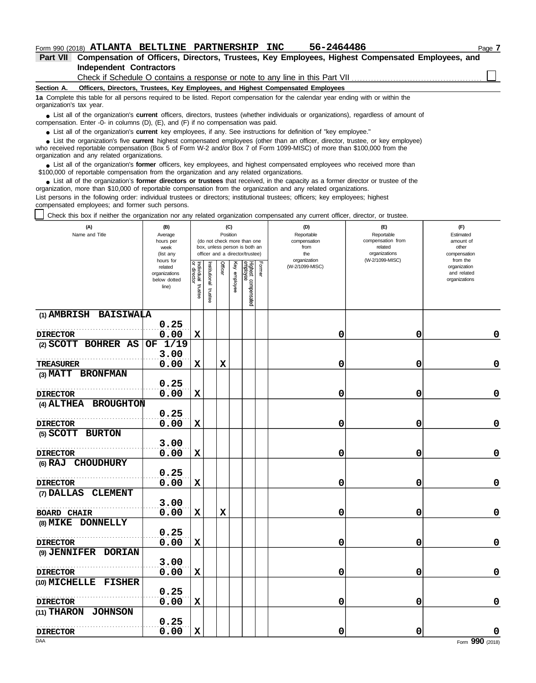**Independent Contractors**<br>Chack if Schadula O contair **Part VII Compensation of Officers, Directors, Trustees, Key Employees, Highest Compensated Employees, and**

|  | Check | Schedule 1 |  |  | : O contains a response or note to any line in this Part 1 |   |  |  |  | VII |  |  |  |  | . |  |
|--|-------|------------|--|--|------------------------------------------------------------|---|--|--|--|-----|--|--|--|--|---|--|
|  |       |            |  |  |                                                            | . |  |  |  |     |  |  |  |  |   |  |

**Section A. Officers, Directors, Trustees, Key Employees, and Highest Compensated Employees**

**1a** Complete this table for all persons required to be listed. Report compensation for the calendar year ending with or within the organization's tax year.

■ List all of the organization's **current** officers, directors, trustees (whether individuals or organizations), regardless of amount of compensation. Enter -0- in columns (D),  $(E)$ , and  $(F)$  if no compensation was paid.

● List all of the organization's **current** key employees, if any. See instructions for definition of "key employee."

who received reportable compensation (Box 5 of Form W-2 and/or Box 7 of Form 1099-MISC) of more than \$100,000 from the organization and any related organizations. ■ List the organization's five **current** highest compensated employees (other than an officer, director, trustee, or key employee)<br> **•** received reportable compensation (Box 5 of Form M/-2 and/or Box 7 of Form 1099-MISC)

■ List all of the organization's **former** officers, key employees, and highest compensated employees who received more than<br>00,000 of reportable compensation from the organization and any related organizations \$100,000 of reportable compensation from the organization and any related organizations.

■ List all of the organization's **former directors or trustees** that received, in the capacity as a former director or trustee of the<br>paization, more than \$10,000 of reportable compensation from the organization and any r organization, more than \$10,000 of reportable compensation from the organization and any related organizations.

List persons in the following order: individual trustees or directors; institutional trustees; officers; key employees; highest compensated employees; and former such persons.

Check this box if neither the organization nor any related organization compensated any current officer, director, or trustee.

| (A)<br>Name and Title                  | (B)<br>Average<br>hours per<br>week<br>(list any               |                    |                              | (C)<br>Position |                 | (do not check more than one<br>box, unless person is both an<br>officer and a director/trustee) |        | (D)<br>Reportable<br>compensation<br>from<br>the | (F)<br>Estimated<br>amount of<br>other<br>compensation |                                                          |
|----------------------------------------|----------------------------------------------------------------|--------------------|------------------------------|-----------------|-----------------|-------------------------------------------------------------------------------------------------|--------|--------------------------------------------------|--------------------------------------------------------|----------------------------------------------------------|
|                                        | hours for<br>related<br>organizations<br>below dotted<br>line) | Individual trustee | <b>Istutional</b><br>trustee | Officer         | Ķey<br>employee | Highest compensated<br>employee                                                                 | Former | organization<br>(W-2/1099-MISC)                  | (W-2/1099-MISC)                                        | from the<br>organization<br>and related<br>organizations |
| (1) AMBRISH BAISIWALA                  |                                                                |                    |                              |                 |                 |                                                                                                 |        |                                                  |                                                        |                                                          |
|                                        | 0.25                                                           |                    |                              |                 |                 |                                                                                                 |        |                                                  |                                                        |                                                          |
| <b>DIRECTOR</b>                        | 0.00                                                           | $\mathbf x$        |                              |                 |                 |                                                                                                 |        | 0                                                | 0                                                      | $\mathbf 0$                                              |
| (2) SCOTT BOHRER AS                    | 1/19<br>OF                                                     |                    |                              |                 |                 |                                                                                                 |        |                                                  |                                                        |                                                          |
|                                        | 3.00                                                           |                    |                              |                 |                 |                                                                                                 |        |                                                  | 0                                                      | $\mathbf 0$                                              |
| TREASURER<br>(3) MATT BRONFMAN         | 0.00                                                           | $\mathbf x$        |                              | $\mathbf x$     |                 |                                                                                                 |        | 0                                                |                                                        |                                                          |
|                                        | 0.25                                                           |                    |                              |                 |                 |                                                                                                 |        |                                                  |                                                        |                                                          |
| <b>DIRECTOR</b>                        | 0.00                                                           | $\mathbf x$        |                              |                 |                 |                                                                                                 |        | 0                                                | 0                                                      | 0                                                        |
| (4) ALTHEA BROUGHTON                   |                                                                |                    |                              |                 |                 |                                                                                                 |        |                                                  |                                                        |                                                          |
|                                        | 0.25                                                           |                    |                              |                 |                 |                                                                                                 |        |                                                  |                                                        |                                                          |
| <b>DIRECTOR</b>                        | 0.00                                                           | $\mathbf x$        |                              |                 |                 |                                                                                                 |        | 0                                                | 0                                                      | $\pmb{0}$                                                |
| (5) SCOTT BURTON                       |                                                                |                    |                              |                 |                 |                                                                                                 |        |                                                  |                                                        |                                                          |
|                                        | 3.00                                                           |                    |                              |                 |                 |                                                                                                 |        |                                                  |                                                        |                                                          |
| <b>DIRECTOR</b>                        | 0.00                                                           | $\mathbf x$        |                              |                 |                 |                                                                                                 |        | 0                                                | 0                                                      | $\mathbf 0$                                              |
| (6) RAJ CHOUDHURY                      |                                                                |                    |                              |                 |                 |                                                                                                 |        |                                                  |                                                        |                                                          |
|                                        | 0.25                                                           |                    |                              |                 |                 |                                                                                                 |        |                                                  |                                                        |                                                          |
| <b>DIRECTOR</b>                        | 0.00                                                           | $\mathbf x$        |                              |                 |                 |                                                                                                 |        | 0                                                | 0                                                      | $\mathbf 0$                                              |
| (7) DALLAS CLEMENT                     |                                                                |                    |                              |                 |                 |                                                                                                 |        |                                                  |                                                        |                                                          |
|                                        | 3.00                                                           |                    |                              |                 |                 |                                                                                                 |        |                                                  |                                                        |                                                          |
| <b>BOARD CHAIR</b>                     | 0.00                                                           | $\mathbf x$        |                              | $\mathbf x$     |                 |                                                                                                 |        | 0                                                | 0                                                      | $\mathbf 0$                                              |
| (8) MIKE DONNELLY                      |                                                                |                    |                              |                 |                 |                                                                                                 |        |                                                  |                                                        |                                                          |
|                                        | 0.25                                                           |                    |                              |                 |                 |                                                                                                 |        |                                                  |                                                        |                                                          |
| <b>DIRECTOR</b><br>(9) JENNIFER DORIAN | 0.00                                                           | $\mathbf x$        |                              |                 |                 |                                                                                                 |        | 0                                                | 0                                                      | $\mathbf 0$                                              |
|                                        | 3.00                                                           |                    |                              |                 |                 |                                                                                                 |        |                                                  |                                                        |                                                          |
| <b>DIRECTOR</b>                        | 0.00                                                           | $\mathbf x$        |                              |                 |                 |                                                                                                 |        | 0                                                | 0                                                      | $\mathbf 0$                                              |
| (10) MICHELLE<br><b>FISHER</b>         |                                                                |                    |                              |                 |                 |                                                                                                 |        |                                                  |                                                        |                                                          |
|                                        | 0.25                                                           |                    |                              |                 |                 |                                                                                                 |        |                                                  |                                                        |                                                          |
| <b>DIRECTOR</b>                        | 0.00                                                           | $\mathbf x$        |                              |                 |                 |                                                                                                 |        | 0                                                | 0                                                      | $\pmb{0}$                                                |
| (11) THARON JOHNSON                    |                                                                |                    |                              |                 |                 |                                                                                                 |        |                                                  |                                                        |                                                          |
|                                        | 0.25                                                           |                    |                              |                 |                 |                                                                                                 |        |                                                  |                                                        |                                                          |
| <b>DIRECTOR</b>                        | 0.00                                                           | $\mathbf x$        |                              |                 |                 |                                                                                                 |        | 0                                                | 0                                                      | 0                                                        |
| DAA                                    |                                                                |                    |                              |                 |                 |                                                                                                 |        |                                                  |                                                        | Form 990 (2018)                                          |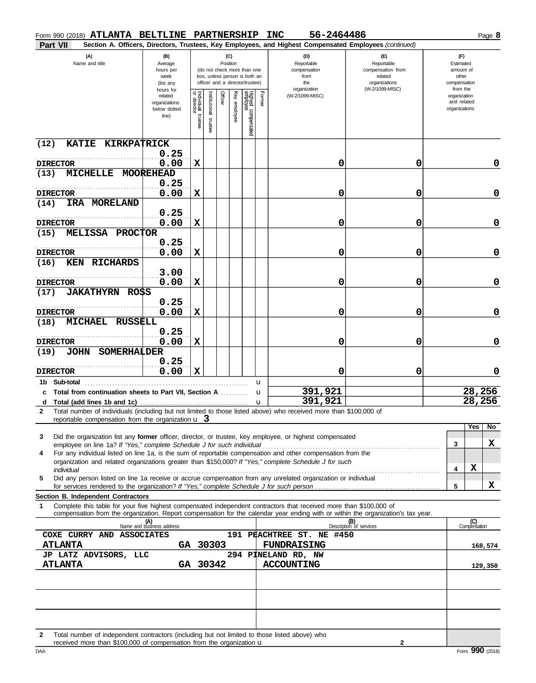### Form 990 (2018) ATLANTA BELTLINE PARTNERSHIP INC 56-2464486 **Fage 8 ATLANTA BELTLINE PARTNERSHIP INC 56-2464486**

| Part VII                                                                                                                                                                              |                                  |                           |              |          |          |                                 |   | Section A. Officers, Directors, Trustees, Key Employees, and Highest Compensated Employees (continued) |                                |                          |
|---------------------------------------------------------------------------------------------------------------------------------------------------------------------------------------|----------------------------------|---------------------------|--------------|----------|----------|---------------------------------|---|--------------------------------------------------------------------------------------------------------|--------------------------------|--------------------------|
| (A)                                                                                                                                                                                   | (B)                              |                           |              |          | (C)      |                                 |   | (D)                                                                                                    | $(\mathsf{F})$                 | (F)                      |
| Name and title                                                                                                                                                                        | Average                          |                           |              | Position |          | (do not check more than one     |   | Reportable<br>compensation                                                                             | Reportable                     | Estimated<br>amount of   |
|                                                                                                                                                                                       | hours per<br>week                |                           |              |          |          | box, unless person is both an   |   | from                                                                                                   | compensation from<br>related   | other                    |
|                                                                                                                                                                                       | (list any                        |                           |              |          |          | officer and a director/trustee) |   | the                                                                                                    | organizations                  | compensation             |
|                                                                                                                                                                                       | hours for<br>related             |                           |              | Officer  | Ķey      |                                 |   | organization<br>(W-2/1099-MISC)                                                                        | (W-2/1099-MISC)                | from the<br>organization |
|                                                                                                                                                                                       | organizations                    | Individual<br>or director |              |          |          |                                 |   |                                                                                                        |                                | and related              |
|                                                                                                                                                                                       | below dotted<br>line)            |                           | nstitutional |          | employee |                                 |   |                                                                                                        |                                | organizations            |
|                                                                                                                                                                                       |                                  | trustee                   | trustee      |          |          |                                 |   |                                                                                                        |                                |                          |
|                                                                                                                                                                                       |                                  |                           |              |          |          | Highest compensated<br>employee |   |                                                                                                        |                                |                          |
| KATIE KIRKPATRICK<br>(12)                                                                                                                                                             |                                  |                           |              |          |          |                                 |   |                                                                                                        |                                |                          |
|                                                                                                                                                                                       | 0.25                             |                           |              |          |          |                                 |   |                                                                                                        |                                |                          |
| <b>DIRECTOR</b>                                                                                                                                                                       | 0.00                             | X                         |              |          |          |                                 |   | 0                                                                                                      | 0                              | $\mathbf 0$              |
| <b>MICHELLE</b><br>(13)                                                                                                                                                               | <b>MOOREHEAD</b>                 |                           |              |          |          |                                 |   |                                                                                                        |                                |                          |
|                                                                                                                                                                                       | 0.25                             |                           |              |          |          |                                 |   |                                                                                                        |                                |                          |
| <b>DIRECTOR</b>                                                                                                                                                                       | 0.00                             | X                         |              |          |          |                                 |   | 0                                                                                                      | 0                              | $\mathbf 0$              |
| IRA MORELAND<br>(14)                                                                                                                                                                  |                                  |                           |              |          |          |                                 |   |                                                                                                        |                                |                          |
|                                                                                                                                                                                       | 0.25                             |                           |              |          |          |                                 |   |                                                                                                        |                                |                          |
|                                                                                                                                                                                       |                                  |                           |              |          |          |                                 |   |                                                                                                        |                                |                          |
| <b>DIRECTOR</b>                                                                                                                                                                       | 0.00                             | X                         |              |          |          |                                 |   | 0                                                                                                      | 0                              | 0                        |
| MELISSA PROCTOR<br>(15)                                                                                                                                                               |                                  |                           |              |          |          |                                 |   |                                                                                                        |                                |                          |
|                                                                                                                                                                                       | 0.25                             |                           |              |          |          |                                 |   |                                                                                                        |                                |                          |
| <b>DIRECTOR</b>                                                                                                                                                                       | 0.00                             | х                         |              |          |          |                                 |   | 0                                                                                                      | 0                              | 0                        |
| <b>KEN RICHARDS</b><br>(16)                                                                                                                                                           |                                  |                           |              |          |          |                                 |   |                                                                                                        |                                |                          |
|                                                                                                                                                                                       | 3.00                             |                           |              |          |          |                                 |   |                                                                                                        |                                |                          |
| <b>DIRECTOR</b>                                                                                                                                                                       | 0.00                             | X                         |              |          |          |                                 |   | 0                                                                                                      | 0                              | 0                        |
| <b>JAKATHYRN ROSS</b><br>(17)                                                                                                                                                         |                                  |                           |              |          |          |                                 |   |                                                                                                        |                                |                          |
|                                                                                                                                                                                       | 0.25                             |                           |              |          |          |                                 |   |                                                                                                        |                                |                          |
| <b>DIRECTOR</b>                                                                                                                                                                       | 0.00                             | X                         |              |          |          |                                 |   | 0                                                                                                      | 0                              | 0                        |
| MICHAEL RUSSELL<br>(18)                                                                                                                                                               |                                  |                           |              |          |          |                                 |   |                                                                                                        |                                |                          |
|                                                                                                                                                                                       | 0.25                             |                           |              |          |          |                                 |   |                                                                                                        |                                |                          |
| <b>DIRECTOR</b>                                                                                                                                                                       | 0.00                             | X                         |              |          |          |                                 |   | 0                                                                                                      | 0                              | 0                        |
| <b>JOHN SOMERHALDER</b><br>(19)                                                                                                                                                       |                                  |                           |              |          |          |                                 |   |                                                                                                        |                                |                          |
|                                                                                                                                                                                       | 0.25                             |                           |              |          |          |                                 |   |                                                                                                        |                                |                          |
| <b>DIRECTOR</b>                                                                                                                                                                       | 0.00                             | X                         |              |          |          |                                 |   | 0                                                                                                      | 0                              | $\mathbf 0$              |
| 1b.                                                                                                                                                                                   |                                  |                           |              |          |          |                                 | u |                                                                                                        |                                |                          |
| Total from continuation sheets to Part VII, Section A<br>С                                                                                                                            |                                  |                           |              |          |          |                                 | u | 391,921                                                                                                |                                | 28,256                   |
| d Total (add lines 1b and 1c)                                                                                                                                                         |                                  |                           |              |          |          |                                 | u | 391,921                                                                                                |                                | 28,256                   |
| Total number of individuals (including but not limited to those listed above) who received more than \$100,000 of<br>2                                                                |                                  |                           |              |          |          |                                 |   |                                                                                                        |                                |                          |
| reportable compensation from the organization $\mathbf{u}$ 3                                                                                                                          |                                  |                           |              |          |          |                                 |   |                                                                                                        |                                |                          |
|                                                                                                                                                                                       |                                  |                           |              |          |          |                                 |   |                                                                                                        |                                | Yes<br>No                |
| Did the organization list any <b>former</b> officer, director, or trustee, key employee, or highest compensated<br>3                                                                  |                                  |                           |              |          |          |                                 |   |                                                                                                        |                                | x                        |
| employee on line 1a? If "Yes," complete Schedule J for such individual<br>For any individual listed on line 1a, is the sum of reportable compensation and other compensation from the |                                  |                           |              |          |          |                                 |   |                                                                                                        |                                | 3                        |
| 4<br>organization and related organizations greater than \$150,000? If "Yes," complete Schedule J for such                                                                            |                                  |                           |              |          |          |                                 |   |                                                                                                        |                                |                          |
| individual                                                                                                                                                                            |                                  |                           |              |          |          |                                 |   |                                                                                                        |                                | X<br>4                   |
| Did any person listed on line 1a receive or accrue compensation from any unrelated organization or individual<br>5                                                                    |                                  |                           |              |          |          |                                 |   |                                                                                                        |                                |                          |
|                                                                                                                                                                                       |                                  |                           |              |          |          |                                 |   |                                                                                                        |                                | X<br>5                   |
| Section B. Independent Contractors                                                                                                                                                    |                                  |                           |              |          |          |                                 |   |                                                                                                        |                                |                          |
| Complete this table for your five highest compensated independent contractors that received more than \$100,000 of<br>1                                                               |                                  |                           |              |          |          |                                 |   |                                                                                                        |                                |                          |
| compensation from the organization. Report compensation for the calendar year ending with or within the organization's tax year.                                                      |                                  |                           |              |          |          |                                 |   |                                                                                                        |                                |                          |
|                                                                                                                                                                                       | (A)<br>Name and business address |                           |              |          |          |                                 |   |                                                                                                        | (B)<br>Description of services | (C)<br>Compensation      |
| COXE CURRY AND ASSOCIATES                                                                                                                                                             |                                  |                           |              |          |          |                                 |   | 191 PEACHTREE ST. NE #450                                                                              |                                |                          |
| <b>ATLANTA</b>                                                                                                                                                                        |                                  | GA 30303                  |              |          |          |                                 |   | <b>FUNDRAISING</b>                                                                                     |                                | 168,574                  |
| JP LATZ ADVISORS, LLC                                                                                                                                                                 |                                  |                           |              |          |          |                                 |   | 294 PINELAND RD, NW                                                                                    |                                |                          |
| <b>ATLANTA</b>                                                                                                                                                                        |                                  | GA 30342                  |              |          |          |                                 |   | <b>ACCOUNTING</b>                                                                                      |                                | 129,350                  |
|                                                                                                                                                                                       |                                  |                           |              |          |          |                                 |   |                                                                                                        |                                |                          |
|                                                                                                                                                                                       |                                  |                           |              |          |          |                                 |   |                                                                                                        |                                |                          |
|                                                                                                                                                                                       |                                  |                           |              |          |          |                                 |   |                                                                                                        |                                |                          |
|                                                                                                                                                                                       |                                  |                           |              |          |          |                                 |   |                                                                                                        |                                |                          |
|                                                                                                                                                                                       |                                  |                           |              |          |          |                                 |   |                                                                                                        |                                |                          |
|                                                                                                                                                                                       |                                  |                           |              |          |          |                                 |   |                                                                                                        |                                |                          |
|                                                                                                                                                                                       |                                  |                           |              |          |          |                                 |   |                                                                                                        |                                |                          |

**2** Total number of independent contractors (including but not limited to those listed above) who received more than  $$100,000$  of compensation from the organization  $\mathbf u$ 

**2**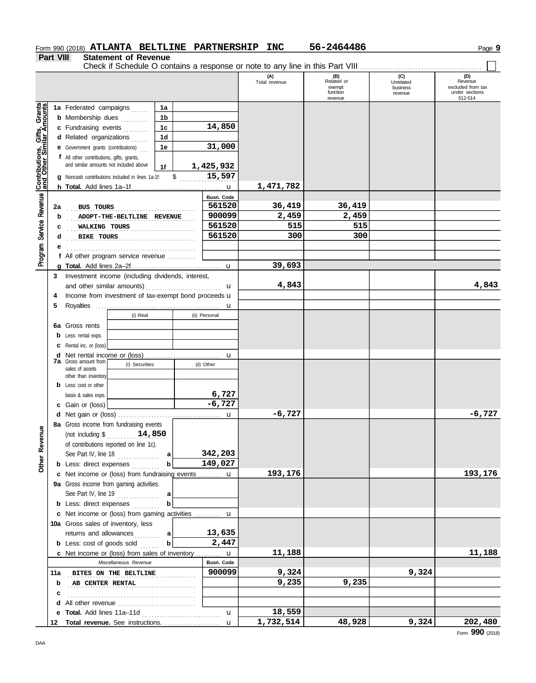**Part VIII Statement of Revenue**

| I GIL VIII                                                |     | יפווופוון הו ויפגפוומפ<br>Check if Schedule O contains a response or note to any line in this Part VIII |                |                           |                      |                                                    |                                         |                                                                  |
|-----------------------------------------------------------|-----|---------------------------------------------------------------------------------------------------------|----------------|---------------------------|----------------------|----------------------------------------------------|-----------------------------------------|------------------------------------------------------------------|
|                                                           |     |                                                                                                         |                |                           | (A)<br>Total revenue | (B)<br>Related or<br>exempt<br>function<br>revenue | (C)<br>Unrelated<br>business<br>revenue | (D)<br>Revenue<br>excluded from tax<br>under sections<br>512-514 |
|                                                           |     | 1a Federated campaigns                                                                                  | 1a             |                           |                      |                                                    |                                         |                                                                  |
| Contributions, Gifts, Grants<br>and Other Similar Amounts |     |                                                                                                         | 1b             |                           |                      |                                                    |                                         |                                                                  |
|                                                           |     | <b>b</b> Membership dues                                                                                |                | 14,850                    |                      |                                                    |                                         |                                                                  |
|                                                           |     | c Fundraising events                                                                                    | 1 <sub>c</sub> |                           |                      |                                                    |                                         |                                                                  |
|                                                           |     | d Related organizations                                                                                 | 1d             |                           |                      |                                                    |                                         |                                                                  |
|                                                           |     | <b>e</b> Government grants (contributions)                                                              | 1е             | 31,000                    |                      |                                                    |                                         |                                                                  |
|                                                           |     | f All other contributions, gifts, grants,<br>and similar amounts not included above                     |                |                           |                      |                                                    |                                         |                                                                  |
|                                                           |     |                                                                                                         | 1f             | 1,425,932                 |                      |                                                    |                                         |                                                                  |
|                                                           |     | <b>q</b> Noncash contributions included in lines 1a-1f:                                                 | $\frac{1}{2}$  | 15,597                    |                      |                                                    |                                         |                                                                  |
|                                                           |     |                                                                                                         |                |                           | 1,471,782            |                                                    |                                         |                                                                  |
|                                                           |     |                                                                                                         |                | Busn. Code                |                      |                                                    |                                         |                                                                  |
|                                                           | 2a  | BUS TOURS                                                                                               |                | 561520                    | 36,419               | 36,419                                             |                                         |                                                                  |
|                                                           | b   | ADOPT-THE-BELTLINE REVENUE                                                                              |                | 900099                    | 2,459                | 2,459                                              |                                         |                                                                  |
|                                                           | с   | WALKING TOURS                                                                                           |                | 561520                    | 515                  | 515                                                |                                         |                                                                  |
|                                                           | d   | BIKE TOURS                                                                                              |                | 561520                    | 300                  | 300                                                |                                         |                                                                  |
|                                                           |     |                                                                                                         |                |                           |                      |                                                    |                                         |                                                                  |
| Program Service Revenue                                   |     | f All other program service revenue                                                                     |                |                           |                      |                                                    |                                         |                                                                  |
|                                                           |     |                                                                                                         |                |                           | 39,693               |                                                    |                                         |                                                                  |
|                                                           | 3   | Investment income (including dividends, interest,                                                       |                |                           |                      |                                                    |                                         |                                                                  |
|                                                           |     |                                                                                                         |                | u                         | 4,843                |                                                    |                                         | 4,843                                                            |
|                                                           | 4   | Income from investment of tax-exempt bond proceeds u                                                    |                |                           |                      |                                                    |                                         |                                                                  |
|                                                           | 5   |                                                                                                         |                |                           |                      |                                                    |                                         |                                                                  |
|                                                           |     | (i) Real                                                                                                |                | (ii) Personal             |                      |                                                    |                                         |                                                                  |
|                                                           |     | 6a Gross rents                                                                                          |                |                           |                      |                                                    |                                         |                                                                  |
|                                                           |     | <b>b</b> Less: rental exps.                                                                             |                |                           |                      |                                                    |                                         |                                                                  |
|                                                           | c   | Rental inc. or (loss)                                                                                   |                |                           |                      |                                                    |                                         |                                                                  |
|                                                           |     | <b>d</b> Net rental income or (loss) $\ldots$ $\ldots$ $\ldots$ $\ldots$                                | u              |                           |                      |                                                    |                                         |                                                                  |
|                                                           |     | <b>7a</b> Gross amount from<br>(i) Securities                                                           | (ii) Other     |                           |                      |                                                    |                                         |                                                                  |
|                                                           |     | sales of assets<br>other than inventory                                                                 |                |                           |                      |                                                    |                                         |                                                                  |
|                                                           |     | <b>b</b> Less: cost or other                                                                            |                |                           |                      |                                                    |                                         |                                                                  |
|                                                           |     | basis & sales exps.                                                                                     | 6,727          |                           |                      |                                                    |                                         |                                                                  |
|                                                           |     | c Gain or (loss)                                                                                        | $-6,727$       |                           |                      |                                                    |                                         |                                                                  |
|                                                           |     |                                                                                                         |                |                           | $-6,727$             |                                                    |                                         | $-6,727$                                                         |
|                                                           |     | 8a Gross income from fundraising events                                                                 |                |                           |                      |                                                    |                                         |                                                                  |
| $\bullet$                                                 |     | 14,850<br>(not including \$                                                                             |                |                           |                      |                                                    |                                         |                                                                  |
|                                                           |     | of contributions reported on line 1c).                                                                  |                |                           |                      |                                                    |                                         |                                                                  |
|                                                           |     | See Part IV, line 18<br>.                                                                               | a              | 342,203                   |                      |                                                    |                                         |                                                                  |
| Other Revenu                                              |     | <b>b</b> Less: direct expenses                                                                          |                | 149,027                   |                      |                                                    |                                         |                                                                  |
|                                                           |     | c Net income or (loss) from fundraising events  u                                                       |                |                           | 193,176              |                                                    |                                         | 193,176                                                          |
|                                                           |     | 9a Gross income from gaming activities.                                                                 |                |                           |                      |                                                    |                                         |                                                                  |
|                                                           |     | See Part IV, line 19                                                                                    | a              |                           |                      |                                                    |                                         |                                                                  |
|                                                           |     | <b>b</b> Less: direct expenses                                                                          |                |                           |                      |                                                    |                                         |                                                                  |
|                                                           |     | c Net income or (loss) from gaming activities  u                                                        |                |                           |                      |                                                    |                                         |                                                                  |
|                                                           |     | 10a Gross sales of inventory, less                                                                      |                |                           |                      |                                                    |                                         |                                                                  |
|                                                           |     | returns and allowances                                                                                  |                | 13,635                    |                      |                                                    |                                         |                                                                  |
|                                                           |     | <b>b</b> Less: cost of goods sold                                                                       | a              | 2,447                     |                      |                                                    |                                         |                                                                  |
|                                                           |     |                                                                                                         |                |                           | 11,188               |                                                    |                                         | 11,188                                                           |
|                                                           |     | <b>c</b> Net income or (loss) from sales of inventory<br>Miscellaneous Revenue                          |                | $\mathbf u$<br>Busn. Code |                      |                                                    |                                         |                                                                  |
|                                                           |     |                                                                                                         |                | 900099                    | 9,324                |                                                    | 9,324                                   |                                                                  |
|                                                           | 11a | BITES ON THE BELTLINE                                                                                   |                |                           | 9,235                | 9,235                                              |                                         |                                                                  |
|                                                           | b   | AB CENTER RENTAL                                                                                        |                |                           |                      |                                                    |                                         |                                                                  |
|                                                           | c   |                                                                                                         |                |                           |                      |                                                    |                                         |                                                                  |
|                                                           | d   | All other revenue                                                                                       |                |                           | 18,559               |                                                    |                                         |                                                                  |
|                                                           | е   | Total. Add lines 11a-11d                                                                                |                | u                         | 1,732,514            | 48,928                                             | 9,324                                   | 202,480                                                          |
|                                                           | 12  | Total revenue. See instructions.                                                                        |                | u                         |                      |                                                    |                                         |                                                                  |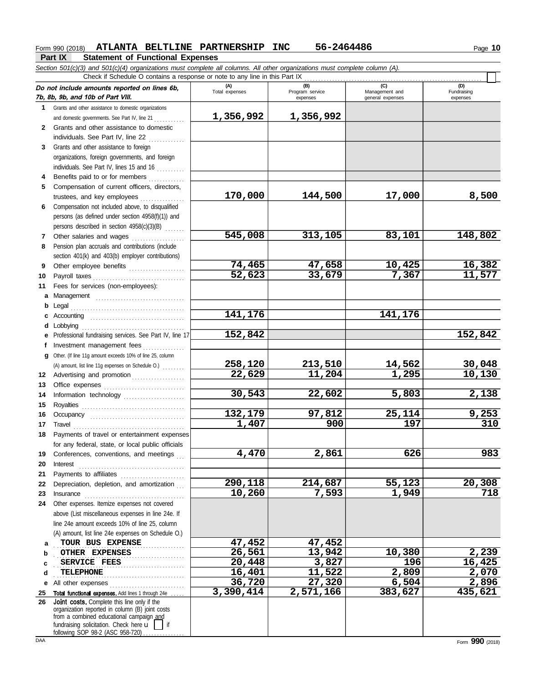## **Part IX Statement of Functional Expenses**

*Section 501(c)(3) and 501(c)(4) organizations must complete all columns. All other organizations must complete column (A).* Check if Schedule O contains a response or note to any line in this Part IX

|              | Check if Schedule O contains a response or note to any line in this Part IX                       |                       |                                    |                                    |                                |
|--------------|---------------------------------------------------------------------------------------------------|-----------------------|------------------------------------|------------------------------------|--------------------------------|
|              | Do not include amounts reported on lines 6b,<br>7b, 8b, 9b, and 10b of Part VIII.                 | (A)<br>Total expenses | (B)<br>Program service<br>expenses | Management and<br>general expenses | (D)<br>Fundraising<br>expenses |
| $1 \quad$    | Grants and other assistance to domestic organizations                                             |                       |                                    |                                    |                                |
|              | and domestic governments. See Part IV, line 21                                                    | 1,356,992             | 1,356,992                          |                                    |                                |
| $\mathbf{2}$ | Grants and other assistance to domestic                                                           |                       |                                    |                                    |                                |
|              | individuals. See Part IV, line 22                                                                 |                       |                                    |                                    |                                |
| 3            | Grants and other assistance to foreign                                                            |                       |                                    |                                    |                                |
|              | organizations, foreign governments, and foreign                                                   |                       |                                    |                                    |                                |
|              | individuals. See Part IV, lines 15 and 16                                                         |                       |                                    |                                    |                                |
| 4            | Benefits paid to or for members                                                                   |                       |                                    |                                    |                                |
| 5.           | Compensation of current officers, directors,                                                      |                       |                                    |                                    |                                |
|              | trustees, and key employees                                                                       | 170,000               | 144,500                            | 17,000                             | 8,500                          |
| 6            | Compensation not included above, to disqualified                                                  |                       |                                    |                                    |                                |
|              | persons (as defined under section 4958(f)(1)) and                                                 |                       |                                    |                                    |                                |
|              | persons described in section 4958(c)(3)(B)                                                        |                       |                                    |                                    |                                |
| 7            | Other salaries and wages                                                                          | 545,008               | 313,105                            | 83,101                             | 148,802                        |
| 8            | Pension plan accruals and contributions (include                                                  |                       |                                    |                                    |                                |
|              | section 401(k) and 403(b) employer contributions)                                                 |                       |                                    |                                    |                                |
| 9            | Other employee benefits                                                                           | 74,465                | 47,658                             | 10,425                             | 16,382                         |
| 10           |                                                                                                   | 52,623                | 33,679                             | 7,367                              | 11,577                         |
| 11           | Fees for services (non-employees):                                                                |                       |                                    |                                    |                                |
|              |                                                                                                   |                       |                                    |                                    |                                |
| b            |                                                                                                   |                       |                                    |                                    |                                |
|              |                                                                                                   | 141,176               |                                    | 141,176                            |                                |
|              |                                                                                                   |                       |                                    |                                    |                                |
|              | Professional fundraising services. See Part IV, line 17                                           | 152,842               |                                    |                                    | 152,842                        |
| f            | Investment management fees                                                                        |                       |                                    |                                    |                                |
| q            | Other. (If line 11g amount exceeds 10% of line 25, column                                         |                       |                                    |                                    |                                |
|              | (A) amount, list line 11g expenses on Schedule O.)                                                | 258,120               | 213,510                            | 14,562                             | <u>30,048</u>                  |
| 12           | Advertising and promotion                                                                         | 22,629                | 11,204                             | 1,295                              | 10,130                         |
| 13           |                                                                                                   |                       |                                    |                                    |                                |
| 14           | Information technology                                                                            | 30,543                | 22,602                             | 5,803                              | 2,138                          |
| 15           |                                                                                                   |                       |                                    |                                    |                                |
| 16           |                                                                                                   | 132,179<br>1,407      | 97,812<br>900                      | 25,114<br>197                      | 9,253<br>310                   |
| 17           | Travel                                                                                            |                       |                                    |                                    |                                |
| 18           | Payments of travel or entertainment expenses<br>for any federal, state, or local public officials |                       |                                    |                                    |                                |
| 19           | Conferences, conventions, and meetings                                                            | 4,470                 | 2,861                              | 626                                | 983                            |
| 20           | Interest                                                                                          |                       |                                    |                                    |                                |
| 21           | Payments to affiliates                                                                            |                       |                                    |                                    |                                |
| 22           | Depreciation, depletion, and amortization                                                         | 290,118               | 214,687                            | 55,123                             | 20,308                         |
| 23           | Insurance                                                                                         | 10,260                | 7,593                              | 1,949                              | 718                            |
| 24           | Other expenses. Itemize expenses not covered                                                      |                       |                                    |                                    |                                |
|              | above (List miscellaneous expenses in line 24e. If                                                |                       |                                    |                                    |                                |
|              | line 24e amount exceeds 10% of line 25, column                                                    |                       |                                    |                                    |                                |
|              | (A) amount, list line 24e expenses on Schedule O.)                                                |                       |                                    |                                    |                                |
| a            | TOUR BUS EXPENSE                                                                                  | 47,452                | 47,452                             |                                    |                                |
| b            | OTHER EXPENSES                                                                                    | 26,561                | 13,942                             | 10,380                             | 2,239                          |
| c            | SERVICE FEES                                                                                      | 20,448                | 3,827                              | 196                                | 16,425                         |
| d            | <b>TELEPHONE</b>                                                                                  | 16,401                | 11,522                             | 2,809                              | 2,070                          |
|              | <b>e</b> All other expenses                                                                       | 36,720                | 27,320                             | 6,504                              | 2,896                          |
| 25           | Total functional expenses. Add lines 1 through 24e                                                | 3,390,414             | $\overline{2,571,166}$             | 383,627                            | 435,621                        |
| 26           | Joint costs. Complete this line only if the<br>organization reported in column (B) joint costs    |                       |                                    |                                    |                                |
|              | from a combined educational campaign and                                                          |                       |                                    |                                    |                                |
|              | fundraising solicitation. Check here $\mathbf{u}$  <br>if                                         |                       |                                    |                                    |                                |
|              | following SOP 98-2 (ASC 958-720)                                                                  |                       |                                    |                                    |                                |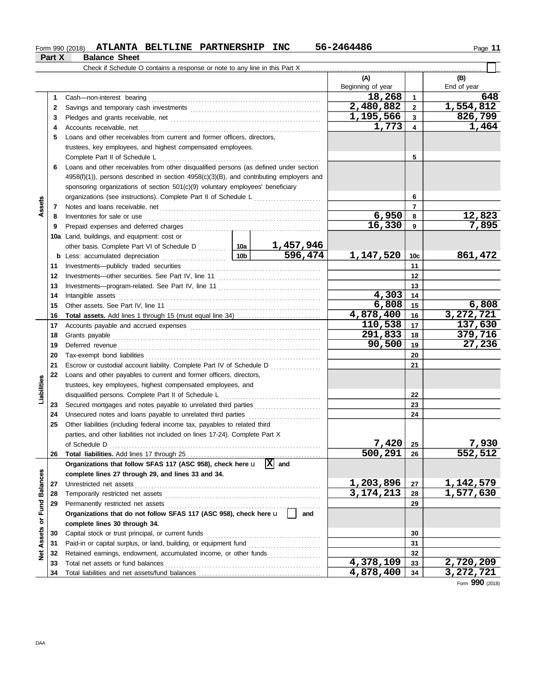**Part X Balance Sheet**

|                 |     |                                                                                                                                                                                                                                     |           |         | (A)<br>Beginning of year |              | (B)<br>End of year |
|-----------------|-----|-------------------------------------------------------------------------------------------------------------------------------------------------------------------------------------------------------------------------------------|-----------|---------|--------------------------|--------------|--------------------|
|                 | 1   | Cash-non-interest bearing                                                                                                                                                                                                           |           |         | 18,268                   | $\mathbf{1}$ | 648                |
|                 | 2   |                                                                                                                                                                                                                                     |           |         | 2,480,882                | $\mathbf{2}$ | 1,554,812          |
|                 | 3   |                                                                                                                                                                                                                                     | 1,195,566 | 3       | 826,799                  |              |                    |
|                 | 4   |                                                                                                                                                                                                                                     |           |         | 1,773                    | 4            | 1,464              |
|                 | 5   | Loans and other receivables from current and former officers, directors,                                                                                                                                                            |           |         |                          |              |                    |
|                 |     | trustees, key employees, and highest compensated employees.                                                                                                                                                                         |           |         |                          |              |                    |
|                 |     | Complete Part II of Schedule L                                                                                                                                                                                                      |           |         |                          | 5            |                    |
|                 | 6   | Loans and other receivables from other disqualified persons (as defined under section                                                                                                                                               |           |         |                          |              |                    |
|                 |     | $4958(f)(1)$ ), persons described in section $4958(c)(3)(B)$ , and contributing employers and                                                                                                                                       |           |         |                          |              |                    |
|                 |     | sponsoring organizations of section 501(c)(9) voluntary employees' beneficiary                                                                                                                                                      |           |         |                          |              |                    |
|                 |     |                                                                                                                                                                                                                                     |           | 6       |                          |              |                    |
| Assets          | 7   |                                                                                                                                                                                                                                     |           |         |                          | 7            |                    |
|                 | 8   |                                                                                                                                                                                                                                     |           |         | 6,950                    | 8            | 12,823             |
|                 | 9   | Inventories for sale or use <i>communication</i> and the state of the contract of the state of the state of the state or the state of the state of the state of the state of the state of the state of the state of the state of th |           |         | 16,330                   | 9            | 7,895              |
|                 | 10a | Land, buildings, and equipment: cost or                                                                                                                                                                                             |           |         |                          |              |                    |
|                 |     | other basis. Complete Part VI of Schedule D 10a   10a   10a   157,946                                                                                                                                                               |           |         |                          |              |                    |
|                 |     |                                                                                                                                                                                                                                     |           | 596,474 | 1,147,520                | 10c          | 861,472            |
|                 | 11  |                                                                                                                                                                                                                                     |           |         |                          | 11           |                    |
|                 | 12  |                                                                                                                                                                                                                                     |           | 12      |                          |              |                    |
|                 | 13  |                                                                                                                                                                                                                                     |           | 13      |                          |              |                    |
|                 | 14  | Intangible assets                                                                                                                                                                                                                   | 4,303     | 14      |                          |              |                    |
|                 | 15  |                                                                                                                                                                                                                                     |           |         | 6,808                    | 15           | 6,808              |
|                 | 16  |                                                                                                                                                                                                                                     |           |         | 4,878,400                | 16           | 3,272,721          |
|                 | 17  |                                                                                                                                                                                                                                     |           |         | 110,538                  | 17           | 137,630            |
|                 | 18  |                                                                                                                                                                                                                                     | 291,833   | 18      | 379,716                  |              |                    |
|                 | 19  |                                                                                                                                                                                                                                     |           |         | 90,500                   | 19           | 27,236             |
|                 | 20  |                                                                                                                                                                                                                                     |           |         |                          | 20           |                    |
|                 | 21  | Escrow or custodial account liability. Complete Part IV of Schedule D                                                                                                                                                               |           |         | 21                       |              |                    |
|                 | 22  | Loans and other payables to current and former officers, directors,                                                                                                                                                                 |           |         |                          |              |                    |
| Liabilities     |     | trustees, key employees, highest compensated employees, and                                                                                                                                                                         |           |         |                          |              |                    |
|                 |     | disqualified persons. Complete Part II of Schedule L                                                                                                                                                                                |           | 22      |                          |              |                    |
|                 | 23  | Secured mortgages and notes payable to unrelated third parties                                                                                                                                                                      |           | 23      |                          |              |                    |
|                 | 24  | Unsecured notes and loans payable to unrelated third parties [[[[[[[[[[[[[[[[[[[[[[]]]]]]]]]                                                                                                                                        |           |         |                          | 24           |                    |
|                 | 25  | Other liabilities (including federal income tax, payables to related third                                                                                                                                                          |           |         |                          |              |                    |
|                 |     | parties, and other liabilities not included on lines 17-24). Complete Part X                                                                                                                                                        |           |         |                          |              |                    |
|                 |     |                                                                                                                                                                                                                                     |           |         | 7,420                    | 25           | 7,930              |
|                 | 26  |                                                                                                                                                                                                                                     |           |         | 500,291                  | 26           | 552,512            |
|                 |     | Organizations that follow SFAS 117 (ASC 958), check here $\mathbf{u}$  X  and                                                                                                                                                       |           |         |                          |              |                    |
|                 |     | complete lines 27 through 29, and lines 33 and 34.                                                                                                                                                                                  |           |         |                          |              |                    |
|                 | 27  |                                                                                                                                                                                                                                     |           |         | 1,203,896                | 27           | 1,142,579          |
| <b>Balances</b> | 28  |                                                                                                                                                                                                                                     |           |         | 3, 174, 213              | 28           | 1,577,630          |
| Fund            | 29  |                                                                                                                                                                                                                                     |           |         |                          | 29           |                    |
|                 |     | Organizations that do not follow SFAS 117 (ASC 958), check here $\mathbf{u}$                                                                                                                                                        |           | and     |                          |              |                    |
| ŏ               |     | complete lines 30 through 34.                                                                                                                                                                                                       |           |         |                          |              |                    |
| Assets          | 30  | Capital stock or trust principal, or current funds                                                                                                                                                                                  |           |         | 30                       |              |                    |
|                 | 31  |                                                                                                                                                                                                                                     |           |         |                          | 31           |                    |
| $\frac{1}{2}$   | 32  | Retained earnings, endowment, accumulated income, or other funds                                                                                                                                                                    |           |         |                          | 32           |                    |
|                 | 33  | Total net assets or fund balances                                                                                                                                                                                                   |           |         | $\overline{4,378,109}$   | 33           | 2,720,209          |
|                 | 34  |                                                                                                                                                                                                                                     |           |         | 4,878,400                | 34           | 3,272,721          |

Form **990** (2018)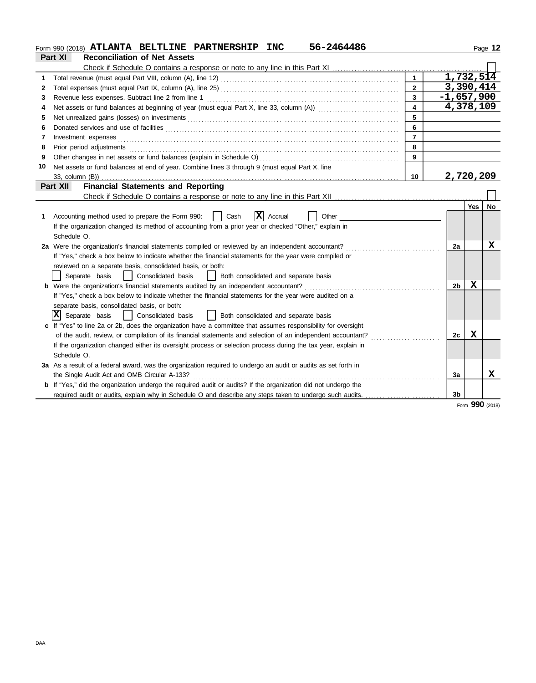| -ane | ١ |
|------|---|
|      |   |

|    | Part XI<br><b>Reconciliation of Net Assets</b>                                                                 |                        |             |                 |  |  |  |  |  |
|----|----------------------------------------------------------------------------------------------------------------|------------------------|-------------|-----------------|--|--|--|--|--|
|    |                                                                                                                |                        |             |                 |  |  |  |  |  |
| 1  | $\mathbf{1}$                                                                                                   | $\overline{1,732,514}$ |             |                 |  |  |  |  |  |
| 2  | 3,390,414<br>$\overline{2}$                                                                                    |                        |             |                 |  |  |  |  |  |
| 3  | $\overline{3}$<br>Revenue less expenses. Subtract line 2 from line 1                                           | $-1,657,900$           |             |                 |  |  |  |  |  |
| 4  | $\blacktriangle$                                                                                               |                        | 4,378,109   |                 |  |  |  |  |  |
| 5  |                                                                                                                |                        |             |                 |  |  |  |  |  |
| 6  | 6                                                                                                              |                        |             |                 |  |  |  |  |  |
| 7  | $\overline{7}$                                                                                                 |                        |             |                 |  |  |  |  |  |
| 8  | 8                                                                                                              |                        |             |                 |  |  |  |  |  |
| 9  | 9                                                                                                              |                        |             |                 |  |  |  |  |  |
| 10 | Net assets or fund balances at end of year. Combine lines 3 through 9 (must equal Part X, line                 |                        |             |                 |  |  |  |  |  |
|    | 10<br>33, column (B))                                                                                          | 2,720,209              |             |                 |  |  |  |  |  |
|    | <b>Financial Statements and Reporting</b><br>Part XII                                                          |                        |             |                 |  |  |  |  |  |
|    |                                                                                                                |                        |             |                 |  |  |  |  |  |
|    |                                                                                                                |                        | Yes         | No              |  |  |  |  |  |
| 1. | X <br>Accounting method used to prepare the Form 990:<br>Cash<br>Accrual<br>Other                              |                        |             |                 |  |  |  |  |  |
|    | If the organization changed its method of accounting from a prior year or checked "Other," explain in          |                        |             |                 |  |  |  |  |  |
|    | Schedule O.                                                                                                    |                        |             |                 |  |  |  |  |  |
|    | 2a Were the organization's financial statements compiled or reviewed by an independent accountant?<br>2a       |                        |             |                 |  |  |  |  |  |
|    | If "Yes," check a box below to indicate whether the financial statements for the year were compiled or         |                        |             |                 |  |  |  |  |  |
|    | reviewed on a separate basis, consolidated basis, or both:                                                     |                        |             |                 |  |  |  |  |  |
|    | Separate basis<br>  Consolidated basis<br>Both consolidated and separate basis                                 |                        |             |                 |  |  |  |  |  |
|    | <b>b</b> Were the organization's financial statements audited by an independent accountant?                    | 2b                     | X           |                 |  |  |  |  |  |
|    | If "Yes," check a box below to indicate whether the financial statements for the year were audited on a        |                        |             |                 |  |  |  |  |  |
|    | separate basis, consolidated basis, or both:                                                                   |                        |             |                 |  |  |  |  |  |
|    | Ixl<br>Separate basis<br>Consolidated basis<br>  Both consolidated and separate basis                          |                        |             |                 |  |  |  |  |  |
|    | c If "Yes" to line 2a or 2b, does the organization have a committee that assumes responsibility for oversight  |                        | $\mathbf x$ |                 |  |  |  |  |  |
|    |                                                                                                                |                        |             |                 |  |  |  |  |  |
|    | If the organization changed either its oversight process or selection process during the tax year, explain in  |                        |             |                 |  |  |  |  |  |
|    | Schedule O.                                                                                                    |                        |             |                 |  |  |  |  |  |
|    | 3a As a result of a federal award, was the organization required to undergo an audit or audits as set forth in |                        |             |                 |  |  |  |  |  |
|    | the Single Audit Act and OMB Circular A-133?                                                                   | 3a                     |             | x               |  |  |  |  |  |
|    | b If "Yes," did the organization undergo the required audit or audits? If the organization did not undergo the |                        |             |                 |  |  |  |  |  |
|    | required audit or audits, explain why in Schedule O and describe any steps taken to undergo such audits.       | 3 <sub>b</sub>         |             |                 |  |  |  |  |  |
|    |                                                                                                                |                        |             | Form 990 (2018) |  |  |  |  |  |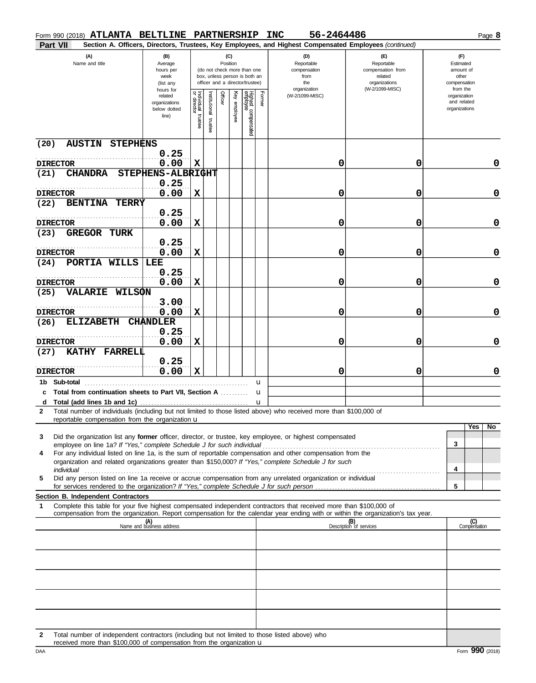| ı |  |
|---|--|
|   |  |

| Part VII                                                                                                                         |                                                                                   |                                   |              |         |          |                                 |             | Section A. Officers, Directors, Trustees, Key Employees, and Highest Compensated Employees (continued) |                                |                             |
|----------------------------------------------------------------------------------------------------------------------------------|-----------------------------------------------------------------------------------|-----------------------------------|--------------|---------|----------|---------------------------------|-------------|--------------------------------------------------------------------------------------------------------|--------------------------------|-----------------------------|
| (A)                                                                                                                              | (B)                                                                               |                                   |              |         | (C)      |                                 |             | (D)                                                                                                    | $(\mathsf{F})$                 | (F)                         |
| Name and title                                                                                                                   | Average                                                                           |                                   |              |         | Position |                                 |             | Reportable                                                                                             | Reportable                     | Estimated                   |
|                                                                                                                                  | hours per<br>(do not check more than one<br>box, unless person is both an<br>week |                                   |              |         |          |                                 |             | compensation<br>from                                                                                   | compensation from<br>related   | amount of<br>other          |
|                                                                                                                                  | (list any                                                                         |                                   |              |         |          | officer and a director/trustee) |             | the                                                                                                    | organizations                  | compensation                |
|                                                                                                                                  | hours for                                                                         |                                   |              |         |          |                                 |             | organization                                                                                           | (W-2/1099-MISC)                | from the                    |
|                                                                                                                                  | related<br>organizations                                                          |                                   | nstitutional | Officer | Ķey      |                                 | Former      | (W-2/1099-MISC)                                                                                        |                                | organization<br>and related |
|                                                                                                                                  | below dotted                                                                      |                                   |              |         |          |                                 |             |                                                                                                        |                                | organizations               |
|                                                                                                                                  | line)                                                                             | Individual trustee<br>or director |              |         | employee |                                 |             |                                                                                                        |                                |                             |
|                                                                                                                                  |                                                                                   |                                   | trustee      |         |          | Highest compensated<br>employee |             |                                                                                                        |                                |                             |
|                                                                                                                                  |                                                                                   |                                   |              |         |          |                                 |             |                                                                                                        |                                |                             |
| <b>AUSTIN STEPHENS</b><br>(20)                                                                                                   |                                                                                   |                                   |              |         |          |                                 |             |                                                                                                        |                                |                             |
|                                                                                                                                  | 0.25                                                                              |                                   |              |         |          |                                 |             |                                                                                                        |                                |                             |
| <b>DIRECTOR</b>                                                                                                                  | 0.00                                                                              | X                                 |              |         |          |                                 |             | 0                                                                                                      | 0                              | 0                           |
| <b>CHANDRA</b><br>(21)                                                                                                           | STEPHENS-ALBRIGHT                                                                 |                                   |              |         |          |                                 |             |                                                                                                        |                                |                             |
|                                                                                                                                  | 0.25                                                                              |                                   |              |         |          |                                 |             |                                                                                                        |                                |                             |
| <b>DIRECTOR</b>                                                                                                                  | 0.00                                                                              | X                                 |              |         |          |                                 |             | 0                                                                                                      | 0                              | 0                           |
| BENTINA TERRY<br>(22)                                                                                                            |                                                                                   |                                   |              |         |          |                                 |             |                                                                                                        |                                |                             |
|                                                                                                                                  | 0.25                                                                              |                                   |              |         |          |                                 |             |                                                                                                        |                                |                             |
|                                                                                                                                  |                                                                                   |                                   |              |         |          |                                 |             |                                                                                                        |                                |                             |
| <b>DIRECTOR</b>                                                                                                                  | 0.00                                                                              | X                                 |              |         |          |                                 |             | 0                                                                                                      | 0                              | 0                           |
| (23)<br><b>GREGOR TURK</b>                                                                                                       |                                                                                   |                                   |              |         |          |                                 |             |                                                                                                        |                                |                             |
|                                                                                                                                  | 0.25                                                                              |                                   |              |         |          |                                 |             |                                                                                                        |                                |                             |
| <b>DIRECTOR</b>                                                                                                                  | 0.00                                                                              | X                                 |              |         |          |                                 |             | 0                                                                                                      | 0                              | 0                           |
| PORTIA WILLS<br>(24)                                                                                                             | LEE                                                                               |                                   |              |         |          |                                 |             |                                                                                                        |                                |                             |
|                                                                                                                                  | 0.25                                                                              |                                   |              |         |          |                                 |             |                                                                                                        |                                |                             |
| <b>DIRECTOR</b>                                                                                                                  | 0.00                                                                              | X                                 |              |         |          |                                 |             | 0                                                                                                      | 0                              | 0                           |
| <b>VALARIE WILSON</b><br>(25)                                                                                                    |                                                                                   |                                   |              |         |          |                                 |             |                                                                                                        |                                |                             |
|                                                                                                                                  | 3.00                                                                              |                                   |              |         |          |                                 |             |                                                                                                        |                                |                             |
| .                                                                                                                                |                                                                                   |                                   |              |         |          |                                 |             |                                                                                                        |                                |                             |
| <b>DIRECTOR</b>                                                                                                                  | 0.00                                                                              | X                                 |              |         |          |                                 |             | 0                                                                                                      | 0                              | 0                           |
| ELIZABETH CHANDLER<br>(26)                                                                                                       |                                                                                   |                                   |              |         |          |                                 |             |                                                                                                        |                                |                             |
|                                                                                                                                  | 0.25                                                                              |                                   |              |         |          |                                 |             |                                                                                                        |                                |                             |
| <b>DIRECTOR</b>                                                                                                                  | 0.00                                                                              | X                                 |              |         |          |                                 |             | 0                                                                                                      | 0                              | 0                           |
| KATHY FARRELL<br>(27)                                                                                                            |                                                                                   |                                   |              |         |          |                                 |             |                                                                                                        |                                |                             |
|                                                                                                                                  | 0.25                                                                              |                                   |              |         |          |                                 |             |                                                                                                        |                                |                             |
| <b>DIRECTOR</b>                                                                                                                  | 0.00                                                                              | x                                 |              |         |          |                                 |             | 0                                                                                                      | 0                              | 0                           |
|                                                                                                                                  |                                                                                   |                                   |              |         |          |                                 | u           |                                                                                                        |                                |                             |
| Total from continuation sheets to Part VII, Section A<br>С                                                                       |                                                                                   |                                   |              |         |          |                                 | $\mathbf u$ |                                                                                                        |                                |                             |
| d Total (add lines 1b and 1c)                                                                                                    |                                                                                   |                                   |              |         |          |                                 | u           |                                                                                                        |                                |                             |
| Total number of individuals (including but not limited to those listed above) who received more than \$100,000 of<br>2           |                                                                                   |                                   |              |         |          |                                 |             |                                                                                                        |                                |                             |
| reportable compensation from the organization u                                                                                  |                                                                                   |                                   |              |         |          |                                 |             |                                                                                                        |                                |                             |
|                                                                                                                                  |                                                                                   |                                   |              |         |          |                                 |             |                                                                                                        |                                | Yes<br>No                   |
| Did the organization list any former officer, director, or trustee, key employee, or highest compensated<br>3                    |                                                                                   |                                   |              |         |          |                                 |             |                                                                                                        |                                |                             |
| employee on line 1a? If "Yes," complete Schedule J for such individual                                                           |                                                                                   |                                   |              |         |          |                                 |             |                                                                                                        |                                | 3                           |
| For any individual listed on line 1a, is the sum of reportable compensation and other compensation from the<br>4                 |                                                                                   |                                   |              |         |          |                                 |             |                                                                                                        |                                |                             |
| organization and related organizations greater than \$150,000? If "Yes," complete Schedule J for such                            |                                                                                   |                                   |              |         |          |                                 |             |                                                                                                        |                                |                             |
| individual                                                                                                                       |                                                                                   |                                   |              |         |          |                                 |             |                                                                                                        |                                | 4                           |
| Did any person listed on line 1a receive or accrue compensation from any unrelated organization or individual<br>5               |                                                                                   |                                   |              |         |          |                                 |             |                                                                                                        |                                |                             |
|                                                                                                                                  |                                                                                   |                                   |              |         |          |                                 |             |                                                                                                        |                                | 5                           |
| Section B. Independent Contractors                                                                                               |                                                                                   |                                   |              |         |          |                                 |             |                                                                                                        |                                |                             |
| Complete this table for your five highest compensated independent contractors that received more than \$100,000 of<br>1          |                                                                                   |                                   |              |         |          |                                 |             |                                                                                                        |                                |                             |
| compensation from the organization. Report compensation for the calendar year ending with or within the organization's tax year. |                                                                                   |                                   |              |         |          |                                 |             |                                                                                                        |                                |                             |
|                                                                                                                                  | (A)<br>Name and business address                                                  |                                   |              |         |          |                                 |             |                                                                                                        | (B)<br>Description of services | (C)<br>Compensation         |
|                                                                                                                                  |                                                                                   |                                   |              |         |          |                                 |             |                                                                                                        |                                |                             |
|                                                                                                                                  |                                                                                   |                                   |              |         |          |                                 |             |                                                                                                        |                                |                             |
|                                                                                                                                  |                                                                                   |                                   |              |         |          |                                 |             |                                                                                                        |                                |                             |
|                                                                                                                                  |                                                                                   |                                   |              |         |          |                                 |             |                                                                                                        |                                |                             |
|                                                                                                                                  |                                                                                   |                                   |              |         |          |                                 |             |                                                                                                        |                                |                             |
|                                                                                                                                  |                                                                                   |                                   |              |         |          |                                 |             |                                                                                                        |                                |                             |
|                                                                                                                                  |                                                                                   |                                   |              |         |          |                                 |             |                                                                                                        |                                |                             |
|                                                                                                                                  |                                                                                   |                                   |              |         |          |                                 |             |                                                                                                        |                                |                             |
|                                                                                                                                  |                                                                                   |                                   |              |         |          |                                 |             |                                                                                                        |                                |                             |
|                                                                                                                                  |                                                                                   |                                   |              |         |          |                                 |             |                                                                                                        |                                |                             |
|                                                                                                                                  |                                                                                   |                                   |              |         |          |                                 |             |                                                                                                        |                                |                             |
|                                                                                                                                  |                                                                                   |                                   |              |         |          |                                 |             |                                                                                                        |                                |                             |

**2** Total number of independent contractors (including but not limited to those listed above) who received more than \$100,000 of compensation from the organization u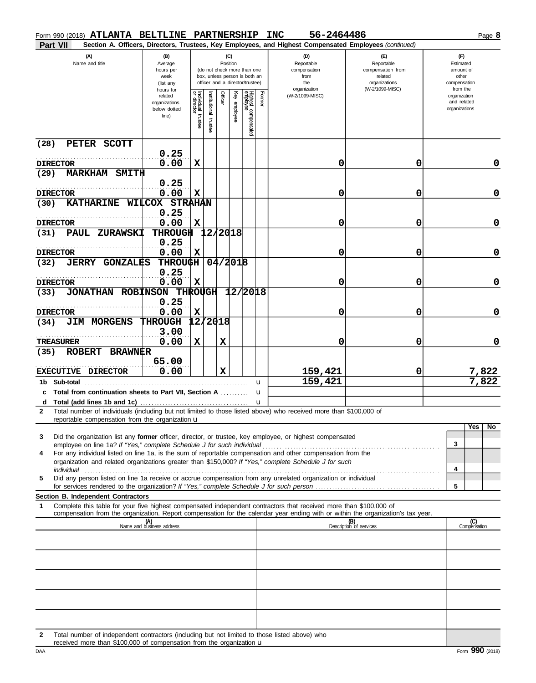| ı<br>r |  |
|--------|--|
|        |  |

| Part VII                                                                                                                                                                                |                                                                                   |                           |              |         |          |                                 |        | Section A. Officers, Directors, Trustees, Key Employees, and Highest Compensated Employees (continued) |                                |                             |
|-----------------------------------------------------------------------------------------------------------------------------------------------------------------------------------------|-----------------------------------------------------------------------------------|---------------------------|--------------|---------|----------|---------------------------------|--------|--------------------------------------------------------------------------------------------------------|--------------------------------|-----------------------------|
| (A)                                                                                                                                                                                     | (B)                                                                               |                           |              |         | (C)      |                                 |        | (D)                                                                                                    | $(\mathsf{F})$                 | (F)                         |
| Name and title                                                                                                                                                                          | Average                                                                           |                           |              |         | Position |                                 |        | Reportable                                                                                             | Reportable                     | Estimated                   |
|                                                                                                                                                                                         | hours per<br>(do not check more than one<br>box, unless person is both an<br>week |                           |              |         |          |                                 |        | compensation<br>from                                                                                   | compensation from<br>related   | amount of<br>other          |
|                                                                                                                                                                                         | (list any                                                                         |                           |              |         |          | officer and a director/trustee) |        | the                                                                                                    | organizations                  | compensation                |
|                                                                                                                                                                                         | hours for                                                                         |                           |              |         |          |                                 |        | organization                                                                                           | (W-2/1099-MISC)                | from the                    |
|                                                                                                                                                                                         | related<br>organizations                                                          | Individual<br>or director | nstitutional | Officer | Key      |                                 | Former | (W-2/1099-MISC)                                                                                        |                                | organization<br>and related |
|                                                                                                                                                                                         | below dotted                                                                      |                           |              |         |          |                                 |        |                                                                                                        |                                | organizations               |
|                                                                                                                                                                                         | line)                                                                             | trustee                   |              |         | employee |                                 |        |                                                                                                        |                                |                             |
|                                                                                                                                                                                         |                                                                                   |                           | trustee      |         |          | Highest compensated<br>employee |        |                                                                                                        |                                |                             |
|                                                                                                                                                                                         |                                                                                   |                           |              |         |          |                                 |        |                                                                                                        |                                |                             |
| PETER SCOTT<br>(28)                                                                                                                                                                     |                                                                                   |                           |              |         |          |                                 |        |                                                                                                        |                                |                             |
|                                                                                                                                                                                         | 0.25                                                                              |                           |              |         |          |                                 |        |                                                                                                        |                                |                             |
| <b>DIRECTOR</b>                                                                                                                                                                         | 0.00                                                                              | X                         |              |         |          |                                 |        | 0                                                                                                      | 0                              | 0                           |
| <b>MARKHAM SMITH</b><br>(29)                                                                                                                                                            |                                                                                   |                           |              |         |          |                                 |        |                                                                                                        |                                |                             |
|                                                                                                                                                                                         | 0.25                                                                              |                           |              |         |          |                                 |        |                                                                                                        |                                |                             |
| <b>DIRECTOR</b>                                                                                                                                                                         | 0.00                                                                              | X                         |              |         |          |                                 |        | 0                                                                                                      | 0                              | $\mathbf 0$                 |
|                                                                                                                                                                                         |                                                                                   |                           |              |         |          |                                 |        |                                                                                                        |                                |                             |
| KATHARINE WILCOX STRAHAN<br>(30)                                                                                                                                                        |                                                                                   |                           |              |         |          |                                 |        |                                                                                                        |                                |                             |
|                                                                                                                                                                                         | 0.25                                                                              |                           |              |         |          |                                 |        |                                                                                                        |                                |                             |
| <b>DIRECTOR</b>                                                                                                                                                                         | 0.00                                                                              | X                         |              |         |          |                                 |        | 0                                                                                                      | 0                              | $\mathbf 0$                 |
| PAUL ZURAWSKI<br>(31)                                                                                                                                                                   | <b>THROUGH</b>                                                                    |                           | 12/2018      |         |          |                                 |        |                                                                                                        |                                |                             |
| .                                                                                                                                                                                       | 0.25                                                                              |                           |              |         |          |                                 |        |                                                                                                        |                                |                             |
| <b>DIRECTOR</b>                                                                                                                                                                         | 0.00                                                                              | X                         |              |         |          |                                 |        | 0                                                                                                      | 0                              | 0                           |
| <b>JERRY GONZALES</b><br>(32)                                                                                                                                                           | <b>THROUGH</b>                                                                    |                           |              |         | 04/2018  |                                 |        |                                                                                                        |                                |                             |
|                                                                                                                                                                                         | 0.25                                                                              |                           |              |         |          |                                 |        |                                                                                                        |                                |                             |
| .<br><b>DIRECTOR</b>                                                                                                                                                                    | 0.00                                                                              | X                         |              |         |          |                                 |        | 0                                                                                                      | 0                              | 0                           |
|                                                                                                                                                                                         |                                                                                   |                           |              |         |          |                                 |        |                                                                                                        |                                |                             |
| JONATHAN ROBINSON THROUGH<br>(33)                                                                                                                                                       |                                                                                   |                           |              |         |          | 12/2018                         |        |                                                                                                        |                                |                             |
|                                                                                                                                                                                         | 0.25                                                                              |                           |              |         |          |                                 |        |                                                                                                        |                                |                             |
| <b>DIRECTOR</b>                                                                                                                                                                         | 0.00                                                                              | X                         |              |         |          |                                 |        | 0                                                                                                      | 0                              | 0                           |
| <b>JIM MORGENS</b><br>(34)                                                                                                                                                              | <b>THROUGH</b>                                                                    |                           | .2∤2018      |         |          |                                 |        |                                                                                                        |                                |                             |
|                                                                                                                                                                                         | 3.00                                                                              |                           |              |         |          |                                 |        |                                                                                                        |                                |                             |
| TREASURER                                                                                                                                                                               | 0.00                                                                              | X                         |              | х       |          |                                 |        | 0                                                                                                      | 0                              | 0                           |
| ROBERT BRAWNER<br>(35)                                                                                                                                                                  |                                                                                   |                           |              |         |          |                                 |        |                                                                                                        |                                |                             |
|                                                                                                                                                                                         | 65.00                                                                             |                           |              |         |          |                                 |        |                                                                                                        |                                |                             |
| <b>EXECUTIVE DIRECTOR</b>                                                                                                                                                               | 0.00                                                                              |                           |              | X       |          |                                 |        | 159,421                                                                                                | 0                              | 7,822                       |
| 1b Sub-total                                                                                                                                                                            |                                                                                   |                           |              |         |          |                                 |        | 159,421                                                                                                |                                | 7,822                       |
|                                                                                                                                                                                         |                                                                                   |                           |              |         |          |                                 | u      |                                                                                                        |                                |                             |
| Total from continuation sheets to Part VII, Section A<br>С                                                                                                                              |                                                                                   |                           |              |         |          |                                 | u      |                                                                                                        |                                |                             |
|                                                                                                                                                                                         |                                                                                   |                           |              |         |          |                                 | u      |                                                                                                        |                                |                             |
| Total number of individuals (including but not limited to those listed above) who received more than \$100,000 of<br>2                                                                  |                                                                                   |                           |              |         |          |                                 |        |                                                                                                        |                                |                             |
| reportable compensation from the organization u                                                                                                                                         |                                                                                   |                           |              |         |          |                                 |        |                                                                                                        |                                | Yes<br>No                   |
|                                                                                                                                                                                         |                                                                                   |                           |              |         |          |                                 |        |                                                                                                        |                                |                             |
| Did the organization list any former officer, director, or trustee, key employee, or highest compensated<br>3<br>employee on line 1a? If "Yes," complete Schedule J for such individual |                                                                                   |                           |              |         |          |                                 |        |                                                                                                        |                                | 3                           |
| For any individual listed on line 1a, is the sum of reportable compensation and other compensation from the<br>4                                                                        |                                                                                   |                           |              |         |          |                                 |        |                                                                                                        |                                |                             |
| organization and related organizations greater than \$150,000? If "Yes," complete Schedule J for such                                                                                   |                                                                                   |                           |              |         |          |                                 |        |                                                                                                        |                                |                             |
| individual                                                                                                                                                                              |                                                                                   |                           |              |         |          |                                 |        |                                                                                                        |                                | 4                           |
| Did any person listed on line 1a receive or accrue compensation from any unrelated organization or individual<br>5                                                                      |                                                                                   |                           |              |         |          |                                 |        |                                                                                                        |                                |                             |
|                                                                                                                                                                                         |                                                                                   |                           |              |         |          |                                 |        |                                                                                                        |                                | 5                           |
| Section B. Independent Contractors                                                                                                                                                      |                                                                                   |                           |              |         |          |                                 |        |                                                                                                        |                                |                             |
| Complete this table for your five highest compensated independent contractors that received more than \$100,000 of<br>1                                                                 |                                                                                   |                           |              |         |          |                                 |        |                                                                                                        |                                |                             |
| compensation from the organization. Report compensation for the calendar year ending with or within the organization's tax year.                                                        |                                                                                   |                           |              |         |          |                                 |        |                                                                                                        |                                |                             |
|                                                                                                                                                                                         | (A)<br>Name and business address                                                  |                           |              |         |          |                                 |        |                                                                                                        | (B)<br>Description of services | (C)<br>Compensation         |
|                                                                                                                                                                                         |                                                                                   |                           |              |         |          |                                 |        |                                                                                                        |                                |                             |
|                                                                                                                                                                                         |                                                                                   |                           |              |         |          |                                 |        |                                                                                                        |                                |                             |
|                                                                                                                                                                                         |                                                                                   |                           |              |         |          |                                 |        |                                                                                                        |                                |                             |
|                                                                                                                                                                                         |                                                                                   |                           |              |         |          |                                 |        |                                                                                                        |                                |                             |
|                                                                                                                                                                                         |                                                                                   |                           |              |         |          |                                 |        |                                                                                                        |                                |                             |
|                                                                                                                                                                                         |                                                                                   |                           |              |         |          |                                 |        |                                                                                                        |                                |                             |
|                                                                                                                                                                                         |                                                                                   |                           |              |         |          |                                 |        |                                                                                                        |                                |                             |
|                                                                                                                                                                                         |                                                                                   |                           |              |         |          |                                 |        |                                                                                                        |                                |                             |
|                                                                                                                                                                                         |                                                                                   |                           |              |         |          |                                 |        |                                                                                                        |                                |                             |
|                                                                                                                                                                                         |                                                                                   |                           |              |         |          |                                 |        |                                                                                                        |                                |                             |
|                                                                                                                                                                                         |                                                                                   |                           |              |         |          |                                 |        |                                                                                                        |                                |                             |
|                                                                                                                                                                                         |                                                                                   |                           |              |         |          |                                 |        |                                                                                                        |                                |                             |

**2** Total number of independent contractors (including but not limited to those listed above) who received more than  $$100,000$  of compensation from the organization  $\mathbf u$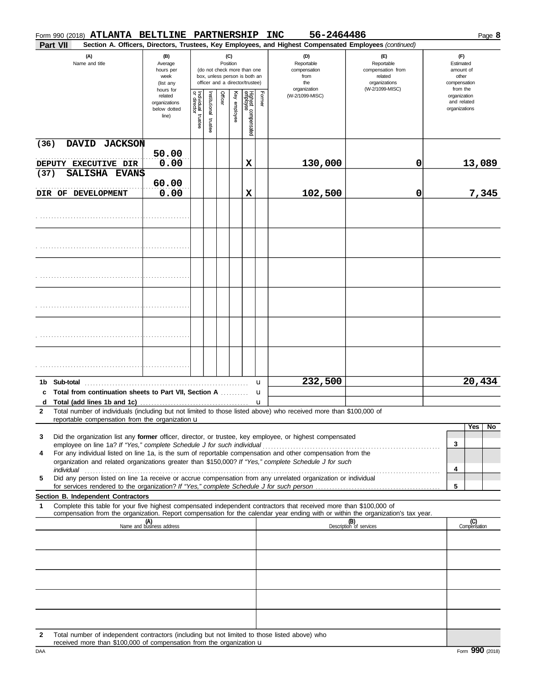|--|--|

| Part VII                                                                                                                                                                                                                                                    |                                                                                                                                                                                     |                                   |                      |         |              |                                 |                                                                  | Section A. Officers, Directors, Trustees, Key Employees, and Highest Compensated Employees (continued) |                                                                                                  |                                                                    |                                              |
|-------------------------------------------------------------------------------------------------------------------------------------------------------------------------------------------------------------------------------------------------------------|-------------------------------------------------------------------------------------------------------------------------------------------------------------------------------------|-----------------------------------|----------------------|---------|--------------|---------------------------------|------------------------------------------------------------------|--------------------------------------------------------------------------------------------------------|--------------------------------------------------------------------------------------------------|--------------------------------------------------------------------|----------------------------------------------|
| (A)<br>Name and title                                                                                                                                                                                                                                       | (B)<br>(C)<br>Position<br>Average<br>hours per<br>(do not check more than one<br>box, unless person is both an<br>week<br>officer and a director/trustee)<br>(list any<br>hours for |                                   |                      |         |              |                                 | (D)<br>Reportable<br>compensation<br>from<br>the<br>organization |                                                                                                        | $(\mathsf{F})$<br>Reportable<br>compensation from<br>related<br>organizations<br>(W-2/1099-MISC) | (F)<br>Estimated<br>amount of<br>other<br>compensation<br>from the |                                              |
|                                                                                                                                                                                                                                                             | related<br>organizations<br>below dotted<br>line)                                                                                                                                   | Individual trustee<br>or director | nstitutional trustee | Officer | Key employee | Highest compensated<br>employee | Former                                                           | (W-2/1099-MISC)                                                                                        |                                                                                                  |                                                                    | organization<br>and related<br>organizations |
| (36)<br><b>DAVID</b><br><b>JACKSON</b>                                                                                                                                                                                                                      | 50.00                                                                                                                                                                               |                                   |                      |         |              |                                 |                                                                  |                                                                                                        |                                                                                                  |                                                                    |                                              |
| DEPUTY EXECUTIVE DIR                                                                                                                                                                                                                                        | 0.00                                                                                                                                                                                |                                   |                      |         |              | X                               |                                                                  | 130,000                                                                                                | $\mathbf 0$                                                                                      |                                                                    | 13,089                                       |
| SALISHA EVANS<br>(37)<br>DIR OF DEVELOPMENT                                                                                                                                                                                                                 | 60.00<br>0.00                                                                                                                                                                       |                                   |                      |         |              | X                               |                                                                  | 102,500                                                                                                | 0                                                                                                |                                                                    | 7,345                                        |
|                                                                                                                                                                                                                                                             |                                                                                                                                                                                     |                                   |                      |         |              |                                 |                                                                  |                                                                                                        |                                                                                                  |                                                                    |                                              |
|                                                                                                                                                                                                                                                             |                                                                                                                                                                                     |                                   |                      |         |              |                                 |                                                                  |                                                                                                        |                                                                                                  |                                                                    |                                              |
|                                                                                                                                                                                                                                                             |                                                                                                                                                                                     |                                   |                      |         |              |                                 |                                                                  |                                                                                                        |                                                                                                  |                                                                    |                                              |
|                                                                                                                                                                                                                                                             |                                                                                                                                                                                     |                                   |                      |         |              |                                 |                                                                  |                                                                                                        |                                                                                                  |                                                                    |                                              |
|                                                                                                                                                                                                                                                             |                                                                                                                                                                                     |                                   |                      |         |              |                                 |                                                                  |                                                                                                        |                                                                                                  |                                                                    |                                              |
|                                                                                                                                                                                                                                                             |                                                                                                                                                                                     |                                   |                      |         |              |                                 |                                                                  |                                                                                                        |                                                                                                  |                                                                    |                                              |
|                                                                                                                                                                                                                                                             |                                                                                                                                                                                     |                                   |                      |         |              |                                 |                                                                  |                                                                                                        |                                                                                                  |                                                                    |                                              |
| Total from continuation sheets to Part VII, Section A<br>c                                                                                                                                                                                                  |                                                                                                                                                                                     |                                   |                      |         |              |                                 | u<br>u                                                           | 232,500                                                                                                |                                                                                                  |                                                                    | 20,434                                       |
| Total (add lines 1b and 1c)<br>d<br>2<br>Total number of individuals (including but not limited to those listed above) who received more than \$100,000 of<br>reportable compensation from the organization u                                               |                                                                                                                                                                                     |                                   |                      |         |              |                                 | u                                                                |                                                                                                        |                                                                                                  |                                                                    |                                              |
| Did the organization list any former officer, director, or trustee, key employee, or highest compensated<br>3                                                                                                                                               |                                                                                                                                                                                     |                                   |                      |         |              |                                 |                                                                  |                                                                                                        |                                                                                                  |                                                                    | Yes<br>No.                                   |
| For any individual listed on line 1a, is the sum of reportable compensation and other compensation from the<br>4<br>organization and related organizations greater than \$150,000? If "Yes," complete Schedule J for such                                   |                                                                                                                                                                                     |                                   |                      |         |              |                                 |                                                                  |                                                                                                        |                                                                                                  |                                                                    | 3                                            |
| Did any person listed on line 1a receive or accrue compensation from any unrelated organization or individual<br>5                                                                                                                                          |                                                                                                                                                                                     |                                   |                      |         |              |                                 |                                                                  |                                                                                                        |                                                                                                  |                                                                    | 4                                            |
| Section B. Independent Contractors                                                                                                                                                                                                                          |                                                                                                                                                                                     |                                   |                      |         |              |                                 |                                                                  |                                                                                                        |                                                                                                  |                                                                    | 5                                            |
| Complete this table for your five highest compensated independent contractors that received more than \$100,000 of<br>1<br>compensation from the organization. Report compensation for the calendar year ending with or within the organization's tax year. |                                                                                                                                                                                     |                                   |                      |         |              |                                 |                                                                  |                                                                                                        |                                                                                                  |                                                                    |                                              |
|                                                                                                                                                                                                                                                             | (A)<br>Name and business address                                                                                                                                                    |                                   |                      |         |              |                                 |                                                                  |                                                                                                        | (B)<br>Description of services                                                                   |                                                                    | (C)<br>Compensation                          |
|                                                                                                                                                                                                                                                             |                                                                                                                                                                                     |                                   |                      |         |              |                                 |                                                                  |                                                                                                        |                                                                                                  |                                                                    |                                              |
|                                                                                                                                                                                                                                                             |                                                                                                                                                                                     |                                   |                      |         |              |                                 |                                                                  |                                                                                                        |                                                                                                  |                                                                    |                                              |
|                                                                                                                                                                                                                                                             |                                                                                                                                                                                     |                                   |                      |         |              |                                 |                                                                  |                                                                                                        |                                                                                                  |                                                                    |                                              |
|                                                                                                                                                                                                                                                             |                                                                                                                                                                                     |                                   |                      |         |              |                                 |                                                                  |                                                                                                        |                                                                                                  |                                                                    |                                              |
| Total number of independent contractors (including but not limited to those listed above) who<br>$\mathbf{2}$                                                                                                                                               |                                                                                                                                                                                     |                                   |                      |         |              |                                 |                                                                  |                                                                                                        |                                                                                                  |                                                                    |                                              |

received more than  $$100,000$  of compensation from the organization  $\bf{u}$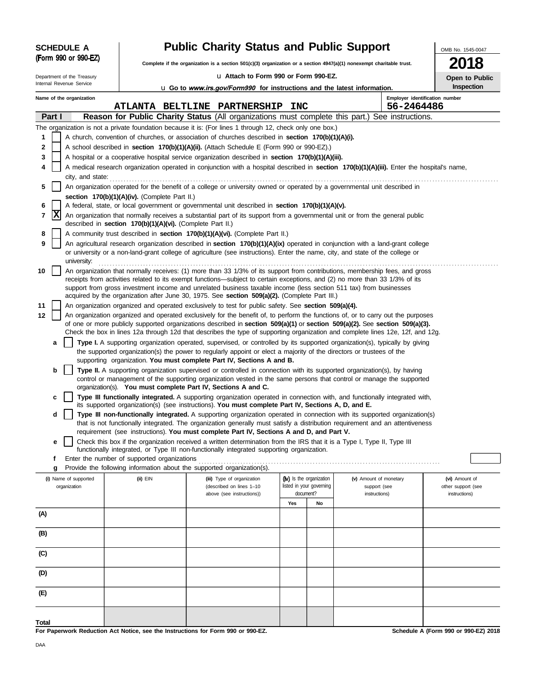|                                                                                                                                              | <b>SCHEDULE A</b>                                                                                                                                       |                                                            | <b>Public Charity Status and Public Support</b>                                                                                                                                                                                                                                                                                                                                                                                                                                  |                                       |                               |                                      |  |  |  |  |
|----------------------------------------------------------------------------------------------------------------------------------------------|---------------------------------------------------------------------------------------------------------------------------------------------------------|------------------------------------------------------------|----------------------------------------------------------------------------------------------------------------------------------------------------------------------------------------------------------------------------------------------------------------------------------------------------------------------------------------------------------------------------------------------------------------------------------------------------------------------------------|---------------------------------------|-------------------------------|--------------------------------------|--|--|--|--|
| (Form 990 or 990-EZ)<br>Complete if the organization is a section 501(c)(3) organization or a section 4947(a)(1) nonexempt charitable trust. |                                                                                                                                                         |                                                            |                                                                                                                                                                                                                                                                                                                                                                                                                                                                                  |                                       |                               |                                      |  |  |  |  |
|                                                                                                                                              | 018<br>La Attach to Form 990 or Form 990-EZ.<br>Department of the Treasury                                                                              |                                                            |                                                                                                                                                                                                                                                                                                                                                                                                                                                                                  |                                       |                               |                                      |  |  |  |  |
|                                                                                                                                              | Internal Revenue Service                                                                                                                                |                                                            | <b>u</b> Go to <i>www.irs.gov/Form990</i> for instructions and the latest information.                                                                                                                                                                                                                                                                                                                                                                                           |                                       |                               | Open to Public<br>Inspection         |  |  |  |  |
| Name of the organization                                                                                                                     | Employer identification number<br>56-2464486                                                                                                            |                                                            |                                                                                                                                                                                                                                                                                                                                                                                                                                                                                  |                                       |                               |                                      |  |  |  |  |
|                                                                                                                                              | ATLANTA BELTLINE PARTNERSHIP<br><b>INC</b><br>Part I<br>Reason for Public Charity Status (All organizations must complete this part.) See instructions. |                                                            |                                                                                                                                                                                                                                                                                                                                                                                                                                                                                  |                                       |                               |                                      |  |  |  |  |
|                                                                                                                                              |                                                                                                                                                         |                                                            | The organization is not a private foundation because it is: (For lines 1 through 12, check only one box.)                                                                                                                                                                                                                                                                                                                                                                        |                                       |                               |                                      |  |  |  |  |
| 1                                                                                                                                            |                                                                                                                                                         |                                                            | A church, convention of churches, or association of churches described in section 170(b)(1)(A)(i).                                                                                                                                                                                                                                                                                                                                                                               |                                       |                               |                                      |  |  |  |  |
| 2                                                                                                                                            |                                                                                                                                                         |                                                            | A school described in section 170(b)(1)(A)(ii). (Attach Schedule E (Form 990 or 990-EZ).)                                                                                                                                                                                                                                                                                                                                                                                        |                                       |                               |                                      |  |  |  |  |
| 3                                                                                                                                            |                                                                                                                                                         |                                                            | A hospital or a cooperative hospital service organization described in section 170(b)(1)(A)(iii).                                                                                                                                                                                                                                                                                                                                                                                |                                       |                               |                                      |  |  |  |  |
|                                                                                                                                              |                                                                                                                                                         |                                                            | A medical research organization operated in conjunction with a hospital described in section 170(b)(1)(A)(iii). Enter the hospital's name,                                                                                                                                                                                                                                                                                                                                       |                                       |                               |                                      |  |  |  |  |
|                                                                                                                                              | city, and state:                                                                                                                                        |                                                            |                                                                                                                                                                                                                                                                                                                                                                                                                                                                                  |                                       |                               |                                      |  |  |  |  |
| 5                                                                                                                                            |                                                                                                                                                         |                                                            | An organization operated for the benefit of a college or university owned or operated by a governmental unit described in                                                                                                                                                                                                                                                                                                                                                        |                                       |                               |                                      |  |  |  |  |
| 6                                                                                                                                            |                                                                                                                                                         | section 170(b)(1)(A)(iv). (Complete Part II.)              | A federal, state, or local government or governmental unit described in section 170(b)(1)(A)(v).                                                                                                                                                                                                                                                                                                                                                                                 |                                       |                               |                                      |  |  |  |  |
| X<br>7                                                                                                                                       |                                                                                                                                                         | described in section 170(b)(1)(A)(vi). (Complete Part II.) | An organization that normally receives a substantial part of its support from a governmental unit or from the general public                                                                                                                                                                                                                                                                                                                                                     |                                       |                               |                                      |  |  |  |  |
| 8                                                                                                                                            |                                                                                                                                                         |                                                            | A community trust described in section 170(b)(1)(A)(vi). (Complete Part II.)                                                                                                                                                                                                                                                                                                                                                                                                     |                                       |                               |                                      |  |  |  |  |
| 9                                                                                                                                            | university:                                                                                                                                             |                                                            | An agricultural research organization described in section 170(b)(1)(A)(ix) operated in conjunction with a land-grant college<br>or university or a non-land-grant college of agriculture (see instructions). Enter the name, city, and state of the college or                                                                                                                                                                                                                  |                                       |                               |                                      |  |  |  |  |
| 10                                                                                                                                           |                                                                                                                                                         |                                                            | An organization that normally receives: (1) more than 33 1/3% of its support from contributions, membership fees, and gross<br>receipts from activities related to its exempt functions—subject to certain exceptions, and (2) no more than 33 1/3% of its<br>support from gross investment income and unrelated business taxable income (less section 511 tax) from businesses<br>acquired by the organization after June 30, 1975. See section 509(a)(2). (Complete Part III.) |                                       |                               |                                      |  |  |  |  |
| 11                                                                                                                                           |                                                                                                                                                         |                                                            | An organization organized and operated exclusively to test for public safety. See section 509(a)(4).                                                                                                                                                                                                                                                                                                                                                                             |                                       |                               |                                      |  |  |  |  |
| 12                                                                                                                                           |                                                                                                                                                         |                                                            | An organization organized and operated exclusively for the benefit of, to perform the functions of, or to carry out the purposes                                                                                                                                                                                                                                                                                                                                                 |                                       |                               |                                      |  |  |  |  |
|                                                                                                                                              |                                                                                                                                                         |                                                            | of one or more publicly supported organizations described in section 509(a)(1) or section 509(a)(2). See section 509(a)(3).<br>Check the box in lines 12a through 12d that describes the type of supporting organization and complete lines 12e, 12f, and 12g.                                                                                                                                                                                                                   |                                       |                               |                                      |  |  |  |  |
| а                                                                                                                                            |                                                                                                                                                         |                                                            | Type I. A supporting organization operated, supervised, or controlled by its supported organization(s), typically by giving<br>the supported organization(s) the power to regularly appoint or elect a majority of the directors or trustees of the                                                                                                                                                                                                                              |                                       |                               |                                      |  |  |  |  |
|                                                                                                                                              |                                                                                                                                                         |                                                            | supporting organization. You must complete Part IV, Sections A and B.                                                                                                                                                                                                                                                                                                                                                                                                            |                                       |                               |                                      |  |  |  |  |
| b                                                                                                                                            |                                                                                                                                                         |                                                            | Type II. A supporting organization supervised or controlled in connection with its supported organization(s), by having<br>control or management of the supporting organization vested in the same persons that control or manage the supported<br>organization(s). You must complete Part IV, Sections A and C.                                                                                                                                                                 |                                       |                               |                                      |  |  |  |  |
| c                                                                                                                                            |                                                                                                                                                         |                                                            | Type III functionally integrated. A supporting organization operated in connection with, and functionally integrated with,<br>its supported organization(s) (see instructions). You must complete Part IV, Sections A, D, and E.                                                                                                                                                                                                                                                 |                                       |                               |                                      |  |  |  |  |
| d                                                                                                                                            |                                                                                                                                                         |                                                            | Type III non-functionally integrated. A supporting organization operated in connection with its supported organization(s)                                                                                                                                                                                                                                                                                                                                                        |                                       |                               |                                      |  |  |  |  |
|                                                                                                                                              |                                                                                                                                                         |                                                            | that is not functionally integrated. The organization generally must satisfy a distribution requirement and an attentiveness                                                                                                                                                                                                                                                                                                                                                     |                                       |                               |                                      |  |  |  |  |
|                                                                                                                                              |                                                                                                                                                         |                                                            | requirement (see instructions). You must complete Part IV, Sections A and D, and Part V.                                                                                                                                                                                                                                                                                                                                                                                         |                                       |                               |                                      |  |  |  |  |
| е                                                                                                                                            |                                                                                                                                                         |                                                            | Check this box if the organization received a written determination from the IRS that it is a Type I, Type II, Type III<br>functionally integrated, or Type III non-functionally integrated supporting organization.                                                                                                                                                                                                                                                             |                                       |                               |                                      |  |  |  |  |
| f                                                                                                                                            |                                                                                                                                                         | Enter the number of supported organizations                |                                                                                                                                                                                                                                                                                                                                                                                                                                                                                  |                                       |                               |                                      |  |  |  |  |
| g                                                                                                                                            |                                                                                                                                                         |                                                            | Provide the following information about the supported organization(s).                                                                                                                                                                                                                                                                                                                                                                                                           |                                       |                               |                                      |  |  |  |  |
|                                                                                                                                              | (i) Name of supported                                                                                                                                   | $(ii)$ $EIN$                                               | (iii) Type of organization                                                                                                                                                                                                                                                                                                                                                                                                                                                       | (iv) Is the organization              | (v) Amount of monetary        | (vi) Amount of                       |  |  |  |  |
|                                                                                                                                              | organization                                                                                                                                            |                                                            | (described on lines 1-10<br>above (see instructions))                                                                                                                                                                                                                                                                                                                                                                                                                            | listed in your governing<br>document? | support (see<br>instructions) | other support (see<br>instructions)  |  |  |  |  |
|                                                                                                                                              |                                                                                                                                                         |                                                            |                                                                                                                                                                                                                                                                                                                                                                                                                                                                                  | Yes<br>No                             |                               |                                      |  |  |  |  |
| (A)                                                                                                                                          |                                                                                                                                                         |                                                            |                                                                                                                                                                                                                                                                                                                                                                                                                                                                                  |                                       |                               |                                      |  |  |  |  |
| (B)                                                                                                                                          |                                                                                                                                                         |                                                            |                                                                                                                                                                                                                                                                                                                                                                                                                                                                                  |                                       |                               |                                      |  |  |  |  |
| (C)                                                                                                                                          |                                                                                                                                                         |                                                            |                                                                                                                                                                                                                                                                                                                                                                                                                                                                                  |                                       |                               |                                      |  |  |  |  |
| (D)                                                                                                                                          |                                                                                                                                                         |                                                            |                                                                                                                                                                                                                                                                                                                                                                                                                                                                                  |                                       |                               |                                      |  |  |  |  |
| (E)                                                                                                                                          |                                                                                                                                                         |                                                            |                                                                                                                                                                                                                                                                                                                                                                                                                                                                                  |                                       |                               |                                      |  |  |  |  |
|                                                                                                                                              |                                                                                                                                                         |                                                            |                                                                                                                                                                                                                                                                                                                                                                                                                                                                                  |                                       |                               |                                      |  |  |  |  |
| Total                                                                                                                                        |                                                                                                                                                         |                                                            |                                                                                                                                                                                                                                                                                                                                                                                                                                                                                  |                                       |                               |                                      |  |  |  |  |
|                                                                                                                                              |                                                                                                                                                         |                                                            | For Paperwork Reduction Act Notice, see the Instructions for Form 990 or 990-EZ.                                                                                                                                                                                                                                                                                                                                                                                                 |                                       |                               | Schedule A (Form 990 or 990-EZ) 2018 |  |  |  |  |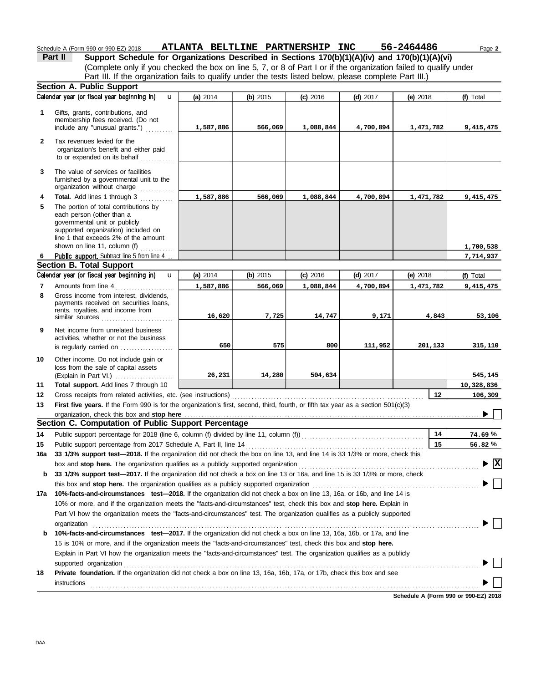# Schedule A (Form 990 or 990-EZ) 2018 **ATLANTA BELTLINE PARTNERSHIP INC** 56-2464486 Page 2

(Complete only if you checked the box on line 5, 7, or 8 of Part I or if the organization failed to qualify under Part II Support Schedule for Organizations Described in Sections 170(b)(1)(A)(iv) and 170(b)(1)(A)(vi) Part III. If the organization fails to qualify under the tests listed below, please complete Part III.)

|     | <b>Section A. Public Support</b>                                                                                                                                                                                                            |           |            |            |            |            |                                               |
|-----|---------------------------------------------------------------------------------------------------------------------------------------------------------------------------------------------------------------------------------------------|-----------|------------|------------|------------|------------|-----------------------------------------------|
|     | Calendar year (or fiscal year beginning in)<br>$\mathbf{u}$                                                                                                                                                                                 | (a) 2014  | (b) 2015   | $(c)$ 2016 | (d) $2017$ | (e) $2018$ | (f) Total                                     |
| 1   | Gifts, grants, contributions, and<br>membership fees received. (Do not<br>include any "unusual grants.")                                                                                                                                    | 1,587,886 | 566,069    | 1,088,844  | 4,700,894  | 1,471,782  | 9,415,475                                     |
| 2   | Tax revenues levied for the<br>organization's benefit and either paid<br>to or expended on its behalf                                                                                                                                       |           |            |            |            |            |                                               |
| 3   | The value of services or facilities<br>furnished by a governmental unit to the<br>organization without charge                                                                                                                               |           |            |            |            |            |                                               |
| 4   | Total. Add lines 1 through 3                                                                                                                                                                                                                | 1,587,886 | 566,069    | 1,088,844  | 4,700,894  | 1,471,782  | 9,415,475                                     |
| 5   | The portion of total contributions by<br>each person (other than a<br>governmental unit or publicly<br>supported organization) included on<br>line 1 that exceeds 2% of the amount<br>shown on line 11, column (f)                          |           |            |            |            |            |                                               |
|     | Public support. Subtract line 5 from line 4                                                                                                                                                                                                 |           |            |            |            |            | 1,700,538                                     |
| 6   | <b>Section B. Total Support</b>                                                                                                                                                                                                             |           |            |            |            |            | 7,714,937                                     |
|     | Calendar year (or fiscal year beginning in)<br>$\mathbf{u}$                                                                                                                                                                                 | (a) 2014  | (b) $2015$ | $(c)$ 2016 | $(d)$ 2017 | (e) 2018   | (f) Total                                     |
| 7   | Amounts from line 4                                                                                                                                                                                                                         | 1,587,886 | 566,069    | 1,088,844  | 4,700,894  | 1,471,782  | 9,415,475                                     |
| 8   | Gross income from interest, dividends,<br>payments received on securities loans,<br>rents, royalties, and income from<br>similar sources                                                                                                    | 16,620    | 7,725      | 14,747     | 9,171      | 4,843      | 53,106                                        |
| 9   | Net income from unrelated business<br>activities, whether or not the business<br>is regularly carried on                                                                                                                                    | 650       | 575        | 800        | 111,952    | 201,133    | 315,110                                       |
| 10  | Other income. Do not include gain or<br>loss from the sale of capital assets<br>(Explain in Part VI.)                                                                                                                                       | 26,231    | 14,280     | 504,634    |            |            | 545,145                                       |
| 11  | Total support. Add lines 7 through 10                                                                                                                                                                                                       |           |            |            |            |            | 10,328,836                                    |
| 12  | Gross receipts from related activities, etc. (see instructions)                                                                                                                                                                             |           |            |            |            | 12         | 106,309                                       |
| 13  | First five years. If the Form 990 is for the organization's first, second, third, fourth, or fifth tax year as a section 501(c)(3)                                                                                                          |           |            |            |            |            |                                               |
|     | organization, check this box and stop here                                                                                                                                                                                                  |           |            |            |            |            |                                               |
|     | Section C. Computation of Public Support Percentage                                                                                                                                                                                         |           |            |            |            |            |                                               |
| 14  | Public support percentage for 2018 (line 6, column (f) divided by line 11, column (f)) [[[[[[[[[[[[[[[[[[[[[[                                                                                                                               |           |            |            |            | 14         | 74.69%                                        |
| 15  | Public support percentage from 2017 Schedule A, Part II, line 14 <b>Conserverse in the Conserverse Conserverse in 33 1/3%</b> support test-2018. If the organization did not check the box on line 13, and line 14 is 33 1/3% or mo         |           |            |            |            | 15         | 56.82%                                        |
| 16a |                                                                                                                                                                                                                                             |           |            |            |            |            |                                               |
|     | box and stop here. The organization qualifies as a publicly supported organization                                                                                                                                                          |           |            |            |            |            | $\blacktriangleright$ $\overline{\mathtt{x}}$ |
| b   | 33 1/3% support test-2017. If the organization did not check a box on line 13 or 16a, and line 15 is 33 1/3% or more, check                                                                                                                 |           |            |            |            |            |                                               |
|     |                                                                                                                                                                                                                                             |           |            |            |            |            |                                               |
| 17a | 10%-facts-and-circumstances test-2018. If the organization did not check a box on line 13, 16a, or 16b, and line 14 is                                                                                                                      |           |            |            |            |            |                                               |
|     | 10% or more, and if the organization meets the "facts-and-circumstances" test, check this box and stop here. Explain in                                                                                                                     |           |            |            |            |            |                                               |
|     | Part VI how the organization meets the "facts-and-circumstances" test. The organization qualifies as a publicly supported<br>organization                                                                                                   |           |            |            |            |            |                                               |
| b   | 10%-facts-and-circumstances test-2017. If the organization did not check a box on line 13, 16a, 16b, or 17a, and line<br>15 is 10% or more, and if the organization meets the "facts-and-circumstances" test, check this box and stop here. |           |            |            |            |            |                                               |
|     | Explain in Part VI how the organization meets the "facts-and-circumstances" test. The organization qualifies as a publicly                                                                                                                  |           |            |            |            |            |                                               |
|     | supported organization                                                                                                                                                                                                                      |           |            |            |            |            |                                               |
| 18  | Private foundation. If the organization did not check a box on line 13, 16a, 16b, 17a, or 17b, check this box and see<br>instructions                                                                                                       |           |            |            |            |            |                                               |

**Schedule A (Form 990 or 990-EZ) 2018**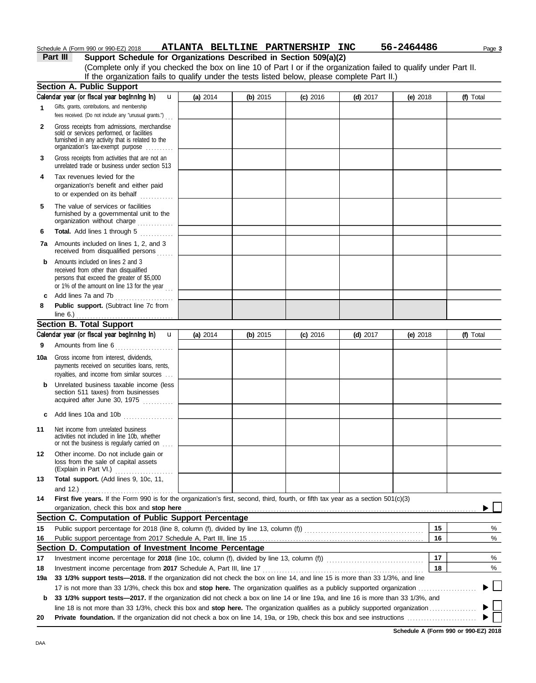# Schedule A (Form 990 or 990-EZ) 2018 Page **3 ATLANTA BELTLINE PARTNERSHIP INC 56-2464486**

|     | Part III<br>Support Schedule for Organizations Described in Section 509(a)(2)                                                                                                     |            |            |            |            |            |    |           |
|-----|-----------------------------------------------------------------------------------------------------------------------------------------------------------------------------------|------------|------------|------------|------------|------------|----|-----------|
|     | (Complete only if you checked the box on line 10 of Part I or if the organization failed to qualify under Part II.                                                                |            |            |            |            |            |    |           |
|     | If the organization fails to qualify under the tests listed below, please complete Part II.)                                                                                      |            |            |            |            |            |    |           |
|     | <b>Section A. Public Support</b>                                                                                                                                                  |            |            |            |            |            |    |           |
|     | Calendar year (or fiscal year beginning in)<br>$\mathbf{u}$                                                                                                                       | (a) $2014$ | (b) 2015   | $(c)$ 2016 | $(d)$ 2017 | $(e)$ 2018 |    | (f) Total |
| 1   | Gifts, grants, contributions, and membership<br>fees received. (Do not include any "unusual grants.")                                                                             |            |            |            |            |            |    |           |
| 2   | Gross receipts from admissions, merchandise<br>sold or services performed, or facilities<br>furnished in any activity that is related to the<br>organization's tax-exempt purpose |            |            |            |            |            |    |           |
| 3   | Gross receipts from activities that are not an<br>unrelated trade or business under section 513                                                                                   |            |            |            |            |            |    |           |
| 4   | Tax revenues levied for the<br>organization's benefit and either paid<br>to or expended on its behalf<br>. <b>.</b> .                                                             |            |            |            |            |            |    |           |
| 5   | The value of services or facilities<br>furnished by a governmental unit to the<br>organization without charge                                                                     |            |            |            |            |            |    |           |
| 6   | Total. Add lines 1 through 5<br>.                                                                                                                                                 |            |            |            |            |            |    |           |
| 7а  | Amounts included on lines 1, 2, and 3<br>received from disqualified persons<br>.                                                                                                  |            |            |            |            |            |    |           |
| b   | Amounts included on lines 2 and 3<br>received from other than disqualified<br>persons that exceed the greater of \$5,000<br>or 1% of the amount on line 13 for the year           |            |            |            |            |            |    |           |
| c   | Add lines 7a and 7b                                                                                                                                                               |            |            |            |            |            |    |           |
| 8   | Public support. (Subtract line 7c from<br>line $6.$ )                                                                                                                             |            |            |            |            |            |    |           |
|     | <b>Section B. Total Support</b>                                                                                                                                                   |            |            |            |            |            |    |           |
|     | Calendar year (or fiscal year beginning in)<br>$\mathbf{u}$                                                                                                                       | (a) 2014   | (b) $2015$ | $(c)$ 2016 | $(d)$ 2017 | (e) $2018$ |    | (f) Total |
| 9   | Amounts from line 6                                                                                                                                                               |            |            |            |            |            |    |           |
| 10a | Gross income from interest, dividends,<br>payments received on securities loans, rents,<br>royalties, and income from similar sources                                             |            |            |            |            |            |    |           |
| b   | Unrelated business taxable income (less<br>section 511 taxes) from businesses<br>acquired after June 30, 1975                                                                     |            |            |            |            |            |    |           |
|     | Add lines 10a and 10b                                                                                                                                                             |            |            |            |            |            |    |           |
| 11  | Net income from unrelated business<br>activities not included in line 10b, whether<br>or not the business is regularly carried on                                                 |            |            |            |            |            |    |           |
| 12  | Other income. Do not include gain or<br>loss from the sale of capital assets<br>(Explain in Part VI.)                                                                             |            |            |            |            |            |    |           |
| 13  | Total support. (Add lines 9, 10c, 11,                                                                                                                                             |            |            |            |            |            |    |           |
|     | and 12.)                                                                                                                                                                          |            |            |            |            |            |    |           |
| 14  | First five years. If the Form 990 is for the organization's first, second, third, fourth, or fifth tax year as a section 501(c)(3)<br>organization, check this box and stop here  |            |            |            |            |            |    |           |
|     | Section C. Computation of Public Support Percentage                                                                                                                               |            |            |            |            |            |    |           |
| 15  |                                                                                                                                                                                   |            |            |            |            |            | 15 | %         |
| 16  |                                                                                                                                                                                   |            |            |            |            | 16         |    | $\%$      |
|     | Section D. Computation of Investment Income Percentage                                                                                                                            |            |            |            |            |            |    |           |
| 17  |                                                                                                                                                                                   |            |            |            |            | 17         |    | %         |
| 18  | Investment income percentage from 2017 Schedule A, Part III, line 17                                                                                                              |            |            |            |            |            | 18 | %         |
| 19a | 33 1/3% support tests-2018. If the organization did not check the box on line 14, and line 15 is more than 33 1/3%, and line                                                      |            |            |            |            |            |    |           |
|     |                                                                                                                                                                                   |            |            |            |            |            |    |           |
| b   | 33 1/3% support tests-2017. If the organization did not check a box on line 14 or line 19a, and line 16 is more than 33 1/3%, and                                                 |            |            |            |            |            |    |           |
|     | line 18 is not more than 33 1/3%, check this box and stop here. The organization qualifies as a publicly supported organization                                                   |            |            |            |            |            |    |           |
| 20  |                                                                                                                                                                                   |            |            |            |            |            |    |           |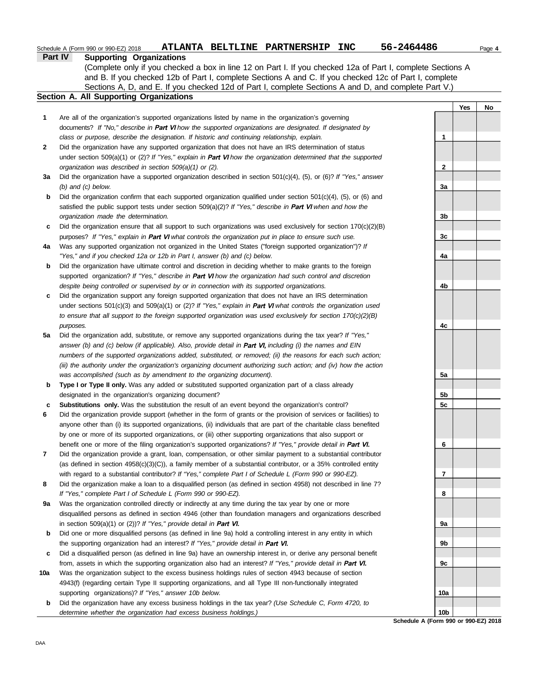|              | Part IV<br><b>Supporting Organizations</b>                                                                             |              |     |
|--------------|------------------------------------------------------------------------------------------------------------------------|--------------|-----|
|              | (Complete only if you checked a box in line 12 on Part I. If you checked 12a of Part I, complete Sections A            |              |     |
|              | and B. If you checked 12b of Part I, complete Sections A and C. If you checked 12c of Part I, complete                 |              |     |
|              | Sections A, D, and E. If you checked 12d of Part I, complete Sections A and D, and complete Part V.)                   |              |     |
|              | Section A. All Supporting Organizations                                                                                |              |     |
|              |                                                                                                                        |              | Yes |
| 1            | Are all of the organization's supported organizations listed by name in the organization's governing                   |              |     |
|              | documents? If "No," describe in Part VI how the supported organizations are designated. If designated by               |              |     |
|              | class or purpose, describe the designation. If historic and continuing relationship, explain.                          |              |     |
| $\mathbf{2}$ | Did the organization have any supported organization that does not have an IRS determination of status                 |              |     |
|              | under section 509(a)(1) or (2)? If "Yes," explain in <b>Part VI</b> how the organization determined that the supported |              |     |
|              | organization was described in section 509(a)(1) or (2).                                                                | $\mathbf{2}$ |     |
| За           | Did the organization have a supported organization described in section $501(c)(4)$ , (5), or (6)? If "Yes," answer    |              |     |
|              | $(b)$ and $(c)$ below.                                                                                                 | 3a           |     |
| b            | Did the organization confirm that each supported organization qualified under section 501(c)(4), (5), or (6) and       |              |     |

Schedule A (Form 990 or 990-EZ) 2018 **ATLANTA BELTLINE PARTNERSHIP INC** 56-2464486 Page 4

- **b** Did the organization confirm that each supported organization qualified under section 501(c)(4), (5), or (6) and satisfied the public support tests under section 509(a)(2)? *If "Yes," describe in Part VI when and how the organization made the determination.*
- **c** Did the organization ensure that all support to such organizations was used exclusively for section 170(c)(2)(B) purposes? If "Yes," explain in Part VI what controls the organization put in place to ensure such use.
- **4a** Was any supported organization not organized in the United States ("foreign supported organization")? *If "Yes," and if you checked 12a or 12b in Part I, answer (b) and (c) below.*
- **b** Did the organization have ultimate control and discretion in deciding whether to make grants to the foreign supported organization? *If "Yes," describe in Part VI how the organization had such control and discretion despite being controlled or supervised by or in connection with its supported organizations.*
- **c** Did the organization support any foreign supported organization that does not have an IRS determination under sections 501(c)(3) and 509(a)(1) or (2)? *If "Yes," explain in Part VI what controls the organization used to ensure that all support to the foreign supported organization was used exclusively for section 170(c)(2)(B) purposes.*
- **5a** Did the organization add, substitute, or remove any supported organizations during the tax year? *If "Yes,"* answer (b) and (c) below (if applicable). Also, provide detail in **Part VI**, including (i) the names and EIN *numbers of the supported organizations added, substituted, or removed; (ii) the reasons for each such action; (iii) the authority under the organization's organizing document authorizing such action; and (iv) how the action was accomplished (such as by amendment to the organizing document).*
- **b** Type I or Type II only. Was any added or substituted supported organization part of a class already designated in the organization's organizing document?
- **c Substitutions only.** Was the substitution the result of an event beyond the organization's control?
- **6** Did the organization provide support (whether in the form of grants or the provision of services or facilities) to anyone other than (i) its supported organizations, (ii) individuals that are part of the charitable class benefited by one or more of its supported organizations, or (iii) other supporting organizations that also support or benefit one or more of the filing organization's supported organizations? *If "Yes," provide detail in Part VI.*
- **7** Did the organization provide a grant, loan, compensation, or other similar payment to a substantial contributor (as defined in section 4958(c)(3)(C)), a family member of a substantial contributor, or a 35% controlled entity with regard to a substantial contributor? *If "Yes," complete Part I of Schedule L (Form 990 or 990-EZ).*
- **8** Did the organization make a loan to a disqualified person (as defined in section 4958) not described in line 7? *If "Yes," complete Part I of Schedule L (Form 990 or 990-EZ).*
- **9a** Was the organization controlled directly or indirectly at any time during the tax year by one or more disqualified persons as defined in section 4946 (other than foundation managers and organizations described in section 509(a)(1) or (2))? *If "Yes," provide detail in Part VI.*
- **b** Did one or more disqualified persons (as defined in line 9a) hold a controlling interest in any entity in which the supporting organization had an interest? If "Yes," provide detail in Part VI.
- **c** Did a disqualified person (as defined in line 9a) have an ownership interest in, or derive any personal benefit from, assets in which the supporting organization also had an interest? If "Yes," provide detail in Part VI.
- **10a** Was the organization subject to the excess business holdings rules of section 4943 because of section 4943(f) (regarding certain Type II supporting organizations, and all Type III non-functionally integrated supporting organizations)? *If "Yes," answer 10b below.*
	- **b** Did the organization have any excess business holdings in the tax year? *(Use Schedule C, Form 4720, to determine whether the organization had excess business holdings.)*

**Yes No**

**Schedule A (Form 990 or 990-EZ) 2018**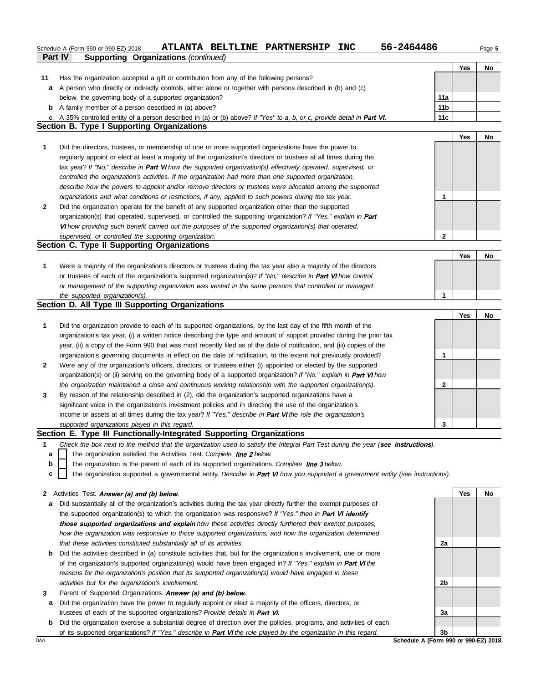|         | 56-2464486<br>ATLANTA BELTLINE PARTNERSHIP INC<br>Schedule A (Form 990 or 990-EZ) 2018                                                                                                                                     |                 |     | Page 5 |
|---------|----------------------------------------------------------------------------------------------------------------------------------------------------------------------------------------------------------------------------|-----------------|-----|--------|
| Part IV | Supporting Organizations (continued)                                                                                                                                                                                       |                 |     |        |
|         |                                                                                                                                                                                                                            |                 | Yes | No     |
| 11      | Has the organization accepted a gift or contribution from any of the following persons?                                                                                                                                    |                 |     |        |
| a       | A person who directly or indirectly controls, either alone or together with persons described in (b) and (c)                                                                                                               |                 |     |        |
|         | below, the governing body of a supported organization?                                                                                                                                                                     | 11a             |     |        |
|         | <b>b</b> A family member of a person described in (a) above?                                                                                                                                                               | 11 <sub>b</sub> |     |        |
|         | c A 35% controlled entity of a person described in (a) or (b) above? If "Yes" to a, b, or c, provide detail in Part VI.<br><b>Section B. Type I Supporting Organizations</b>                                               | 11c             |     |        |
|         |                                                                                                                                                                                                                            |                 | Yes | No     |
| 1       | Did the directors, trustees, or membership of one or more supported organizations have the power to                                                                                                                        |                 |     |        |
|         | regularly appoint or elect at least a majority of the organization's directors or trustees at all times during the                                                                                                         |                 |     |        |
|         | tax year? If "No," describe in Part VI how the supported organization(s) effectively operated, supervised, or                                                                                                              |                 |     |        |
|         | controlled the organization's activities. If the organization had more than one supported organization,                                                                                                                    |                 |     |        |
|         | describe how the powers to appoint and/or remove directors or trustees were allocated among the supported                                                                                                                  |                 |     |        |
|         | organizations and what conditions or restrictions, if any, applied to such powers during the tax year.                                                                                                                     | 1               |     |        |
| 2       | Did the organization operate for the benefit of any supported organization other than the supported                                                                                                                        |                 |     |        |
|         | organization(s) that operated, supervised, or controlled the supporting organization? If "Yes," explain in Part                                                                                                            |                 |     |        |
|         | VI how providing such benefit carried out the purposes of the supported organization(s) that operated,                                                                                                                     |                 |     |        |
|         | supervised, or controlled the supporting organization.                                                                                                                                                                     | 2               |     |        |
|         | Section C. Type II Supporting Organizations                                                                                                                                                                                |                 |     |        |
|         |                                                                                                                                                                                                                            |                 | Yes | No     |
| 1       | Were a majority of the organization's directors or trustees during the tax year also a majority of the directors                                                                                                           |                 |     |        |
|         | or trustees of each of the organization's supported organization(s)? If "No," describe in Part VI how control                                                                                                              |                 |     |        |
|         | or management of the supporting organization was vested in the same persons that controlled or managed                                                                                                                     |                 |     |        |
|         | the supported organization(s).                                                                                                                                                                                             | 1               |     |        |
|         | Section D. All Type III Supporting Organizations                                                                                                                                                                           |                 |     |        |
|         |                                                                                                                                                                                                                            |                 | Yes | No     |
| 1       | Did the organization provide to each of its supported organizations, by the last day of the fifth month of the                                                                                                             |                 |     |        |
|         | organization's tax year, (i) a written notice describing the type and amount of support provided during the prior tax                                                                                                      |                 |     |        |
|         | year, (ii) a copy of the Form 990 that was most recently filed as of the date of notification, and (iii) copies of the                                                                                                     |                 |     |        |
|         | organization's governing documents in effect on the date of notification, to the extent not previously provided?                                                                                                           | 1               |     |        |
| 2       | Were any of the organization's officers, directors, or trustees either (i) appointed or elected by the supported                                                                                                           |                 |     |        |
|         | organization(s) or (ii) serving on the governing body of a supported organization? If "No," explain in Part VI how                                                                                                         |                 |     |        |
|         | the organization maintained a close and continuous working relationship with the supported organization(s).                                                                                                                | 2               |     |        |
| 3       | By reason of the relationship described in (2), did the organization's supported organizations have a                                                                                                                      |                 |     |        |
|         | significant voice in the organization's investment policies and in directing the use of the organization's<br>income or assets at all times during the tax year? If "Yes," describe in Part VI the role the organization's |                 |     |        |
|         | supported organizations played in this regard.                                                                                                                                                                             | 3               |     |        |
|         | Section E. Type III Functionally-Integrated Supporting Organizations                                                                                                                                                       |                 |     |        |
| 1       | Check the box next to the method that the organization used to satisfy the Integral Part Test during the year (see instructions).                                                                                          |                 |     |        |
| a       | The organization satisfied the Activities Test. Complete line 2 below.                                                                                                                                                     |                 |     |        |
| b       | The organization is the parent of each of its supported organizations. Complete line 3 below.                                                                                                                              |                 |     |        |
| C       | The organization supported a governmental entity. Describe in Part VI how you supported a government entity (see instructions).                                                                                            |                 |     |        |
|         |                                                                                                                                                                                                                            |                 |     |        |
| 2       | Activities Test. Answer (a) and (b) below.                                                                                                                                                                                 |                 | Yes | No     |
| а       | Did substantially all of the organization's activities during the tax year directly further the exempt purposes of                                                                                                         |                 |     |        |
|         | the supported organization(s) to which the organization was responsive? If "Yes," then in Part VI identify                                                                                                                 |                 |     |        |
|         | those supported organizations and explain how these activities directly furthered their exempt purposes,                                                                                                                   |                 |     |        |
|         | how the organization was responsive to those supported organizations, and how the organization determined                                                                                                                  |                 |     |        |
|         | that these activities constituted substantially all of its activities.                                                                                                                                                     | 2a              |     |        |
| b       | Did the activities described in (a) constitute activities that, but for the organization's involvement, one or more                                                                                                        |                 |     |        |
|         | of the organization's supported organization(s) would have been engaged in? If "Yes," explain in Part VI the                                                                                                               |                 |     |        |
|         | reasons for the organization's position that its supported organization(s) would have engaged in these                                                                                                                     |                 |     |        |
|         | activities but for the organization's involvement.                                                                                                                                                                         | 2b              |     |        |
| 3       | Parent of Supported Organizations. Answer (a) and (b) below.                                                                                                                                                               |                 |     |        |
| a       | Did the organization have the power to regularly appoint or elect a majority of the officers, directors, or                                                                                                                |                 |     |        |
|         | trustees of each of the supported organizations? Provide details in Part VI.                                                                                                                                               | За              |     |        |

trustees of each of the supported organizations? *Provide details in* 

DAA **Schedule A (Form 990 or 990-EZ) 2018 b** Did the organization exercise a substantial degree of direction over the policies, programs, and activities of each of its supported organizations? If "Yes," describe in Part VI the role played by the organization in this regard.

**3b**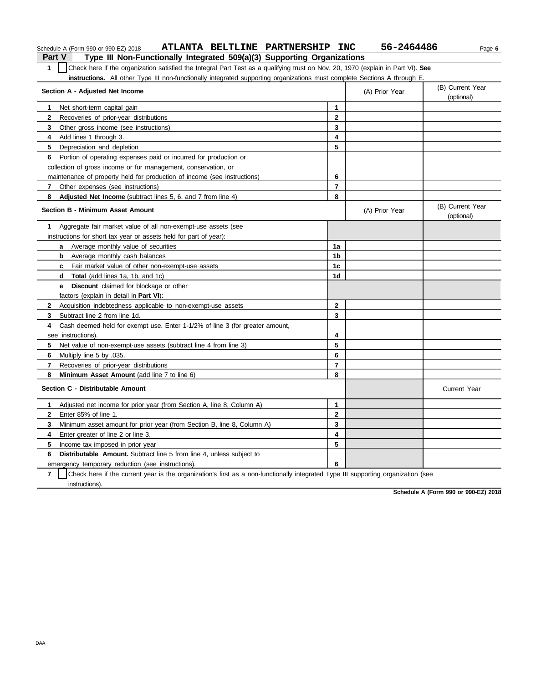| Part V<br>Type III Non-Functionally Integrated 509(a)(3) Supporting Organizations                                                                |                |                |                  |  |  |  |  |  |  |
|--------------------------------------------------------------------------------------------------------------------------------------------------|----------------|----------------|------------------|--|--|--|--|--|--|
| $\mathbf{1}$<br>Check here if the organization satisfied the Integral Part Test as a qualifying trust on Nov. 20, 1970 (explain in Part VI). See |                |                |                  |  |  |  |  |  |  |
| instructions. All other Type III non-functionally integrated supporting organizations must complete Sections A through E                         |                |                |                  |  |  |  |  |  |  |
| (B) Current Year<br>Section A - Adjusted Net Income<br>(A) Prior Year                                                                            |                |                |                  |  |  |  |  |  |  |
|                                                                                                                                                  |                | (optional)     |                  |  |  |  |  |  |  |
| Net short-term capital gain<br>1                                                                                                                 | 1              |                |                  |  |  |  |  |  |  |
| $\mathbf{2}$<br>Recoveries of prior-year distributions                                                                                           | 2              |                |                  |  |  |  |  |  |  |
| 3<br>Other gross income (see instructions)                                                                                                       | 3              |                |                  |  |  |  |  |  |  |
| 4<br>Add lines 1 through 3.                                                                                                                      | 4              |                |                  |  |  |  |  |  |  |
| 5<br>Depreciation and depletion                                                                                                                  | 5              |                |                  |  |  |  |  |  |  |
| Portion of operating expenses paid or incurred for production or<br>6                                                                            |                |                |                  |  |  |  |  |  |  |
| collection of gross income or for management, conservation, or                                                                                   |                |                |                  |  |  |  |  |  |  |
| maintenance of property held for production of income (see instructions)                                                                         | 6              |                |                  |  |  |  |  |  |  |
| 7 Other expenses (see instructions)                                                                                                              | $\overline{7}$ |                |                  |  |  |  |  |  |  |
| 8<br>Adjusted Net Income (subtract lines 5, 6, and 7 from line 4)                                                                                | 8              |                |                  |  |  |  |  |  |  |
| <b>Section B - Minimum Asset Amount</b>                                                                                                          |                | (A) Prior Year | (B) Current Year |  |  |  |  |  |  |
|                                                                                                                                                  |                |                | (optional)       |  |  |  |  |  |  |
| Aggregate fair market value of all non-exempt-use assets (see<br>1                                                                               |                |                |                  |  |  |  |  |  |  |
| instructions for short tax year or assets held for part of year):                                                                                |                |                |                  |  |  |  |  |  |  |
| Average monthly value of securities<br>a                                                                                                         | 1a             |                |                  |  |  |  |  |  |  |
| <b>b</b> Average monthly cash balances                                                                                                           | 1b             |                |                  |  |  |  |  |  |  |
| Fair market value of other non-exempt-use assets<br>c.                                                                                           | 1 <sub>c</sub> |                |                  |  |  |  |  |  |  |
| <b>Total</b> (add lines 1a, 1b, and 1c)<br>d                                                                                                     | 1 <sub>d</sub> |                |                  |  |  |  |  |  |  |
| <b>Discount</b> claimed for blockage or other<br>е                                                                                               |                |                |                  |  |  |  |  |  |  |
| factors (explain in detail in <b>Part VI)</b> :                                                                                                  |                |                |                  |  |  |  |  |  |  |
| Acquisition indebtedness applicable to non-exempt-use assets<br>$\mathbf{2}$                                                                     | $\mathbf{2}$   |                |                  |  |  |  |  |  |  |
| 3<br>Subtract line 2 from line 1d.                                                                                                               | 3              |                |                  |  |  |  |  |  |  |
| 4<br>Cash deemed held for exempt use. Enter 1-1/2% of line 3 (for greater amount,                                                                |                |                |                  |  |  |  |  |  |  |
| see instructions).                                                                                                                               | 4              |                |                  |  |  |  |  |  |  |
| 5<br>Net value of non-exempt-use assets (subtract line 4 from line 3)                                                                            | 5              |                |                  |  |  |  |  |  |  |
| 6<br>Multiply line 5 by .035.                                                                                                                    | 6              |                |                  |  |  |  |  |  |  |
| 7<br>Recoveries of prior-year distributions                                                                                                      | $\overline{7}$ |                |                  |  |  |  |  |  |  |
| 8<br><b>Minimum Asset Amount</b> (add line 7 to line 6)                                                                                          | 8              |                |                  |  |  |  |  |  |  |
| Section C - Distributable Amount                                                                                                                 |                |                | Current Year     |  |  |  |  |  |  |
| 1<br>Adjusted net income for prior year (from Section A, line 8, Column A)                                                                       | $\mathbf{1}$   |                |                  |  |  |  |  |  |  |
| $\mathbf{2}$<br>Enter 85% of line 1.                                                                                                             | $\mathbf{2}$   |                |                  |  |  |  |  |  |  |
| 3<br>Minimum asset amount for prior year (from Section B, line 8, Column A)                                                                      | 3              |                |                  |  |  |  |  |  |  |
| Enter greater of line 2 or line 3.<br>4                                                                                                          | 4              |                |                  |  |  |  |  |  |  |
| 5<br>Income tax imposed in prior year                                                                                                            | 5              |                |                  |  |  |  |  |  |  |
| 6<br><b>Distributable Amount.</b> Subtract line 5 from line 4, unless subject to                                                                 |                |                |                  |  |  |  |  |  |  |
| emergency temporary reduction (see instructions).                                                                                                | 6              |                |                  |  |  |  |  |  |  |
| 7<br>Check here if the current year is the organization's first as a non-functionally integrated Type III supporting organization (see           |                |                |                  |  |  |  |  |  |  |
| instructions).                                                                                                                                   |                |                |                  |  |  |  |  |  |  |

Schedule A (Form 990 or 990-EZ) 2018 Page **6 ATLANTA BELTLINE PARTNERSHIP INC 56-2464486**

**Schedule A (Form 990 or 990-EZ) 2018**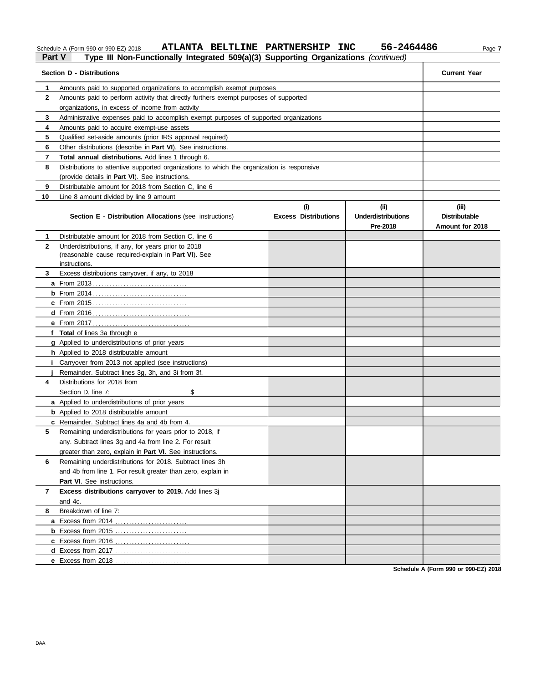**d** Excess from 2017 . . . . . . . . . . . . . . . . . . . . . . . . . . . **e** Excess from 2018 . . . . . . . . . . . . . . . . . . . . . . . . . . .

# Schedule A (Form 990 or 990-EZ) 2018 **ATLANTA BELTLINE PARTNERSHIP INC** 56-2464486 Page 7

# **Part V Type III Non-Functionally Integrated 509(a)(3) Supporting Organizations** *(continued)*

|              | <b>Section D - Distributions</b>                                                           |                                    |                                               |                                                  |  |  |  |  |  |
|--------------|--------------------------------------------------------------------------------------------|------------------------------------|-----------------------------------------------|--------------------------------------------------|--|--|--|--|--|
|              | Amounts paid to supported organizations to accomplish exempt purposes                      |                                    |                                               |                                                  |  |  |  |  |  |
| $\mathbf{2}$ | Amounts paid to perform activity that directly furthers exempt purposes of supported       |                                    |                                               |                                                  |  |  |  |  |  |
|              | organizations, in excess of income from activity                                           |                                    |                                               |                                                  |  |  |  |  |  |
| 3            | Administrative expenses paid to accomplish exempt purposes of supported organizations      |                                    |                                               |                                                  |  |  |  |  |  |
| 4            | Amounts paid to acquire exempt-use assets                                                  |                                    |                                               |                                                  |  |  |  |  |  |
| 5            | Qualified set-aside amounts (prior IRS approval required)                                  |                                    |                                               |                                                  |  |  |  |  |  |
| 6            | Other distributions (describe in Part VI). See instructions.                               |                                    |                                               |                                                  |  |  |  |  |  |
| 7            | Total annual distributions. Add lines 1 through 6.                                         |                                    |                                               |                                                  |  |  |  |  |  |
| 8            | Distributions to attentive supported organizations to which the organization is responsive |                                    |                                               |                                                  |  |  |  |  |  |
|              | (provide details in Part VI). See instructions.                                            |                                    |                                               |                                                  |  |  |  |  |  |
| 9            | Distributable amount for 2018 from Section C, line 6                                       |                                    |                                               |                                                  |  |  |  |  |  |
| 10           | Line 8 amount divided by line 9 amount                                                     |                                    |                                               |                                                  |  |  |  |  |  |
|              | <b>Section E - Distribution Allocations (see instructions)</b>                             | (i)<br><b>Excess Distributions</b> | (ii)<br><b>Underdistributions</b><br>Pre-2018 | (iii)<br><b>Distributable</b><br>Amount for 2018 |  |  |  |  |  |
| $\mathbf{1}$ | Distributable amount for 2018 from Section C. line 6                                       |                                    |                                               |                                                  |  |  |  |  |  |
| $\mathbf{2}$ | Underdistributions, if any, for years prior to 2018                                        |                                    |                                               |                                                  |  |  |  |  |  |
|              | (reasonable cause required-explain in Part VI). See                                        |                                    |                                               |                                                  |  |  |  |  |  |
|              | instructions.                                                                              |                                    |                                               |                                                  |  |  |  |  |  |
| 3            | Excess distributions carryover, if any, to 2018                                            |                                    |                                               |                                                  |  |  |  |  |  |
|              |                                                                                            |                                    |                                               |                                                  |  |  |  |  |  |
|              |                                                                                            |                                    |                                               |                                                  |  |  |  |  |  |
|              |                                                                                            |                                    |                                               |                                                  |  |  |  |  |  |
|              |                                                                                            |                                    |                                               |                                                  |  |  |  |  |  |
| f            | <b>Total</b> of lines 3a through e                                                         |                                    |                                               |                                                  |  |  |  |  |  |
|              | g Applied to underdistributions of prior years                                             |                                    |                                               |                                                  |  |  |  |  |  |
|              | <b>h</b> Applied to 2018 distributable amount                                              |                                    |                                               |                                                  |  |  |  |  |  |
| j.           | Carryover from 2013 not applied (see instructions)                                         |                                    |                                               |                                                  |  |  |  |  |  |
|              | Remainder. Subtract lines 3g, 3h, and 3i from 3f.                                          |                                    |                                               |                                                  |  |  |  |  |  |
| 4            | Distributions for 2018 from                                                                |                                    |                                               |                                                  |  |  |  |  |  |
|              | \$<br>Section D. line 7:                                                                   |                                    |                                               |                                                  |  |  |  |  |  |
|              | <b>a</b> Applied to underdistributions of prior years                                      |                                    |                                               |                                                  |  |  |  |  |  |
|              | <b>b</b> Applied to 2018 distributable amount                                              |                                    |                                               |                                                  |  |  |  |  |  |
|              | <b>c</b> Remainder. Subtract lines 4a and 4b from 4.                                       |                                    |                                               |                                                  |  |  |  |  |  |
| 5            | Remaining underdistributions for years prior to 2018, if                                   |                                    |                                               |                                                  |  |  |  |  |  |
|              | any. Subtract lines 3g and 4a from line 2. For result                                      |                                    |                                               |                                                  |  |  |  |  |  |
|              | greater than zero, explain in <b>Part VI</b> . See instructions.                           |                                    |                                               |                                                  |  |  |  |  |  |
| 6            | Remaining underdistributions for 2018. Subtract lines 3h                                   |                                    |                                               |                                                  |  |  |  |  |  |
|              | and 4b from line 1. For result greater than zero, explain in                               |                                    |                                               |                                                  |  |  |  |  |  |
|              | <b>Part VI.</b> See instructions.                                                          |                                    |                                               |                                                  |  |  |  |  |  |
| 7            | Excess distributions carryover to 2019. Add lines 3j                                       |                                    |                                               |                                                  |  |  |  |  |  |
|              | and 4c.                                                                                    |                                    |                                               |                                                  |  |  |  |  |  |
| 8            | Breakdown of line 7:                                                                       |                                    |                                               |                                                  |  |  |  |  |  |
|              |                                                                                            |                                    |                                               |                                                  |  |  |  |  |  |
|              |                                                                                            |                                    |                                               |                                                  |  |  |  |  |  |
|              | c Excess from 2016                                                                         |                                    |                                               |                                                  |  |  |  |  |  |

**Schedule A (Form 990 or 990-EZ) 2018**

Τ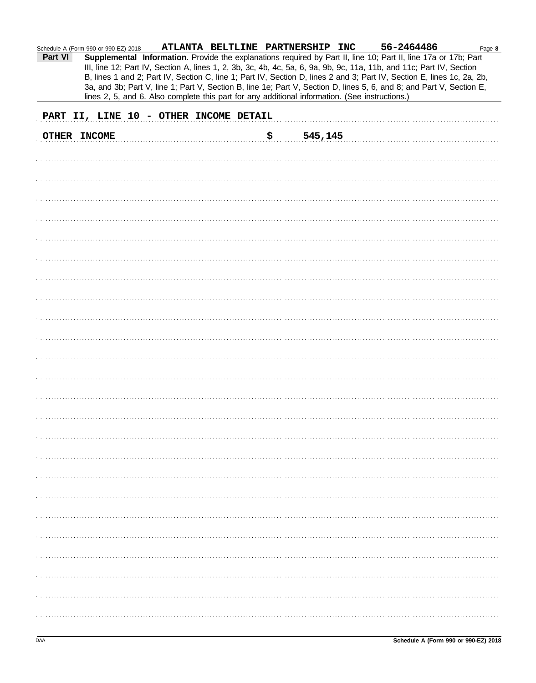|         | Schedule A (Form 990 or 990-EZ) 2018 |                                                                                                | ATLANTA BELTLINE PARTNERSHIP INC |               | 56-2464486<br>Page 8                                                                                                                                                                                                                                                                                                                                                                                                                                                                      |
|---------|--------------------------------------|------------------------------------------------------------------------------------------------|----------------------------------|---------------|-------------------------------------------------------------------------------------------------------------------------------------------------------------------------------------------------------------------------------------------------------------------------------------------------------------------------------------------------------------------------------------------------------------------------------------------------------------------------------------------|
| Part VI |                                      | lines 2, 5, and 6. Also complete this part for any additional information. (See instructions.) |                                  |               | Supplemental Information. Provide the explanations required by Part II, line 10; Part II, line 17a or 17b; Part<br>III, line 12; Part IV, Section A, lines 1, 2, 3b, 3c, 4b, 4c, 5a, 6, 9a, 9b, 9c, 11a, 11b, and 11c; Part IV, Section<br>B, lines 1 and 2; Part IV, Section C, line 1; Part IV, Section D, lines 2 and 3; Part IV, Section E, lines 1c, 2a, 2b,<br>3a, and 3b; Part V, line 1; Part V, Section B, line 1e; Part V, Section D, lines 5, 6, and 8; and Part V, Section E, |
|         |                                      | PART II, LINE 10 - OTHER INCOME DETAIL                                                         |                                  |               |                                                                                                                                                                                                                                                                                                                                                                                                                                                                                           |
|         | OTHER INCOME                         |                                                                                                |                                  | \$<br>545,145 |                                                                                                                                                                                                                                                                                                                                                                                                                                                                                           |
|         |                                      |                                                                                                |                                  |               |                                                                                                                                                                                                                                                                                                                                                                                                                                                                                           |
|         |                                      |                                                                                                |                                  |               |                                                                                                                                                                                                                                                                                                                                                                                                                                                                                           |
|         |                                      |                                                                                                |                                  |               |                                                                                                                                                                                                                                                                                                                                                                                                                                                                                           |
|         |                                      |                                                                                                |                                  |               |                                                                                                                                                                                                                                                                                                                                                                                                                                                                                           |
|         |                                      |                                                                                                |                                  |               |                                                                                                                                                                                                                                                                                                                                                                                                                                                                                           |
|         |                                      |                                                                                                |                                  |               |                                                                                                                                                                                                                                                                                                                                                                                                                                                                                           |
|         |                                      |                                                                                                |                                  |               |                                                                                                                                                                                                                                                                                                                                                                                                                                                                                           |
|         |                                      |                                                                                                |                                  |               |                                                                                                                                                                                                                                                                                                                                                                                                                                                                                           |
|         |                                      |                                                                                                |                                  |               |                                                                                                                                                                                                                                                                                                                                                                                                                                                                                           |
|         |                                      |                                                                                                |                                  |               |                                                                                                                                                                                                                                                                                                                                                                                                                                                                                           |
|         |                                      |                                                                                                |                                  |               |                                                                                                                                                                                                                                                                                                                                                                                                                                                                                           |
|         |                                      |                                                                                                |                                  |               |                                                                                                                                                                                                                                                                                                                                                                                                                                                                                           |
|         |                                      |                                                                                                |                                  |               |                                                                                                                                                                                                                                                                                                                                                                                                                                                                                           |
|         |                                      |                                                                                                |                                  |               |                                                                                                                                                                                                                                                                                                                                                                                                                                                                                           |
|         |                                      |                                                                                                |                                  |               |                                                                                                                                                                                                                                                                                                                                                                                                                                                                                           |
|         |                                      |                                                                                                |                                  |               |                                                                                                                                                                                                                                                                                                                                                                                                                                                                                           |
|         |                                      |                                                                                                |                                  |               |                                                                                                                                                                                                                                                                                                                                                                                                                                                                                           |
|         |                                      |                                                                                                |                                  |               |                                                                                                                                                                                                                                                                                                                                                                                                                                                                                           |
|         |                                      |                                                                                                |                                  |               |                                                                                                                                                                                                                                                                                                                                                                                                                                                                                           |
|         |                                      |                                                                                                |                                  |               |                                                                                                                                                                                                                                                                                                                                                                                                                                                                                           |
|         |                                      |                                                                                                |                                  |               |                                                                                                                                                                                                                                                                                                                                                                                                                                                                                           |
|         |                                      |                                                                                                |                                  |               |                                                                                                                                                                                                                                                                                                                                                                                                                                                                                           |
|         |                                      |                                                                                                |                                  |               |                                                                                                                                                                                                                                                                                                                                                                                                                                                                                           |
|         |                                      |                                                                                                |                                  |               |                                                                                                                                                                                                                                                                                                                                                                                                                                                                                           |
|         |                                      |                                                                                                |                                  |               |                                                                                                                                                                                                                                                                                                                                                                                                                                                                                           |
|         |                                      |                                                                                                |                                  |               |                                                                                                                                                                                                                                                                                                                                                                                                                                                                                           |
|         |                                      |                                                                                                |                                  |               |                                                                                                                                                                                                                                                                                                                                                                                                                                                                                           |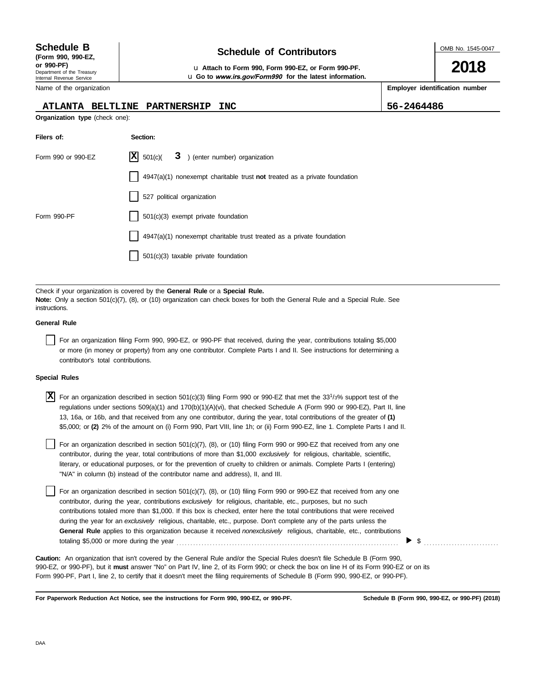# **(Form 990, 990-EZ,**

| ILOIIII 990, 990-EL,       |
|----------------------------|
| or 990-PF)                 |
| Department of the Treasury |
| Internal Revenue Service   |

# **Schedule of Contributors Schedule B**

OMB No. 1545-0047

**2018**

**or 990-PF)** u **Attach to Form 990, Form 990-EZ, or Form 990-PF. u** Go to www.irs.gov/Form990 for the latest information.

Name of the organization

**Employer identification number**

|                                       |  | ATLANTA BELTLINE PARTNERSHIP INC |  | 56-2464486 |  |  |  |  |  |  |
|---------------------------------------|--|----------------------------------|--|------------|--|--|--|--|--|--|
| <b>Organization type</b> (check one): |  |                                  |  |            |  |  |  |  |  |  |
|                                       |  |                                  |  |            |  |  |  |  |  |  |
| Filers of:                            |  | Section:                         |  |            |  |  |  |  |  |  |

| Form 990 or 990-EZ | $ \mathbf{X} $ 501(c)( $3$ ) (enter number) organization                    |
|--------------------|-----------------------------------------------------------------------------|
|                    | $4947(a)(1)$ nonexempt charitable trust not treated as a private foundation |
|                    | 527 political organization                                                  |
| Form 990-PF        | 501(c)(3) exempt private foundation                                         |
|                    | 4947(a)(1) nonexempt charitable trust treated as a private foundation       |
|                    | 501(c)(3) taxable private foundation                                        |

Check if your organization is covered by the **General Rule** or a **Special Rule. Note:** Only a section 501(c)(7), (8), or (10) organization can check boxes for both the General Rule and a Special Rule. See instructions.

## **General Rule**

For an organization filing Form 990, 990-EZ, or 990-PF that received, during the year, contributions totaling \$5,000 or more (in money or property) from any one contributor. Complete Parts I and II. See instructions for determining a contributor's total contributions.

## **Special Rules**

| $\overline{X}$ For an organization described in section 501(c)(3) filing Form 990 or 990-EZ that met the 33 <sup>1</sup> /3% support test of the |
|--------------------------------------------------------------------------------------------------------------------------------------------------|
| regulations under sections 509(a)(1) and 170(b)(1)(A)(vi), that checked Schedule A (Form 990 or 990-EZ), Part II, line                           |
| 13, 16a, or 16b, and that received from any one contributor, during the year, total contributions of the greater of (1)                          |
| \$5,000; or (2) 2% of the amount on (i) Form 990, Part VIII, line 1h; or (ii) Form 990-EZ, line 1. Complete Parts I and II.                      |

literary, or educational purposes, or for the prevention of cruelty to children or animals. Complete Parts I (entering) For an organization described in section 501(c)(7), (8), or (10) filing Form 990 or 990-EZ that received from any one contributor, during the year, total contributions of more than \$1,000 *exclusively* for religious, charitable, scientific, "N/A" in column (b) instead of the contributor name and address), II, and III.

For an organization described in section 501(c)(7), (8), or (10) filing Form 990 or 990-EZ that received from any one contributor, during the year, contributions *exclusively* for religious, charitable, etc., purposes, but no such contributions totaled more than \$1,000. If this box is checked, enter here the total contributions that were received during the year for an *exclusively* religious, charitable, etc., purpose. Don't complete any of the parts unless the **General Rule** applies to this organization because it received *nonexclusively* religious, charitable, etc., contributions totaling \$5,000 or more during the year . . . . . . . . . . . . . . . . . . . . . . . . . . . . . . . . . . . . . . . . . . . . . . . . . . . . . . . . . . . . . . . . . . . . . . . . . . . . . . . .

990-EZ, or 990-PF), but it **must** answer "No" on Part IV, line 2, of its Form 990; or check the box on line H of its Form 990-EZ or on its Form 990-PF, Part I, line 2, to certify that it doesn't meet the filing requirements of Schedule B (Form 990, 990-EZ, or 990-PF). **Caution:** An organization that isn't covered by the General Rule and/or the Special Rules doesn't file Schedule B (Form 990,

**For Paperwork Reduction Act Notice, see the instructions for Form 990, 990-EZ, or 990-PF.**

\$ . . . . . . . . . . . . . . . . . . . . . . . . . . .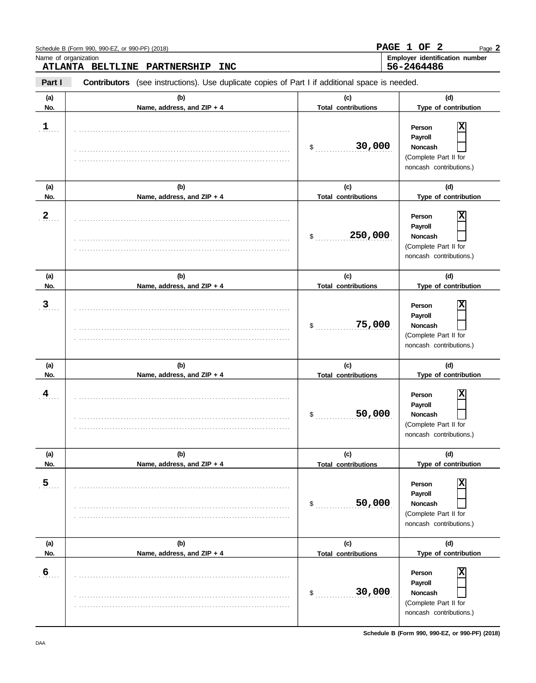|                 | Name of organization<br>ATLANTA BELTLINE PARTNERSHIP<br><b>INC</b>                             |                                    | Employer identification number<br>56-2464486                                                                |
|-----------------|------------------------------------------------------------------------------------------------|------------------------------------|-------------------------------------------------------------------------------------------------------------|
| Part I          | Contributors (see instructions). Use duplicate copies of Part I if additional space is needed. |                                    |                                                                                                             |
| (a)<br>No.      | (b)<br>Name, address, and ZIP + 4                                                              | (c)<br><b>Total contributions</b>  | (d)<br>Type of contribution                                                                                 |
| 1               |                                                                                                | 30,000<br>$\frac{1}{2}$            | X<br>Person<br>Payroll<br>Noncash<br>(Complete Part II for<br>noncash contributions.)                       |
| (a)<br>No.      | (b)<br>Name, address, and ZIP + 4                                                              | (c)<br><b>Total contributions</b>  | (d)<br>Type of contribution                                                                                 |
| $\frac{2}{\pi}$ |                                                                                                | 250,000<br>$$\tilde{\phantom{a}}$$ | $\overline{\mathbf{x}}$<br>Person<br>Payroll<br>Noncash<br>(Complete Part II for<br>noncash contributions.) |
| (a)<br>No.      | (b)<br>Name, address, and ZIP + 4                                                              | (c)<br><b>Total contributions</b>  | (d)<br>Type of contribution                                                                                 |
| 3 <sub>1</sub>  |                                                                                                | 75,000<br>\$                       | X<br>Person<br>Payroll<br>Noncash<br>(Complete Part II for<br>noncash contributions.)                       |
| (a)<br>No.      | (b)<br>Name, address, and ZIP + 4                                                              | (c)<br><b>Total contributions</b>  | (d)<br>Type of contribution                                                                                 |
| $\frac{4}{1}$   |                                                                                                | 50,000<br>\$                       | X<br>Person<br>Payroll<br><b>Noncash</b><br>(Complete Part II for<br>noncash contributions.)                |
| (a)<br>No.      | (b)<br>Name, address, and ZIP + 4                                                              | (c)<br><b>Total contributions</b>  | (d)<br>Type of contribution                                                                                 |
| $\overline{5}$  |                                                                                                | 50,000<br>$\mathsf{\$}$            | Person<br>Payroll<br><b>Noncash</b><br>(Complete Part II for<br>noncash contributions.)                     |
| (a)<br>No.      | (b)<br>Name, address, and ZIP + 4                                                              | (c)<br><b>Total contributions</b>  | (d)<br>Type of contribution                                                                                 |
| 6               |                                                                                                | 30,000<br>\$                       | X<br>Person<br>Payroll<br>Noncash<br>(Complete Part II for<br>noncash contributions.)                       |

Page **2**

**PAGE 1 OF 2**

Schedule B (Form 990, 990-EZ, or 990-PF) (2018)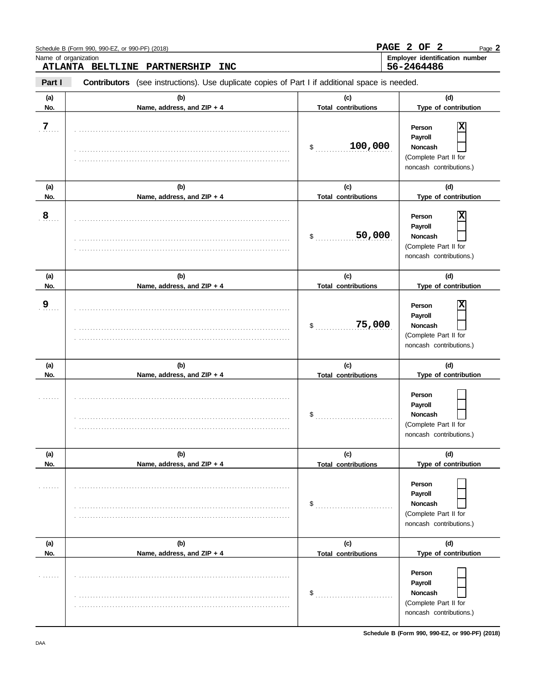| Name of organization | ATLANTA BELTLINE PARTNERSHIP<br><b>INC</b>                                                            |                                   | Employer identification number<br>56-2464486                                          |
|----------------------|-------------------------------------------------------------------------------------------------------|-----------------------------------|---------------------------------------------------------------------------------------|
| Part I               | <b>Contributors</b> (see instructions). Use duplicate copies of Part I if additional space is needed. |                                   |                                                                                       |
| (a)<br>No.           | (b)<br>Name, address, and ZIP + 4                                                                     | (c)<br><b>Total contributions</b> | (d)<br>Type of contribution                                                           |
| $\overline{Z}$       |                                                                                                       | 100,000<br>$\,$                   | Person<br>Payroll<br>Noncash<br>(Complete Part II for<br>noncash contributions.)      |
| (a)<br>No.           | (b)<br>Name, address, and ZIP + 4                                                                     | (c)<br><b>Total contributions</b> | (d)<br>Type of contribution                                                           |
| $\mathbf{8}$         |                                                                                                       | 50,000<br>\$                      | Person<br>Payroll<br>Noncash<br>(Complete Part II for<br>noncash contributions.)      |
| (a)<br>No.           | (b)<br>Name, address, and ZIP + 4                                                                     | (c)<br><b>Total contributions</b> | (d)<br>Type of contribution                                                           |
| $\mathbf{9}$         |                                                                                                       | 75,000<br>\$                      | X<br>Person<br>Payroll<br>Noncash<br>(Complete Part II for<br>noncash contributions.) |
| (a)<br>No.           | (b)<br>Name, address, and ZIP + 4                                                                     | (c)<br><b>Total contributions</b> | (d)<br>Type of contribution                                                           |
|                      |                                                                                                       | \$                                | Person<br>Payroll<br>Noncash<br>(Complete Part II for<br>noncash contributions.)      |
| (a)                  | (b)                                                                                                   | (c)                               | (d)                                                                                   |
| No.                  | Name, address, and ZIP + 4                                                                            | <b>Total contributions</b><br>\$  | Type of contribution<br>Person<br>Payroll<br>Noncash<br>(Complete Part II for         |
| (a)<br>No.           | (b)<br>Name, address, and ZIP + 4                                                                     | (c)<br><b>Total contributions</b> | noncash contributions.)<br>(d)<br>Type of contribution                                |
|                      |                                                                                                       | \$                                | Person<br>Payroll<br>Noncash<br>(Complete Part II for<br>noncash contributions.)      |

Page **2**

**PAGE 2 OF 2**

Schedule B (Form 990, 990-EZ, or 990-PF) (2018)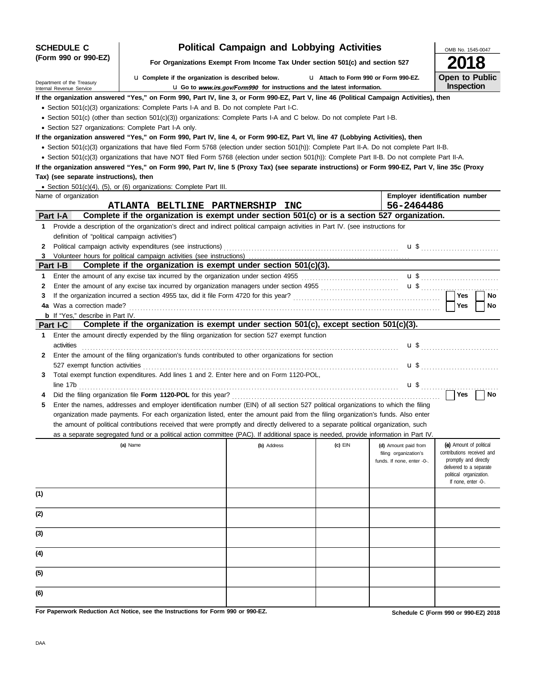| <b>SCHEDULE C</b>                                      | <b>Political Campaign and Lobbying Activities</b>                                                                                                                                                                             | OMB No. 1545-0047 |         |                                        |                                                |  |  |  |  |  |
|--------------------------------------------------------|-------------------------------------------------------------------------------------------------------------------------------------------------------------------------------------------------------------------------------|-------------------|---------|----------------------------------------|------------------------------------------------|--|--|--|--|--|
| (Form 990 or 990-EZ)                                   | 18<br>For Organizations Exempt From Income Tax Under section 501(c) and section 527                                                                                                                                           |                   |         |                                        |                                                |  |  |  |  |  |
| Department of the Treasury<br>Internal Revenue Service | <b>Open to Public</b><br>La Complete if the organization is described below.<br>L1 Attach to Form 990 or Form 990-EZ.<br>La Go to www.irs.gov/Form990 for instructions and the latest information.                            |                   |         |                                        |                                                |  |  |  |  |  |
|                                                        | If the organization answered "Yes," on Form 990, Part IV, line 3, or Form 990-EZ, Part V, line 46 (Political Campaign Activities), then                                                                                       |                   |         |                                        |                                                |  |  |  |  |  |
|                                                        | • Section 501(c)(3) organizations: Complete Parts I-A and B. Do not complete Part I-C.                                                                                                                                        |                   |         |                                        |                                                |  |  |  |  |  |
|                                                        | • Section 501(c) (other than section 501(c)(3)) organizations: Complete Parts I-A and C below. Do not complete Part I-B.                                                                                                      |                   |         |                                        |                                                |  |  |  |  |  |
|                                                        | • Section 527 organizations: Complete Part I-A only.                                                                                                                                                                          |                   |         |                                        |                                                |  |  |  |  |  |
|                                                        | If the organization answered "Yes," on Form 990, Part IV, line 4, or Form 990-EZ, Part VI, line 47 (Lobbying Activities), then                                                                                                |                   |         |                                        |                                                |  |  |  |  |  |
|                                                        | · Section 501(c)(3) organizations that have filed Form 5768 (election under section 501(h)): Complete Part II-A. Do not complete Part II-B.                                                                                   |                   |         |                                        |                                                |  |  |  |  |  |
|                                                        |                                                                                                                                                                                                                               |                   |         |                                        |                                                |  |  |  |  |  |
|                                                        | • Section 501(c)(3) organizations that have NOT filed Form 5768 (election under section 501(h)): Complete Part II-B. Do not complete Part II-A.                                                                               |                   |         |                                        |                                                |  |  |  |  |  |
|                                                        | If the organization answered "Yes," on Form 990, Part IV, line 5 (Proxy Tax) (see separate instructions) or Form 990-EZ, Part V, line 35c (Proxy                                                                              |                   |         |                                        |                                                |  |  |  |  |  |
| Tax) (see separate instructions), then                 |                                                                                                                                                                                                                               |                   |         |                                        |                                                |  |  |  |  |  |
|                                                        | • Section 501(c)(4), (5), or (6) organizations: Complete Part III.                                                                                                                                                            |                   |         |                                        |                                                |  |  |  |  |  |
| Name of organization                                   |                                                                                                                                                                                                                               |                   |         |                                        | Employer identification number                 |  |  |  |  |  |
|                                                        | ATLANTA BELTLINE PARTNERSHIP INC                                                                                                                                                                                              |                   |         | 56-2464486                             |                                                |  |  |  |  |  |
| Part I-A                                               | Complete if the organization is exempt under section 501(c) or is a section 527 organization.                                                                                                                                 |                   |         |                                        |                                                |  |  |  |  |  |
|                                                        | 1 Provide a description of the organization's direct and indirect political campaign activities in Part IV. (see instructions for                                                                                             |                   |         |                                        |                                                |  |  |  |  |  |
| definition of "political campaign activities")         |                                                                                                                                                                                                                               |                   |         |                                        |                                                |  |  |  |  |  |
| 2                                                      |                                                                                                                                                                                                                               |                   |         |                                        | <b>u</b> \$                                    |  |  |  |  |  |
| 3                                                      | Volunteer hours for political campaign activities (see instructions) manufactions and contain contained to be very set of the very set of the very set of the very set of the very set of the very set of the very set of the |                   |         |                                        |                                                |  |  |  |  |  |
| Part I-B                                               | Complete if the organization is exempt under section 501(c)(3).                                                                                                                                                               |                   |         |                                        |                                                |  |  |  |  |  |
| 1                                                      | Enter the amount of any excise tax incurred by the organization under section 4955 [[[[[[[[[[[[[[[[[[[[[[[[[[[                                                                                                                |                   |         |                                        |                                                |  |  |  |  |  |
| 2                                                      | Enter the amount of any excise tax incurred by organization managers under section 4955 [[[[[[[[[[[[[[[[[[[[[[                                                                                                                |                   |         |                                        |                                                |  |  |  |  |  |
| 3                                                      |                                                                                                                                                                                                                               |                   |         |                                        | Yes<br>No                                      |  |  |  |  |  |
| 4a Was a correction made?                              |                                                                                                                                                                                                                               |                   |         |                                        | No<br>Yes                                      |  |  |  |  |  |
| <b>b</b> If "Yes," describe in Part IV.                |                                                                                                                                                                                                                               |                   |         |                                        |                                                |  |  |  |  |  |
| Part I-C                                               | Complete if the organization is exempt under section $501(c)$ , except section $501(c)(3)$ .                                                                                                                                  |                   |         |                                        |                                                |  |  |  |  |  |
| 1.                                                     | Enter the amount directly expended by the filing organization for section 527 exempt function                                                                                                                                 |                   |         |                                        |                                                |  |  |  |  |  |
| activities                                             |                                                                                                                                                                                                                               |                   |         |                                        |                                                |  |  |  |  |  |
| 2                                                      | Enter the amount of the filing organization's funds contributed to other organizations for section                                                                                                                            |                   |         |                                        |                                                |  |  |  |  |  |
| 527 exempt function activities                         |                                                                                                                                                                                                                               |                   |         | $\mathbf{u} \mathbf{\pmb{\mathsf{s}}}$ |                                                |  |  |  |  |  |
| 3                                                      | Total exempt function expenditures. Add lines 1 and 2. Enter here and on Form 1120-POL.                                                                                                                                       |                   |         |                                        |                                                |  |  |  |  |  |
| line 17b                                               |                                                                                                                                                                                                                               |                   |         | u \$                                   |                                                |  |  |  |  |  |
|                                                        | Did the filing organization file Form 1120-POL for this year?                                                                                                                                                                 |                   |         |                                        | Yes<br>No                                      |  |  |  |  |  |
| 5                                                      | Enter the names, addresses and employer identification number (EIN) of all section 527 political organizations to which the filing                                                                                            |                   |         |                                        |                                                |  |  |  |  |  |
|                                                        | organization made payments. For each organization listed, enter the amount paid from the filing organization's funds. Also enter                                                                                              |                   |         |                                        |                                                |  |  |  |  |  |
|                                                        | the amount of political contributions received that were promptly and directly delivered to a separate political organization, such                                                                                           |                   |         |                                        |                                                |  |  |  |  |  |
|                                                        | as a separate segregated fund or a political action committee (PAC). If additional space is needed, provide information in Part IV.                                                                                           |                   |         |                                        |                                                |  |  |  |  |  |
|                                                        | (a) Name                                                                                                                                                                                                                      | (b) Address       | (c) EIN | (d) Amount paid from                   | (e) Amount of political                        |  |  |  |  |  |
|                                                        |                                                                                                                                                                                                                               |                   |         | filing organization's                  | contributions received and                     |  |  |  |  |  |
|                                                        |                                                                                                                                                                                                                               |                   |         | funds. If none, enter -0-.             | promptly and directly                          |  |  |  |  |  |
|                                                        |                                                                                                                                                                                                                               |                   |         |                                        | delivered to a separate                        |  |  |  |  |  |
|                                                        |                                                                                                                                                                                                                               |                   |         |                                        | political organization.<br>If none, enter -0-. |  |  |  |  |  |
|                                                        |                                                                                                                                                                                                                               |                   |         |                                        |                                                |  |  |  |  |  |
| (1)                                                    |                                                                                                                                                                                                                               |                   |         |                                        |                                                |  |  |  |  |  |
|                                                        |                                                                                                                                                                                                                               |                   |         |                                        |                                                |  |  |  |  |  |
| (2)                                                    |                                                                                                                                                                                                                               |                   |         |                                        |                                                |  |  |  |  |  |
|                                                        |                                                                                                                                                                                                                               |                   |         |                                        |                                                |  |  |  |  |  |
| (3)                                                    |                                                                                                                                                                                                                               |                   |         |                                        |                                                |  |  |  |  |  |
|                                                        |                                                                                                                                                                                                                               |                   |         |                                        |                                                |  |  |  |  |  |
| (4)                                                    |                                                                                                                                                                                                                               |                   |         |                                        |                                                |  |  |  |  |  |
|                                                        |                                                                                                                                                                                                                               |                   |         |                                        |                                                |  |  |  |  |  |
| (5)                                                    |                                                                                                                                                                                                                               |                   |         |                                        |                                                |  |  |  |  |  |
|                                                        |                                                                                                                                                                                                                               |                   |         |                                        |                                                |  |  |  |  |  |
| (6)                                                    |                                                                                                                                                                                                                               |                   |         |                                        |                                                |  |  |  |  |  |
|                                                        |                                                                                                                                                                                                                               |                   |         |                                        |                                                |  |  |  |  |  |

**For Paperwork Reduction Act Notice, see the Instructions for Form 990 or 990-EZ.**

**Schedule C (Form 990 or 990-EZ) 2018**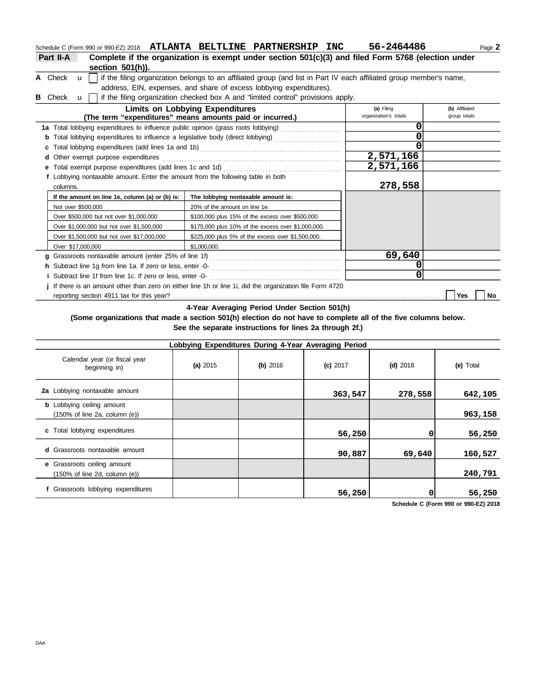|   |           | Schedule C (Form 990 or 990-EZ) 2018 ATLANTA BELTLINE PARTNERSHIP INC                                         |                                        |                                                                                                                                                                                            | 56-2464486                          | Page 2                         |
|---|-----------|---------------------------------------------------------------------------------------------------------------|----------------------------------------|--------------------------------------------------------------------------------------------------------------------------------------------------------------------------------------------|-------------------------------------|--------------------------------|
|   | Part II-A | section 501(h)).                                                                                              |                                        | Complete if the organization is exempt under section 501(c)(3) and filed Form 5768 (election under                                                                                         |                                     |                                |
|   | A Check   | $\mathbf{u}$                                                                                                  |                                        | if the filing organization belongs to an affiliated group (and list in Part IV each affiliated group member's name,<br>address, EIN, expenses, and share of excess lobbying expenditures). |                                     |                                |
| в | Check     | $\mathbf{u}$                                                                                                  |                                        | if the filing organization checked box A and "limited control" provisions apply.                                                                                                           |                                     |                                |
|   |           | (The term "expenditures" means amounts paid or incurred.)                                                     | <b>Limits on Lobbying Expenditures</b> |                                                                                                                                                                                            | (a) Filing<br>organization's totals | (b) Affiliated<br>group totals |
|   |           | 1a Total lobbying expenditures to influence public opinion (grass roots lobbying) [[[[[[[[[[[[[[[[[[[[[[[[[[[ |                                        |                                                                                                                                                                                            | 0                                   |                                |
|   |           |                                                                                                               |                                        |                                                                                                                                                                                            | 0                                   |                                |
|   |           |                                                                                                               |                                        |                                                                                                                                                                                            | O                                   |                                |
|   |           | Other exempt purpose expenditures                                                                             |                                        |                                                                                                                                                                                            | 2,571,166                           |                                |
|   |           | Total exempt purpose expenditures (add lines 1c and 1d)                                                       |                                        |                                                                                                                                                                                            | 2,571,166                           |                                |
|   |           | f Lobbying nontaxable amount. Enter the amount from the following table in both                               |                                        |                                                                                                                                                                                            |                                     |                                |
|   | columns.  | If the amount on line 1e, column (a) or (b) is:                                                               | The lobbying nontaxable amount is:     |                                                                                                                                                                                            | 278,558                             |                                |
|   |           | Not over \$500,000                                                                                            | 20% of the amount on line 1e.          |                                                                                                                                                                                            |                                     |                                |
|   |           | Over \$500,000 but not over \$1,000,000                                                                       |                                        | \$100,000 plus 15% of the excess over \$500,000.                                                                                                                                           |                                     |                                |
|   |           | Over \$1,000,000 but not over \$1,500,000                                                                     |                                        | \$175,000 plus 10% of the excess over \$1,000,000.                                                                                                                                         |                                     |                                |
|   |           | Over \$1,500,000 but not over \$17,000,000                                                                    |                                        | \$225,000 plus 5% of the excess over \$1,500,000.                                                                                                                                          |                                     |                                |
|   |           | Over \$17,000,000                                                                                             | \$1,000,000.                           |                                                                                                                                                                                            |                                     |                                |
|   |           |                                                                                                               |                                        |                                                                                                                                                                                            | 69,640                              |                                |
|   |           |                                                                                                               |                                        |                                                                                                                                                                                            | 0                                   |                                |
|   |           | Subtract line 1f from line 1c. If zero or less, enter -0-                                                     |                                        |                                                                                                                                                                                            | 0                                   |                                |
|   |           | j If there is an amount other than zero on either line 1h or line 1i, did the organization file Form 4720     |                                        |                                                                                                                                                                                            |                                     |                                |
|   |           |                                                                                                               |                                        |                                                                                                                                                                                            |                                     | <b>Yes</b><br>No               |

**4-Year Averaging Period Under Section 501(h)**

## **(Some organizations that made a section 501(h) election do not have to complete all of the five columns below. See the separate instructions for lines 2a through 2f.)**

| Lobbying Expenditures During 4-Year Averaging Period                                   |            |          |            |            |           |  |  |  |  |  |
|----------------------------------------------------------------------------------------|------------|----------|------------|------------|-----------|--|--|--|--|--|
| Calendar year (or fiscal year<br>beginning in)                                         | (a) $2015$ | (b) 2016 | $(c)$ 2017 | $(d)$ 2018 | (e) Total |  |  |  |  |  |
| 2a Lobbying nontaxable amount                                                          |            |          | 363,547    | 278,558    | 642,105   |  |  |  |  |  |
| <b>b</b> Lobbying ceiling amount<br>$(150\% \text{ of line } 2a, \text{ column } (e))$ |            |          |            |            | 963,158   |  |  |  |  |  |
| c Total lobbying expenditures                                                          |            |          | 56,250     |            | 56,250    |  |  |  |  |  |
| <b>d</b> Grassroots nontaxable amount                                                  |            |          | 90,887     | 69,640     | 160,527   |  |  |  |  |  |
| e Grassroots ceiling amount<br>(150% of line 2d, column (e))                           |            |          |            |            | 240,791   |  |  |  |  |  |
| f Grassroots lobbying expenditures                                                     |            |          | 56,250     |            | 56,250    |  |  |  |  |  |

**Schedule C (Form 990 or 990-EZ) 2018**

DAA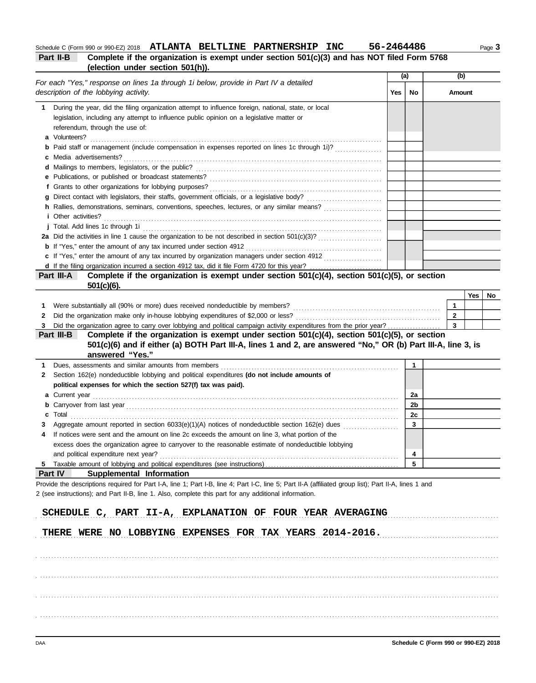# Schedule C (Form 990 or 990-EZ) 2018 **ATLANTA BELTLINE PARTNERSHIP INC** 56-2464486 Page 3

| 164486 |  |  |  |  |
|--------|--|--|--|--|
|        |  |  |  |  |

# **Part II-B Complete if the organization is exempt under section 501(c)(3) and has NOT filed Form 5768 (election under section 501(h)).**

| <u>oiootioii aliaoi oootioii oo i</u>                                                                                                                 | (a) |    | (b)          |            |    |
|-------------------------------------------------------------------------------------------------------------------------------------------------------|-----|----|--------------|------------|----|
| For each "Yes," response on lines 1a through 1i below, provide in Part IV a detailed<br>description of the lobbying activity.                         | Yes | No | Amount       |            |    |
| During the year, did the filing organization attempt to influence foreign, national, state, or local<br>1                                             |     |    |              |            |    |
| legislation, including any attempt to influence public opinion on a legislative matter or                                                             |     |    |              |            |    |
| referendum, through the use of:                                                                                                                       |     |    |              |            |    |
| a Volunteers?                                                                                                                                         |     |    |              |            |    |
| Paid staff or management (include compensation in expenses reported on lines 1c through 1i)?<br>b                                                     |     |    |              |            |    |
| Media advertisements?<br>с                                                                                                                            |     |    |              |            |    |
|                                                                                                                                                       |     |    |              |            |    |
|                                                                                                                                                       |     |    |              |            |    |
|                                                                                                                                                       |     |    |              |            |    |
| g                                                                                                                                                     |     |    |              |            |    |
|                                                                                                                                                       |     |    |              |            |    |
| <i>i</i> Other activities?                                                                                                                            |     |    |              |            |    |
|                                                                                                                                                       |     |    |              |            |    |
|                                                                                                                                                       |     |    |              |            |    |
|                                                                                                                                                       |     |    |              |            |    |
| c If "Yes," enter the amount of any tax incurred by organization managers under section 4912                                                          |     |    |              |            |    |
|                                                                                                                                                       |     |    |              |            |    |
| Complete if the organization is exempt under section 501(c)(4), section 501(c)(5), or section<br>Part III-A                                           |     |    |              |            |    |
| $501(c)(6)$ .                                                                                                                                         |     |    |              |            |    |
|                                                                                                                                                       |     |    |              | <b>Yes</b> | No |
| 1                                                                                                                                                     |     |    | 1            |            |    |
| 2                                                                                                                                                     |     |    | 2            |            |    |
| Did the organization agree to carry over lobbying and political campaign activity expenditures from the prior year?<br>3                              |     |    | $\mathbf{3}$ |            |    |
| Complete if the organization is exempt under section 501(c)(4), section 501(c)(5), or section<br>Part III-B                                           |     |    |              |            |    |
| 501(c)(6) and if either (a) BOTH Part III-A, lines 1 and 2, are answered "No," OR (b) Part III-A, line 3, is<br>answered "Yes."                       |     |    |              |            |    |
| 1                                                                                                                                                     |     | 1  |              |            |    |
| Section 162(e) nondeductible lobbying and political expenditures (do not include amounts of<br>2                                                      |     |    |              |            |    |
| political expenses for which the section 527(f) tax was paid).                                                                                        |     |    |              |            |    |
|                                                                                                                                                       |     | 2a |              |            |    |
| <b>b</b> Carryover from last year <i>contained as a contained as care are a contained as care are a contained as <math>\alpha</math></i>              |     | 2b |              |            |    |
| Total<br>c                                                                                                                                            |     | 2с |              |            |    |
| Aggregate amount reported in section 6033(e)(1)(A) notices of nondeductible section 162(e) dues                                                       |     | 3  |              |            |    |
| If notices were sent and the amount on line 2c exceeds the amount on line 3, what portion of the<br>4                                                 |     |    |              |            |    |
| excess does the organization agree to carryover to the reasonable estimate of nondeductible lobbying                                                  |     |    |              |            |    |
| and political expenditure next year?                                                                                                                  |     | 4  |              |            |    |
| 5.                                                                                                                                                    |     | 5  |              |            |    |
| <b>Part IV</b><br><b>Supplemental Information</b>                                                                                                     |     |    |              |            |    |
| Provide the descriptions required for Part I-A, line 1; Part I-B, line 4; Part I-C, line 5; Part II-A (affiliated group list); Part II-A, lines 1 and |     |    |              |            |    |
| 2 (see instructions); and Part II-B, line 1. Also, complete this part for any additional information.                                                 |     |    |              |            |    |
|                                                                                                                                                       |     |    |              |            |    |
| SCHEDULE C, PART II-A, EXPLANATION OF FOUR YEAR AVERAGING                                                                                             |     |    |              |            |    |
|                                                                                                                                                       |     |    |              |            |    |
| THERE WERE NO LOBBYING EXPENSES FOR TAX YEARS 2014-2016.                                                                                              |     |    |              |            |    |
|                                                                                                                                                       |     |    |              |            |    |
|                                                                                                                                                       |     |    |              |            |    |

. . . . . . . . . . . . . . . . . . . . . . . . . . . . . . . . . . . . . . . . . . . . . . . . . . . . . . . . . . . . . . . . . . . . . . . . . . . . . . . . . . . . . . . . . . . . . . . . . . . . . . . . . . . . . . . . . . . . . . . . . . . . . . . . . . . . . . . . . . . . . . . . . . . . . . . . . . . . . . . . . . . . . .

. . . . . . . . . . . . . . . . . . . . . . . . . . . . . . . . . . . . . . . . . . . . . . . . . . . . . . . . . . . . . . . . . . . . . . . . . . . . . . . . . . . . . . . . . . . . . . . . . . . . . . . . . . . . . . . . . . . . . . . . . . . . . . . . . . . . . . . . . . . . . . . . . . . . . . . . . . . . . . . . . . . . . .

. . . . . . . . . . . . . . . . . . . . . . . . . . . . . . . . . . . . . . . . . . . . . . . . . . . . . . . . . . . . . . . . . . . . . . . . . . . . . . . . . . . . . . . . . . . . . . . . . . . . . . . . . . . . . . . . . . . . . . . . . . . . . . . . . . . . . . . . . . . . . . . . . . . . . . . . . . . . . . . . . . . . . .

DAA **Schedule C (Form 990 or 990-EZ) 2018**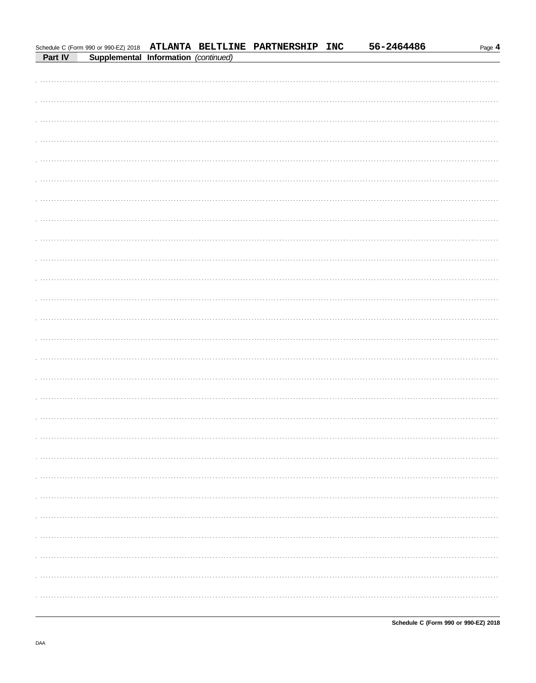|         |                                      |  | Schedule C (Form 990 or 990-EZ) 2018 ATLANTA BELTLINE PARTNERSHIP INC | 56-2464486 | Page 4 |
|---------|--------------------------------------|--|-----------------------------------------------------------------------|------------|--------|
| Part IV | Supplemental Information (continued) |  |                                                                       |            |        |
|         |                                      |  |                                                                       |            |        |
|         |                                      |  |                                                                       |            |        |
|         |                                      |  |                                                                       |            |        |
|         |                                      |  |                                                                       |            |        |
|         |                                      |  |                                                                       |            |        |
|         |                                      |  |                                                                       |            |        |
|         |                                      |  |                                                                       |            |        |
|         |                                      |  |                                                                       |            |        |
|         |                                      |  |                                                                       |            |        |
|         |                                      |  |                                                                       |            |        |
|         |                                      |  |                                                                       |            |        |
|         |                                      |  |                                                                       |            |        |
|         |                                      |  |                                                                       |            |        |
|         |                                      |  |                                                                       |            |        |
|         |                                      |  |                                                                       |            |        |
|         |                                      |  |                                                                       |            |        |
|         |                                      |  |                                                                       |            |        |
|         |                                      |  |                                                                       |            |        |
|         |                                      |  |                                                                       |            |        |
|         |                                      |  |                                                                       |            |        |
|         |                                      |  |                                                                       |            |        |
|         |                                      |  |                                                                       |            |        |
|         |                                      |  |                                                                       |            |        |
|         |                                      |  |                                                                       |            |        |
|         |                                      |  |                                                                       |            |        |
|         |                                      |  |                                                                       |            |        |
|         |                                      |  |                                                                       |            |        |
|         |                                      |  |                                                                       |            |        |
|         |                                      |  |                                                                       |            |        |
|         |                                      |  |                                                                       |            |        |
|         |                                      |  |                                                                       |            |        |
|         |                                      |  |                                                                       |            |        |
|         |                                      |  |                                                                       |            |        |
|         |                                      |  |                                                                       |            |        |
|         |                                      |  |                                                                       |            |        |
|         |                                      |  |                                                                       |            |        |
|         |                                      |  |                                                                       |            |        |
|         |                                      |  |                                                                       |            |        |
|         |                                      |  |                                                                       |            |        |
|         |                                      |  |                                                                       |            |        |
|         |                                      |  |                                                                       |            |        |
|         |                                      |  |                                                                       |            |        |
|         |                                      |  |                                                                       |            |        |
|         |                                      |  |                                                                       |            |        |
|         |                                      |  |                                                                       |            |        |
|         |                                      |  |                                                                       |            |        |
|         |                                      |  |                                                                       |            |        |
|         |                                      |  |                                                                       |            |        |
|         |                                      |  |                                                                       |            |        |
|         |                                      |  |                                                                       |            |        |
|         |                                      |  |                                                                       |            |        |
|         |                                      |  |                                                                       |            |        |
|         |                                      |  |                                                                       |            |        |
|         |                                      |  |                                                                       |            |        |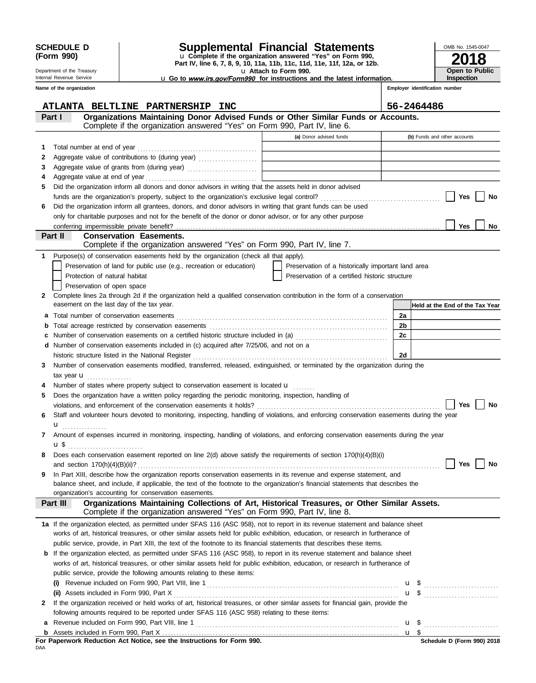|   | <b>SCHEDULE D</b><br>(Form 990)                        | Supplemental Financial Statements<br>u Complete if the organization answered "Yes" on Form 990,                                                                                            |                                | OMB No. 1545-0047               |
|---|--------------------------------------------------------|--------------------------------------------------------------------------------------------------------------------------------------------------------------------------------------------|--------------------------------|---------------------------------|
|   |                                                        | Part IV, line 6, 7, 8, 9, 10, 11a, 11b, 11c, 11d, 11e, 11f, 12a, or 12b.                                                                                                                   |                                | Open to Public                  |
|   | Department of the Treasury<br>Internal Revenue Service | u Attach to Form 990.<br>u Go to www.irs.gov/Form990 for instructions and the latest information.                                                                                          |                                | Inspection                      |
|   | Name of the organization                               |                                                                                                                                                                                            | Employer identification number |                                 |
|   |                                                        |                                                                                                                                                                                            |                                |                                 |
|   |                                                        | ATLANTA BELTLINE PARTNERSHIP INC                                                                                                                                                           |                                | 56-2464486                      |
|   | Part I                                                 | Organizations Maintaining Donor Advised Funds or Other Similar Funds or Accounts.<br>Complete if the organization answered "Yes" on Form 990, Part IV, line 6.                             |                                |                                 |
|   |                                                        | (a) Donor advised funds                                                                                                                                                                    |                                | (b) Funds and other accounts    |
| 1 | Total number at end of year                            |                                                                                                                                                                                            |                                |                                 |
| 2 |                                                        | Aggregate value of contributions to (during year) [11] [11] Aggregate value of contributions to (during year)                                                                              |                                |                                 |
| 3 |                                                        |                                                                                                                                                                                            |                                |                                 |
| 4 |                                                        |                                                                                                                                                                                            |                                |                                 |
| 5 |                                                        | Did the organization inform all donors and donor advisors in writing that the assets held in donor advised                                                                                 |                                |                                 |
|   |                                                        |                                                                                                                                                                                            |                                | Yes<br>No                       |
| 6 |                                                        | Did the organization inform all grantees, donors, and donor advisors in writing that grant funds can be used                                                                               |                                |                                 |
|   |                                                        | only for charitable purposes and not for the benefit of the donor or donor advisor, or for any other purpose                                                                               |                                |                                 |
|   | conferring impermissible private benefit?              |                                                                                                                                                                                            |                                | Yes<br><b>No</b>                |
|   | Part II                                                | <b>Conservation Easements.</b><br>Complete if the organization answered "Yes" on Form 990, Part IV, line 7.                                                                                |                                |                                 |
| 1 |                                                        | Purpose(s) of conservation easements held by the organization (check all that apply).                                                                                                      |                                |                                 |
|   |                                                        | Preservation of land for public use (e.g., recreation or education)<br>Preservation of a historically important land area                                                                  |                                |                                 |
|   | Protection of natural habitat                          | Preservation of a certified historic structure                                                                                                                                             |                                |                                 |
|   | Preservation of open space                             |                                                                                                                                                                                            |                                |                                 |
| 2 |                                                        | Complete lines 2a through 2d if the organization held a qualified conservation contribution in the form of a conservation                                                                  |                                |                                 |
|   | easement on the last day of the tax year.              |                                                                                                                                                                                            |                                | Held at the End of the Tax Year |
| а |                                                        |                                                                                                                                                                                            | 2a                             |                                 |
| b |                                                        |                                                                                                                                                                                            | 2b                             |                                 |
| c |                                                        | Number of conservation easements on a certified historic structure included in (a) [[[[[ [ [ ]]]                                                                                           | 2c                             |                                 |
| d |                                                        | Number of conservation easements included in (c) acquired after 7/25/06, and not on a                                                                                                      |                                |                                 |
|   |                                                        | historic structure listed in the National Register                                                                                                                                         | 2d                             |                                 |
| 3 |                                                        | Number of conservation easements modified, transferred, released, extinguished, or terminated by the organization during the                                                               |                                |                                 |
|   | tax year $\mathbf u$                                   | Number of states where property subject to conservation easement is located <b>u</b>                                                                                                       |                                |                                 |
| 5 |                                                        | Does the organization have a written policy regarding the periodic monitoring, inspection, handling of                                                                                     |                                |                                 |
|   |                                                        | violations, and enforcement of the conservation easements it holds?                                                                                                                        |                                | Yes<br>No                       |
| 6 |                                                        | Staff and volunteer hours devoted to monitoring, inspecting, handling of violations, and enforcing conservation easements during the year                                                  |                                |                                 |
|   | u <sub></sub> .                                        |                                                                                                                                                                                            |                                |                                 |
| 7 |                                                        | Amount of expenses incurred in monitoring, inspecting, handling of violations, and enforcing conservation easements during the year                                                        |                                |                                 |
|   | u\$                                                    |                                                                                                                                                                                            |                                |                                 |
| 8 |                                                        | Does each conservation easement reported on line 2(d) above satisfy the requirements of section 170(h)(4)(B)(i)                                                                            |                                |                                 |
|   |                                                        |                                                                                                                                                                                            |                                | Yes<br>No                       |
| 9 |                                                        | In Part XIII, describe how the organization reports conservation easements in its revenue and expense statement, and                                                                       |                                |                                 |
|   |                                                        | balance sheet, and include, if applicable, the text of the footnote to the organization's financial statements that describes the<br>organization's accounting for conservation easements. |                                |                                 |
|   | Part III                                               | Organizations Maintaining Collections of Art, Historical Treasures, or Other Similar Assets.                                                                                               |                                |                                 |
|   |                                                        | Complete if the organization answered "Yes" on Form 990, Part IV, line 8.                                                                                                                  |                                |                                 |
|   |                                                        | 1a If the organization elected, as permitted under SFAS 116 (ASC 958), not to report in its revenue statement and balance sheet                                                            |                                |                                 |
|   |                                                        | works of art, historical treasures, or other similar assets held for public exhibition, education, or research in furtherance of                                                           |                                |                                 |
|   |                                                        | public service, provide, in Part XIII, the text of the footnote to its financial statements that describes these items.                                                                    |                                |                                 |
|   |                                                        | <b>b</b> If the organization elected, as permitted under SFAS 116 (ASC 958), to report in its revenue statement and balance sheet                                                          |                                |                                 |
|   |                                                        | works of art, historical treasures, or other similar assets held for public exhibition, education, or research in furtherance of                                                           |                                |                                 |
|   |                                                        | public service, provide the following amounts relating to these items:                                                                                                                     |                                |                                 |
|   |                                                        |                                                                                                                                                                                            |                                | $\mathbf{u}$ \$                 |
|   |                                                        |                                                                                                                                                                                            |                                |                                 |
| 2 |                                                        | If the organization received or held works of art, historical treasures, or other similar assets for financial gain, provide the                                                           |                                |                                 |
|   |                                                        | following amounts required to be reported under SFAS 116 (ASC 958) relating to these items:                                                                                                |                                |                                 |
| а |                                                        |                                                                                                                                                                                            |                                |                                 |
|   |                                                        |                                                                                                                                                                                            |                                |                                 |

For Paperwork Reduction Act Notice, see the Instructions for Form 990.<br><sub>DAA</sub>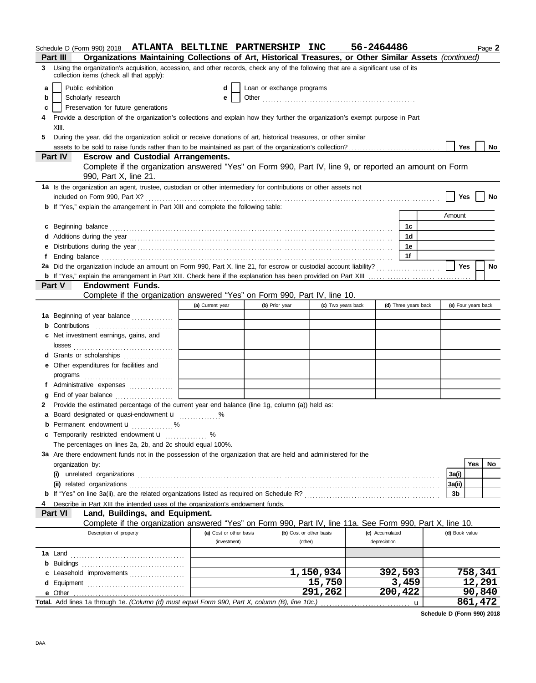|   |                    |                                          | Schedule D (Form 990) 2018 ATLANTA BELTLINE PARTNERSHIP INC                                                                                                                                                                   |                                         |                           |                                    | 56-2464486                      |                      |                | Page 2              |
|---|--------------------|------------------------------------------|-------------------------------------------------------------------------------------------------------------------------------------------------------------------------------------------------------------------------------|-----------------------------------------|---------------------------|------------------------------------|---------------------------------|----------------------|----------------|---------------------|
|   | Part III           |                                          | Organizations Maintaining Collections of Art, Historical Treasures, or Other Similar Assets (continued)                                                                                                                       |                                         |                           |                                    |                                 |                      |                |                     |
| 3 |                    | collection items (check all that apply): | Using the organization's acquisition, accession, and other records, check any of the following that are a significant use of its                                                                                              |                                         |                           |                                    |                                 |                      |                |                     |
| a |                    | Public exhibition                        |                                                                                                                                                                                                                               | d                                       | Loan or exchange programs |                                    |                                 |                      |                |                     |
| b |                    | Scholarly research                       |                                                                                                                                                                                                                               | е                                       |                           |                                    |                                 |                      |                |                     |
| c |                    | Preservation for future generations      |                                                                                                                                                                                                                               |                                         |                           |                                    |                                 |                      |                |                     |
|   |                    |                                          | Provide a description of the organization's collections and explain how they further the organization's exempt purpose in Part                                                                                                |                                         |                           |                                    |                                 |                      |                |                     |
|   | XIII.              |                                          |                                                                                                                                                                                                                               |                                         |                           |                                    |                                 |                      |                |                     |
| 5 |                    |                                          | During the year, did the organization solicit or receive donations of art, historical treasures, or other similar                                                                                                             |                                         |                           |                                    |                                 |                      |                |                     |
|   |                    |                                          |                                                                                                                                                                                                                               |                                         |                           |                                    |                                 |                      | <b>Yes</b>     | No                  |
|   | Part IV            |                                          | <b>Escrow and Custodial Arrangements.</b>                                                                                                                                                                                     |                                         |                           |                                    |                                 |                      |                |                     |
|   |                    |                                          | Complete if the organization answered "Yes" on Form 990, Part IV, line 9, or reported an amount on Form                                                                                                                       |                                         |                           |                                    |                                 |                      |                |                     |
|   |                    | 990, Part X, line 21.                    |                                                                                                                                                                                                                               |                                         |                           |                                    |                                 |                      |                |                     |
|   |                    |                                          | 1a Is the organization an agent, trustee, custodian or other intermediary for contributions or other assets not                                                                                                               |                                         |                           |                                    |                                 |                      |                |                     |
|   |                    |                                          |                                                                                                                                                                                                                               |                                         |                           |                                    |                                 |                      | Yes            | No                  |
|   |                    |                                          | <b>b</b> If "Yes," explain the arrangement in Part XIII and complete the following table:                                                                                                                                     |                                         |                           |                                    |                                 |                      |                |                     |
|   |                    |                                          |                                                                                                                                                                                                                               |                                         |                           |                                    |                                 |                      | Amount         |                     |
| c |                    |                                          |                                                                                                                                                                                                                               |                                         |                           |                                    |                                 | 1c                   |                |                     |
|   |                    |                                          |                                                                                                                                                                                                                               |                                         |                           |                                    |                                 | 1 <sub>d</sub>       |                |                     |
|   |                    |                                          | Distributions during the year manufactured and contact the year manufactured and contact the property of the state of the state of the state of the state of the state of the state of the state of the state of the state of |                                         |                           |                                    |                                 | 1e                   |                |                     |
|   |                    |                                          |                                                                                                                                                                                                                               |                                         |                           |                                    |                                 | 1f                   |                |                     |
|   |                    |                                          | 2a Did the organization include an amount on Form 990, Part X, line 21, for escrow or custodial account liability?                                                                                                            |                                         |                           |                                    |                                 |                      | Yes            | No                  |
|   |                    |                                          |                                                                                                                                                                                                                               |                                         |                           |                                    |                                 |                      |                |                     |
|   | Part V             | <b>Endowment Funds.</b>                  |                                                                                                                                                                                                                               |                                         |                           |                                    |                                 |                      |                |                     |
|   |                    |                                          | Complete if the organization answered "Yes" on Form 990, Part IV, line 10.                                                                                                                                                    |                                         |                           |                                    |                                 |                      |                |                     |
|   |                    |                                          |                                                                                                                                                                                                                               | (a) Current year                        | (b) Prior year            | (c) Two years back                 |                                 | (d) Three years back |                | (e) Four years back |
|   |                    |                                          | 1a Beginning of year balance                                                                                                                                                                                                  |                                         |                           |                                    |                                 |                      |                |                     |
|   | Contributions      |                                          |                                                                                                                                                                                                                               |                                         |                           |                                    |                                 |                      |                |                     |
|   |                    | Net investment earnings, gains, and      |                                                                                                                                                                                                                               |                                         |                           |                                    |                                 |                      |                |                     |
|   |                    |                                          |                                                                                                                                                                                                                               |                                         |                           |                                    |                                 |                      |                |                     |
| d |                    |                                          | Grants or scholarships                                                                                                                                                                                                        |                                         |                           |                                    |                                 |                      |                |                     |
| е |                    | Other expenditures for facilities and    |                                                                                                                                                                                                                               |                                         |                           |                                    |                                 |                      |                |                     |
|   | programs           |                                          |                                                                                                                                                                                                                               |                                         |                           |                                    |                                 |                      |                |                     |
|   |                    |                                          | f Administrative expenses                                                                                                                                                                                                     |                                         |                           |                                    |                                 |                      |                |                     |
|   |                    |                                          | End of year balance                                                                                                                                                                                                           |                                         |                           |                                    |                                 |                      |                |                     |
|   |                    |                                          | Provide the estimated percentage of the current year end balance (line 1g, column (a)) held as:                                                                                                                               |                                         |                           |                                    |                                 |                      |                |                     |
| a |                    |                                          | Board designated or quasi-endowment u                                                                                                                                                                                         |                                         |                           |                                    |                                 |                      |                |                     |
|   |                    | <b>b</b> Permanent endowment <b>u</b>    | . %                                                                                                                                                                                                                           |                                         |                           |                                    |                                 |                      |                |                     |
|   |                    | c Temporarily restricted endowment u     |                                                                                                                                                                                                                               | %<br>.                                  |                           |                                    |                                 |                      |                |                     |
|   |                    |                                          | The percentages on lines 2a, 2b, and 2c should equal 100%.                                                                                                                                                                    |                                         |                           |                                    |                                 |                      |                |                     |
|   |                    |                                          | 3a Are there endowment funds not in the possession of the organization that are held and administered for the                                                                                                                 |                                         |                           |                                    |                                 |                      |                |                     |
|   | organization by:   |                                          |                                                                                                                                                                                                                               |                                         |                           |                                    |                                 |                      |                | Yes<br>No           |
|   |                    |                                          |                                                                                                                                                                                                                               |                                         |                           |                                    |                                 |                      | 3a(i)          |                     |
|   |                    |                                          |                                                                                                                                                                                                                               |                                         |                           |                                    |                                 |                      | 3a(ii)         |                     |
|   |                    |                                          |                                                                                                                                                                                                                               |                                         |                           |                                    |                                 |                      | 3b             |                     |
|   |                    |                                          | Describe in Part XIII the intended uses of the organization's endowment funds.                                                                                                                                                |                                         |                           |                                    |                                 |                      |                |                     |
|   | Part VI            |                                          | Land, Buildings, and Equipment.                                                                                                                                                                                               |                                         |                           |                                    |                                 |                      |                |                     |
|   |                    |                                          | Complete if the organization answered "Yes" on Form 990, Part IV, line 11a. See Form 990, Part X, line 10.                                                                                                                    |                                         |                           |                                    |                                 |                      |                |                     |
|   |                    | Description of property                  |                                                                                                                                                                                                                               | (a) Cost or other basis<br>(investment) |                           | (b) Cost or other basis<br>(other) | (c) Accumulated<br>depreciation |                      | (d) Book value |                     |
|   |                    |                                          |                                                                                                                                                                                                                               |                                         |                           |                                    |                                 |                      |                |                     |
|   |                    |                                          |                                                                                                                                                                                                                               |                                         |                           |                                    |                                 |                      |                |                     |
|   | <b>b</b> Buildings |                                          |                                                                                                                                                                                                                               |                                         |                           | 1,150,934                          |                                 |                      |                | 758,341             |
|   |                    |                                          | c Leasehold improvements                                                                                                                                                                                                      |                                         |                           | 15,750                             |                                 | 392,593              |                | 12,291              |
|   |                    |                                          |                                                                                                                                                                                                                               |                                         |                           | 291,262                            |                                 | 3,459<br>200,422     |                | 90,840              |
|   | e Other            |                                          | Total. Add lines 1a through 1e. (Column (d) must equal Form 990, Part X, column (B), line 10c.)                                                                                                                               |                                         |                           |                                    |                                 |                      |                | 861,472             |
|   |                    |                                          |                                                                                                                                                                                                                               |                                         |                           |                                    |                                 | u                    |                |                     |

**Schedule D (Form 990) 2018**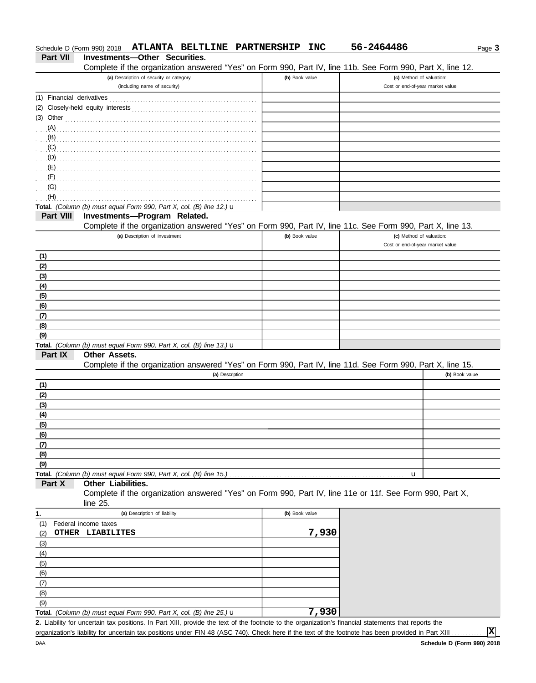# Schedule D (Form 990) 2018 **ATLANTA BELTLINE PARTNERSHIP INC 56-2464486**

# **Part VII Investments—Other Securities.**<br>Complete if the organization answe

Complete if the organization answered "Yes" on Form 990, Part IV, line 11b. See Form 990, Part X, line 12.

|                    | Complete if the organization answered "Yes" on Form 990, Part IV, line 11b. See Form 990, Part X, line 12.                                           |                |                                  |                |
|--------------------|------------------------------------------------------------------------------------------------------------------------------------------------------|----------------|----------------------------------|----------------|
|                    | (a) Description of security or category                                                                                                              | (b) Book value | (c) Method of valuation:         |                |
|                    | (including name of security)                                                                                                                         |                | Cost or end-of-year market value |                |
|                    |                                                                                                                                                      |                |                                  |                |
|                    |                                                                                                                                                      |                |                                  |                |
|                    | (3) Other $\ldots$ and $\ldots$ and $\ldots$ and $\ldots$ and $\ldots$ and $\ldots$ and $\ldots$ and $\ldots$                                        |                |                                  |                |
|                    |                                                                                                                                                      |                |                                  |                |
|                    |                                                                                                                                                      |                |                                  |                |
|                    |                                                                                                                                                      |                |                                  |                |
| . (D)              |                                                                                                                                                      |                |                                  |                |
| $\overline{E}$ (E) |                                                                                                                                                      |                |                                  |                |
| $\cdot$ (F)        |                                                                                                                                                      |                |                                  |                |
| (G)                |                                                                                                                                                      |                |                                  |                |
| (H)                |                                                                                                                                                      |                |                                  |                |
|                    | Total. (Column (b) must equal Form 990, Part X, col. (B) line 12.) u                                                                                 |                |                                  |                |
| Part VIII          | Investments-Program Related.                                                                                                                         |                |                                  |                |
|                    | Complete if the organization answered "Yes" on Form 990, Part IV, line 11c. See Form 990, Part X, line 13.                                           |                |                                  |                |
|                    | (a) Description of investment                                                                                                                        | (b) Book value | (c) Method of valuation:         |                |
|                    |                                                                                                                                                      |                | Cost or end-of-year market value |                |
| (1)                |                                                                                                                                                      |                |                                  |                |
| (2)                |                                                                                                                                                      |                |                                  |                |
| (3)                |                                                                                                                                                      |                |                                  |                |
| (4)                |                                                                                                                                                      |                |                                  |                |
| (5)                |                                                                                                                                                      |                |                                  |                |
| (6)                |                                                                                                                                                      |                |                                  |                |
| (7)                |                                                                                                                                                      |                |                                  |                |
| (8)                |                                                                                                                                                      |                |                                  |                |
|                    |                                                                                                                                                      |                |                                  |                |
| (9)                | Total. (Column (b) must equal Form 990, Part X, col. (B) line 13.) $\mathbf u$                                                                       |                |                                  |                |
| Part IX            | Other Assets.                                                                                                                                        |                |                                  |                |
|                    | Complete if the organization answered "Yes" on Form 990, Part IV, line 11d. See Form 990, Part X, line 15.                                           |                |                                  |                |
|                    | (a) Description                                                                                                                                      |                |                                  | (b) Book value |
|                    |                                                                                                                                                      |                |                                  |                |
| (1)                |                                                                                                                                                      |                |                                  |                |
| (2)                |                                                                                                                                                      |                |                                  |                |
| (3)                |                                                                                                                                                      |                |                                  |                |
| (4)                |                                                                                                                                                      |                |                                  |                |
| (5)                |                                                                                                                                                      |                |                                  |                |
| (6)                |                                                                                                                                                      |                |                                  |                |
| (7)                |                                                                                                                                                      |                |                                  |                |
| (8)                |                                                                                                                                                      |                |                                  |                |
| (9)                |                                                                                                                                                      |                |                                  |                |
|                    | Total. (Column (b) must equal Form 990, Part X, col. (B) line 15.)                                                                                   |                | u                                |                |
| Part X             | Other Liabilities.                                                                                                                                   |                |                                  |                |
|                    | Complete if the organization answered "Yes" on Form 990, Part IV, line 11e or 11f. See Form 990, Part X,                                             |                |                                  |                |
|                    | line $25$ .                                                                                                                                          |                |                                  |                |
| 1.                 | (a) Description of liability                                                                                                                         | (b) Book value |                                  |                |
| (1)                | Federal income taxes                                                                                                                                 |                |                                  |                |
| (2)                | OTHER LIABILITES                                                                                                                                     | 7,930          |                                  |                |
| (3)                |                                                                                                                                                      |                |                                  |                |
| (4)                |                                                                                                                                                      |                |                                  |                |
| (5)                |                                                                                                                                                      |                |                                  |                |
| (6)                |                                                                                                                                                      |                |                                  |                |
| (7)                |                                                                                                                                                      |                |                                  |                |
| (8)                |                                                                                                                                                      |                |                                  |                |
| (9)                |                                                                                                                                                      |                |                                  |                |
|                    | Total. (Column (b) must equal Form 990, Part X, col. (B) line 25.) $\mathbf u$                                                                       | 7,930          |                                  |                |
|                    | 2. Liability for uncertain tax positions. In Part XIII, provide the text of the footnote to the organization's financial statements that reports the |                |                                  |                |

organization's liability for uncertain tax positions under FIN 48 (ASC 740). Check here if the text of the footnote has been provided in Part XIII.

**X**

Page **3**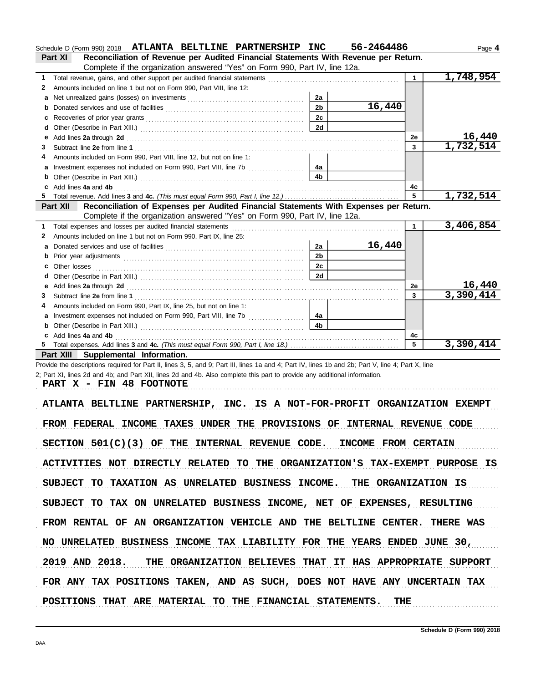|   | Schedule D (Form 990) 2018 ATLANTA BELTLINE PARTNERSHIP INC                                                                                                                                                                   | 56-2464486 |                 | Page 4    |
|---|-------------------------------------------------------------------------------------------------------------------------------------------------------------------------------------------------------------------------------|------------|-----------------|-----------|
|   | Reconciliation of Revenue per Audited Financial Statements With Revenue per Return.<br><b>Part XI</b>                                                                                                                         |            |                 |           |
|   | Complete if the organization answered "Yes" on Form 990, Part IV, line 12a.                                                                                                                                                   |            |                 |           |
| 1 |                                                                                                                                                                                                                               |            | $\mathbf{1}$    | 1,748,954 |
| 2 | Amounts included on line 1 but not on Form 990, Part VIII, line 12:                                                                                                                                                           |            |                 |           |
| a | 2a                                                                                                                                                                                                                            |            |                 |           |
| b | 2 <sub>b</sub>                                                                                                                                                                                                                | 16,440     |                 |           |
| c | 2c                                                                                                                                                                                                                            |            |                 |           |
| d | 2d                                                                                                                                                                                                                            |            |                 |           |
| е | Add lines 2a through 2d [11] and the contract of the contract of the contract of the contract of the contract of the contract of the contract of the contract of the contract of the contract of the contract of the contract |            | 2е              | 16,440    |
| 3 |                                                                                                                                                                                                                               |            | $\mathbf{3}$    | 1,732,514 |
|   | Amounts included on Form 990, Part VIII, line 12, but not on line 1:                                                                                                                                                          |            |                 |           |
|   | 4a                                                                                                                                                                                                                            |            |                 |           |
| b | 4 <sub>b</sub>                                                                                                                                                                                                                |            |                 |           |
|   | Add lines 4a and 4b                                                                                                                                                                                                           |            | 4c              |           |
|   | Total revenue. Add lines 3 and 4c. (This must equal Form 990, Part I, line 12.) <i>manumeronal content and the State</i>                                                                                                      |            | $5\phantom{.0}$ | 1,732,514 |
|   | Reconciliation of Expenses per Audited Financial Statements With Expenses per Return.<br>Part XII                                                                                                                             |            |                 |           |
|   | Complete if the organization answered "Yes" on Form 990, Part IV, line 12a.                                                                                                                                                   |            |                 |           |
| 1 |                                                                                                                                                                                                                               |            |                 | 3,406,854 |
| 2 | Amounts included on line 1 but not on Form 990, Part IX, line 25:                                                                                                                                                             |            |                 |           |
| a | 2a                                                                                                                                                                                                                            | 16,440     |                 |           |
| b | 2 <sub>b</sub>                                                                                                                                                                                                                |            |                 |           |
| с | 2c                                                                                                                                                                                                                            |            |                 |           |
|   | 2d                                                                                                                                                                                                                            |            |                 |           |
|   | Add lines 2a through 2d [11] and the contract of the contract of the contract of the contract of the contract of the contract of the contract of the contract of the contract of the contract of the contract of the contract |            | 2е              | 16,440    |
| 3 |                                                                                                                                                                                                                               |            | $\overline{3}$  | 3,390,414 |
|   | Amounts included on Form 990, Part IX, line 25, but not on line 1:                                                                                                                                                            |            |                 |           |
| a | -4a                                                                                                                                                                                                                           |            |                 |           |
| b | 4b                                                                                                                                                                                                                            |            |                 |           |
|   | Add lines 4a and 4b                                                                                                                                                                                                           |            | 4c              |           |
|   |                                                                                                                                                                                                                               |            | 5               | 3,390,414 |
|   | Part XIII Supplemental Information.                                                                                                                                                                                           |            |                 |           |

Provide the descriptions required for Part II, lines 3, 5, and 9; Part III, lines 1a and 4; Part IV, lines 1b and 2b; Part V, line 4; Part X, line 2; Part XI, lines 2d and 4b; and Part XII, lines 2d and 4b. Also complete this part to provide any additional information.

**PART X - FIN 48 FOOTNOTE**

ATLANTA BELTLINE PARTNERSHIP, INC. IS A NOT-FOR-PROFIT ORGANIZATION EXEMPT FROM FEDERAL INCOME TAXES UNDER THE PROVISIONS OF INTERNAL REVENUE CODE SECTION  $501(C)(3)$  OF THE INTERNAL REVENUE CODE. INCOME FROM CERTAIN ACTIVITIES NOT DIRECTLY RELATED TO THE ORGANIZATION'S TAX-EXEMPT PURPOSE IS SUBJECT TO TAXATION AS UNRELATED BUSINESS INCOME. THE ORGANIZATION IS SUBJECT TO TAX ON UNRELATED BUSINESS INCOME, NET OF EXPENSES, RESULTING 2019 AND 2018. THE ORGANIZATION BELIEVES THAT IT HAS APPROPRIATE SUPPORT FROM RENTAL OF AN ORGANIZATION VEHICLE AND THE BELTLINE CENTER. THERE WAS NO UNRELATED BUSINESS INCOME TAX LIABILITY FOR THE YEARS ENDED JUNE 30, FOR ANY TAX POSITIONS TAKEN, AND AS SUCH, DOES NOT HAVE ANY UNCERTAIN TAX POSITIONS THAT ARE MATERIAL TO THE FINANCIAL STATEMENTS. THE

. . . . . . . . . . . . . . . . . . . . . . . . . . . . . . . . . . . . . . . . . . . . . . . . . . . . . . . . . . . . . . . . . . . . . . . . . . . . . . . . . . . . . . . . . . . . . . . . . . . . . . . . . . . . . . . . . . . . . . . . . . . . . . . . . . . . . . . . . . . . . . . . . . . . . . . . . . . . . . . . . . . . . .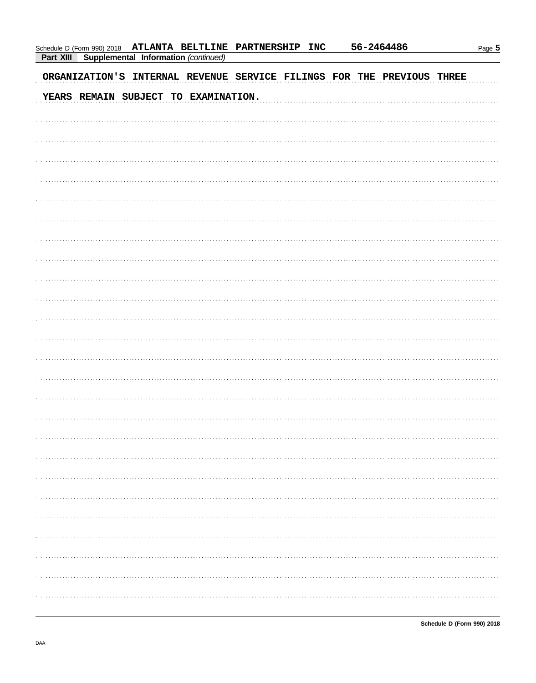| Part XIII | Supplemental Information (continued) | Schedule D (Form 990) 2018 ATLANTA BELTLINE PARTNERSHIP INC |  | 56-2464486 |          | Page 5       |
|-----------|--------------------------------------|-------------------------------------------------------------|--|------------|----------|--------------|
|           |                                      | ORGANIZATION'S INTERNAL REVENUE SERVICE FILINGS FOR THE     |  |            | PREVIOUS | <b>THREE</b> |
|           |                                      | YEARS REMAIN SUBJECT TO EXAMINATION.                        |  |            |          |              |
|           |                                      |                                                             |  |            |          |              |
|           |                                      |                                                             |  |            |          |              |
|           |                                      |                                                             |  |            |          |              |
|           |                                      |                                                             |  |            |          |              |
|           |                                      |                                                             |  |            |          |              |
|           |                                      |                                                             |  |            |          |              |
|           |                                      |                                                             |  |            |          |              |
|           |                                      |                                                             |  |            |          |              |
|           |                                      |                                                             |  |            |          |              |
|           |                                      |                                                             |  |            |          |              |
|           |                                      |                                                             |  |            |          |              |
|           |                                      |                                                             |  |            |          |              |
|           |                                      |                                                             |  |            |          |              |
|           |                                      |                                                             |  |            |          |              |
|           |                                      |                                                             |  |            |          |              |
|           |                                      |                                                             |  |            |          |              |
|           |                                      |                                                             |  |            |          |              |
|           |                                      |                                                             |  |            |          |              |
|           |                                      |                                                             |  |            |          |              |
|           |                                      |                                                             |  |            |          |              |
|           |                                      |                                                             |  |            |          |              |
|           |                                      |                                                             |  |            |          |              |
|           |                                      |                                                             |  |            |          |              |
|           |                                      |                                                             |  |            |          |              |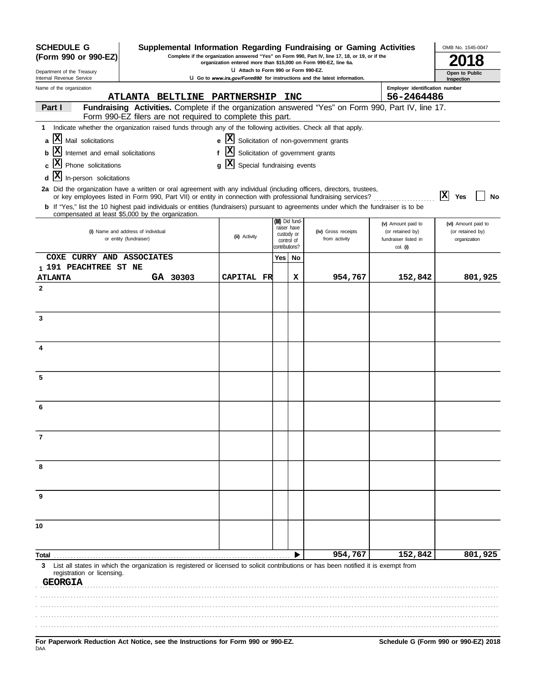| <b>SCHEDULE G</b>                                                                                                                     |                                    |                                                            |                                        |                 |                           | Supplemental Information Regarding Fundraising or Gaming Activities                                                                                                 |                                  | OMB No. 1545-0047            |
|---------------------------------------------------------------------------------------------------------------------------------------|------------------------------------|------------------------------------------------------------|----------------------------------------|-----------------|---------------------------|---------------------------------------------------------------------------------------------------------------------------------------------------------------------|----------------------------------|------------------------------|
| (Form 990 or 990-EZ)                                                                                                                  |                                    |                                                            |                                        |                 |                           | Complete if the organization answered "Yes" on Form 990, Part IV, line 17, 18, or 19, or if the<br>organization entered more than \$15,000 on Form 990-EZ, line 6a. |                                  |                              |
| Department of the Treasury<br>Internal Revenue Service                                                                                |                                    |                                                            | LI Attach to Form 990 or Form 990-EZ.  |                 |                           | U Go to www.irs.gov/Form990 for instructions and the latest information.                                                                                            |                                  | Open to Public<br>Inspection |
| Name of the organization                                                                                                              |                                    |                                                            |                                        |                 |                           |                                                                                                                                                                     | Employer identification number   |                              |
|                                                                                                                                       |                                    | ATLANTA BELTLINE PARTNERSHIP                               |                                        |                 | <b>INC</b>                |                                                                                                                                                                     | 56-2464486                       |                              |
| Part I                                                                                                                                |                                    |                                                            |                                        |                 |                           | Fundraising Activities. Complete if the organization answered "Yes" on Form 990, Part IV, line 17.                                                                  |                                  |                              |
| Indicate whether the organization raised funds through any of the following activities. Check all that apply.<br>$\mathbf{1}$         |                                    | Form 990-EZ filers are not required to complete this part. |                                        |                 |                           |                                                                                                                                                                     |                                  |                              |
| X <br>Mail solicitations                                                                                                              |                                    |                                                            |                                        |                 |                           | Solicitation of non-government grants                                                                                                                               |                                  |                              |
| a<br> X                                                                                                                               |                                    |                                                            | e<br>$\mathbf{x}$                      |                 |                           |                                                                                                                                                                     |                                  |                              |
| Internet and email solicitations<br>b<br> X                                                                                           |                                    |                                                            | f                                      |                 |                           | Solicitation of government grants                                                                                                                                   |                                  |                              |
| Phone solicitations<br>c                                                                                                              |                                    |                                                            | ΙXΙ<br>Special fundraising events<br>q |                 |                           |                                                                                                                                                                     |                                  |                              |
| 쬐<br>In-person solicitations<br>d                                                                                                     |                                    |                                                            |                                        |                 |                           |                                                                                                                                                                     |                                  |                              |
| 2a Did the organization have a written or oral agreement with any individual (including officers, directors, trustees,                |                                    |                                                            |                                        |                 |                           | or key employees listed in Form 990, Part VII) or entity in connection with professional fundraising services?                                                      |                                  | ΙX<br>No<br>Yes              |
| b If "Yes," list the 10 highest paid individuals or entities (fundraisers) pursuant to agreements under which the fundraiser is to be |                                    |                                                            |                                        |                 |                           |                                                                                                                                                                     |                                  |                              |
| compensated at least \$5,000 by the organization.                                                                                     |                                    |                                                            |                                        | (iii) Did fund- |                           |                                                                                                                                                                     | (v) Amount paid to               | (vi) Amount paid to          |
|                                                                                                                                       | (i) Name and address of individual |                                                            | (ii) Activity                          |                 | raiser have<br>custody or | (iv) Gross receipts                                                                                                                                                 | (or retained by)                 | (or retained by)             |
|                                                                                                                                       | or entity (fundraiser)             |                                                            |                                        | contributions?  | control of                | from activity                                                                                                                                                       | fundraiser listed in<br>col. (i) | organization                 |
| COXE CURRY AND ASSOCIATES                                                                                                             |                                    |                                                            |                                        | <b>Yes</b>      | No                        |                                                                                                                                                                     |                                  |                              |
| 1 191 PEACHTREE ST NE                                                                                                                 |                                    |                                                            |                                        |                 |                           |                                                                                                                                                                     |                                  |                              |
| <b>ATLANTA</b>                                                                                                                        |                                    | GA 30303                                                   | <b>CAPITAL FR</b>                      |                 | х                         | 954,767                                                                                                                                                             | 152,842                          | 801,925                      |
| $\mathbf{2}$                                                                                                                          |                                    |                                                            |                                        |                 |                           |                                                                                                                                                                     |                                  |                              |
|                                                                                                                                       |                                    |                                                            |                                        |                 |                           |                                                                                                                                                                     |                                  |                              |
| 3                                                                                                                                     |                                    |                                                            |                                        |                 |                           |                                                                                                                                                                     |                                  |                              |
|                                                                                                                                       |                                    |                                                            |                                        |                 |                           |                                                                                                                                                                     |                                  |                              |
|                                                                                                                                       |                                    |                                                            |                                        |                 |                           |                                                                                                                                                                     |                                  |                              |
|                                                                                                                                       |                                    |                                                            |                                        |                 |                           |                                                                                                                                                                     |                                  |                              |
|                                                                                                                                       |                                    |                                                            |                                        |                 |                           |                                                                                                                                                                     |                                  |                              |
| 5                                                                                                                                     |                                    |                                                            |                                        |                 |                           |                                                                                                                                                                     |                                  |                              |
|                                                                                                                                       |                                    |                                                            |                                        |                 |                           |                                                                                                                                                                     |                                  |                              |
|                                                                                                                                       |                                    |                                                            |                                        |                 |                           |                                                                                                                                                                     |                                  |                              |
|                                                                                                                                       |                                    |                                                            |                                        |                 |                           |                                                                                                                                                                     |                                  |                              |
|                                                                                                                                       |                                    |                                                            |                                        |                 |                           |                                                                                                                                                                     |                                  |                              |
| 7                                                                                                                                     |                                    |                                                            |                                        |                 |                           |                                                                                                                                                                     |                                  |                              |
|                                                                                                                                       |                                    |                                                            |                                        |                 |                           |                                                                                                                                                                     |                                  |                              |
|                                                                                                                                       |                                    |                                                            |                                        |                 |                           |                                                                                                                                                                     |                                  |                              |
| 8                                                                                                                                     |                                    |                                                            |                                        |                 |                           |                                                                                                                                                                     |                                  |                              |
|                                                                                                                                       |                                    |                                                            |                                        |                 |                           |                                                                                                                                                                     |                                  |                              |
| 9                                                                                                                                     |                                    |                                                            |                                        |                 |                           |                                                                                                                                                                     |                                  |                              |
|                                                                                                                                       |                                    |                                                            |                                        |                 |                           |                                                                                                                                                                     |                                  |                              |
| 10                                                                                                                                    |                                    |                                                            |                                        |                 |                           |                                                                                                                                                                     |                                  |                              |
|                                                                                                                                       |                                    |                                                            |                                        |                 |                           |                                                                                                                                                                     |                                  |                              |
|                                                                                                                                       |                                    |                                                            |                                        |                 |                           |                                                                                                                                                                     |                                  |                              |
| Total                                                                                                                                 |                                    |                                                            |                                        |                 |                           | 954,767                                                                                                                                                             | 152,842                          | 801,925                      |
| 3<br>registration or licensing.<br><b>GEORGIA</b>                                                                                     |                                    |                                                            |                                        |                 |                           | List all states in which the organization is registered or licensed to solicit contributions or has been notified it is exempt from                                 |                                  |                              |
|                                                                                                                                       |                                    |                                                            |                                        |                 |                           |                                                                                                                                                                     |                                  |                              |
|                                                                                                                                       |                                    |                                                            |                                        |                 |                           |                                                                                                                                                                     |                                  |                              |
|                                                                                                                                       |                                    |                                                            |                                        |                 |                           |                                                                                                                                                                     |                                  |                              |
|                                                                                                                                       |                                    |                                                            |                                        |                 |                           |                                                                                                                                                                     |                                  |                              |
|                                                                                                                                       |                                    |                                                            |                                        |                 |                           |                                                                                                                                                                     |                                  |                              |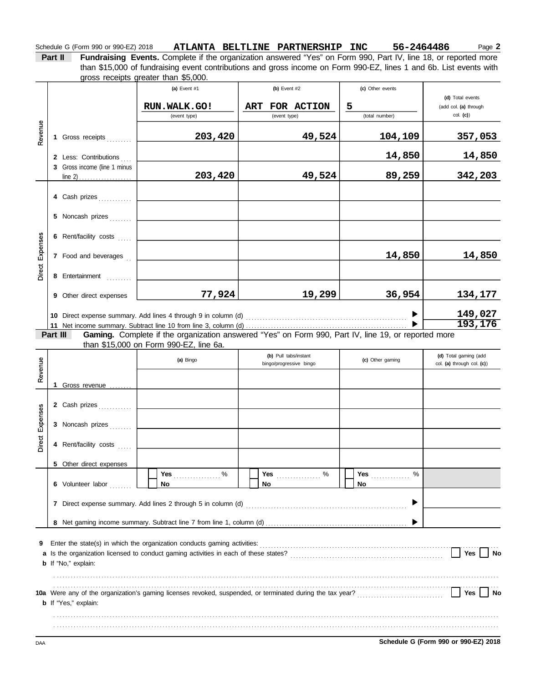# Schedule G (Form 990 or 990-EZ) 2018 ATLANTA BELTLINE PARTNERSHIP INC 56-2464486 Page 2

**Part II Fundraising Events.** Complete if the organization answered "Yes" on Form 990, Part IV, line 18, or reported more gross receipts greater than \$5,000. than \$15,000 of fundraising event contributions and gross income on Form 990-EZ, lines 1 and 6b. List events with

|                 |          |                              | gioos roocipto groator triair φο,ουσ.<br>(a) Event $#1$<br>RUN.WALK.GO!                             | (b) Event $#2$<br>FOR ACTION<br>ART              | (c) Other events<br>5 | (d) Total events<br>(add col. (a) through           |
|-----------------|----------|------------------------------|-----------------------------------------------------------------------------------------------------|--------------------------------------------------|-----------------------|-----------------------------------------------------|
|                 |          |                              | (event type)                                                                                        | (event type)                                     | (total number)        | col. (c)                                            |
| Revenue         |          | 1 Gross receipts             | 203,420                                                                                             | 49,524                                           | 104,109               | <u>357,053</u>                                      |
|                 |          | 2 Less: Contributions        |                                                                                                     |                                                  | 14,850                | 14,850                                              |
|                 |          | 3 Gross income (line 1 minus |                                                                                                     |                                                  |                       |                                                     |
|                 |          |                              | 203,420                                                                                             | 49,524                                           | 89,259                | 342,203                                             |
|                 |          | 4 Cash prizes                |                                                                                                     |                                                  |                       |                                                     |
|                 |          | 5 Noncash prizes             |                                                                                                     |                                                  |                       |                                                     |
| Expenses        |          | 6 Rent/facility costs        |                                                                                                     |                                                  |                       |                                                     |
|                 |          | 7 Food and beverages         |                                                                                                     |                                                  | 14,850                | 14,850                                              |
| Direct          |          | 8 Entertainment              |                                                                                                     |                                                  |                       |                                                     |
|                 |          | 9 Other direct expenses      | 77,924                                                                                              | 19,299                                           | 36,954                | 134,177                                             |
|                 |          |                              |                                                                                                     |                                                  |                       | 149,027                                             |
|                 |          |                              |                                                                                                     |                                                  |                       | 193,176                                             |
|                 | Part III |                              | Gaming. Complete if the organization answered "Yes" on Form 990, Part IV, line 19, or reported more |                                                  |                       |                                                     |
|                 |          |                              | than \$15,000 on Form 990-EZ, line 6a.                                                              |                                                  |                       |                                                     |
|                 |          |                              | (a) Bingo                                                                                           | (b) Pull tabs/instant<br>bingo/progressive bingo | (c) Other gaming      | (d) Total gaming (add<br>col. (a) through col. (c)) |
| Revenue         |          |                              |                                                                                                     |                                                  |                       |                                                     |
|                 |          | 1 Gross revenue              |                                                                                                     |                                                  |                       |                                                     |
|                 |          | 2 Cash prizes                |                                                                                                     |                                                  |                       |                                                     |
| Direct Expenses |          | 3 Noncash prizes             |                                                                                                     |                                                  |                       |                                                     |
|                 |          | 4 Rent/facility costs        |                                                                                                     |                                                  |                       |                                                     |
|                 |          | 5 Other direct expenses      |                                                                                                     |                                                  |                       |                                                     |
|                 |          | 6 Volunteer labor            | $\sim$ $\sim$<br>Yes<br>No                                                                          | %<br><b>Yes</b><br>No                            | <b>Yes</b><br>%<br>No |                                                     |
|                 |          |                              |                                                                                                     |                                                  |                       |                                                     |
|                 |          |                              |                                                                                                     |                                                  |                       |                                                     |
| 9               |          | <b>b</b> If "No," explain:   |                                                                                                     |                                                  |                       | Yes<br>No                                           |
|                 |          |                              |                                                                                                     |                                                  |                       |                                                     |
|                 |          | <b>b</b> If "Yes," explain:  |                                                                                                     |                                                  |                       | Yes<br>No                                           |
|                 |          |                              |                                                                                                     |                                                  |                       |                                                     |

DAA **Schedule G (Form 990 or 990-EZ) 2018**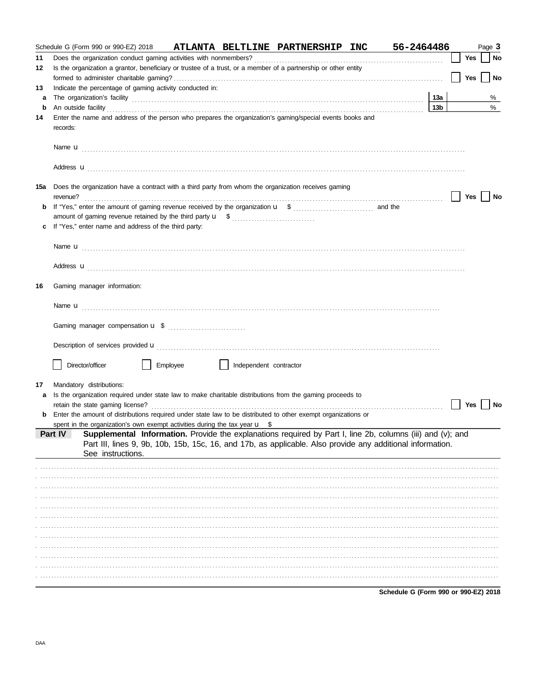|     |          | Schedule G (Form 990 or 990-EZ) 2018                                                                                                                                                                                                          |          | ATLANTA BELTLINE PARTNERSHIP INC |                        |  |  |  | 56-2464486                           |     | Page 3 |
|-----|----------|-----------------------------------------------------------------------------------------------------------------------------------------------------------------------------------------------------------------------------------------------|----------|----------------------------------|------------------------|--|--|--|--------------------------------------|-----|--------|
| 11  |          |                                                                                                                                                                                                                                               |          |                                  |                        |  |  |  |                                      | Yes | No     |
| 12  |          | Is the organization a grantor, beneficiary or trustee of a trust, or a member of a partnership or other entity                                                                                                                                |          |                                  |                        |  |  |  |                                      |     |        |
|     |          |                                                                                                                                                                                                                                               |          |                                  |                        |  |  |  |                                      | Yes | No     |
| 13  |          | Indicate the percentage of gaming activity conducted in:                                                                                                                                                                                      |          |                                  |                        |  |  |  |                                      |     |        |
| a   |          | The organization's facility contained and contained and contained and contained and contained and contained and contained and contained and contained and contained and contained and contained and contained and contained an                |          |                                  |                        |  |  |  | 13a                                  |     | %      |
| b   |          | An outside facility <i>contained a contained a contained a contained a contained a contained a contained a contained a</i>                                                                                                                    |          |                                  |                        |  |  |  | 13b                                  |     | %      |
| 14  | records: | Enter the name and address of the person who prepares the organization's gaming/special events books and                                                                                                                                      |          |                                  |                        |  |  |  |                                      |     |        |
|     |          |                                                                                                                                                                                                                                               |          |                                  |                        |  |  |  |                                      |     |        |
|     |          | Address <b>u</b>                                                                                                                                                                                                                              |          |                                  |                        |  |  |  |                                      |     |        |
| 15a | revenue? | Does the organization have a contract with a third party from whom the organization receives gaming                                                                                                                                           |          |                                  |                        |  |  |  |                                      | Yes | No     |
| b   |          |                                                                                                                                                                                                                                               |          |                                  |                        |  |  |  |                                      |     |        |
|     |          |                                                                                                                                                                                                                                               |          |                                  |                        |  |  |  |                                      |     |        |
|     |          | If "Yes," enter name and address of the third party:                                                                                                                                                                                          |          |                                  |                        |  |  |  |                                      |     |        |
|     |          |                                                                                                                                                                                                                                               |          |                                  |                        |  |  |  |                                      |     |        |
|     |          | Address <b>u</b>                                                                                                                                                                                                                              |          |                                  |                        |  |  |  |                                      |     |        |
| 16  |          | Gaming manager information:                                                                                                                                                                                                                   |          |                                  |                        |  |  |  |                                      |     |        |
|     |          |                                                                                                                                                                                                                                               |          |                                  |                        |  |  |  |                                      |     |        |
|     |          |                                                                                                                                                                                                                                               |          |                                  |                        |  |  |  |                                      |     |        |
|     |          |                                                                                                                                                                                                                                               |          |                                  |                        |  |  |  |                                      |     |        |
|     |          | Director/officer                                                                                                                                                                                                                              | Employee |                                  | Independent contractor |  |  |  |                                      |     |        |
| 17  |          | Mandatory distributions:                                                                                                                                                                                                                      |          |                                  |                        |  |  |  |                                      |     |        |
|     |          | Is the organization required under state law to make charitable distributions from the gaming proceeds to                                                                                                                                     |          |                                  |                        |  |  |  |                                      |     |        |
|     |          |                                                                                                                                                                                                                                               |          |                                  |                        |  |  |  |                                      | Yes | No     |
|     |          | <b>b</b> Enter the amount of distributions required under state law to be distributed to other exempt organizations or                                                                                                                        |          |                                  |                        |  |  |  |                                      |     |        |
|     |          | spent in the organization's own exempt activities during the tax year $\mathbf{u}$ \$                                                                                                                                                         |          |                                  |                        |  |  |  |                                      |     |        |
|     | Part IV  | Supplemental Information. Provide the explanations required by Part I, line 2b, columns (iii) and (v); and<br>Part III, lines 9, 9b, 10b, 15b, 15c, 16, and 17b, as applicable. Also provide any additional information.<br>See instructions. |          |                                  |                        |  |  |  |                                      |     |        |
|     |          |                                                                                                                                                                                                                                               |          |                                  |                        |  |  |  |                                      |     |        |
|     |          |                                                                                                                                                                                                                                               |          |                                  |                        |  |  |  |                                      |     |        |
|     |          |                                                                                                                                                                                                                                               |          |                                  |                        |  |  |  |                                      |     |        |
|     |          |                                                                                                                                                                                                                                               |          |                                  |                        |  |  |  |                                      |     |        |
|     |          |                                                                                                                                                                                                                                               |          |                                  |                        |  |  |  |                                      |     |        |
|     |          |                                                                                                                                                                                                                                               |          |                                  |                        |  |  |  |                                      |     |        |
|     |          |                                                                                                                                                                                                                                               |          |                                  |                        |  |  |  |                                      |     |        |
|     |          |                                                                                                                                                                                                                                               |          |                                  |                        |  |  |  |                                      |     |        |
|     |          |                                                                                                                                                                                                                                               |          |                                  |                        |  |  |  |                                      |     |        |
|     |          |                                                                                                                                                                                                                                               |          |                                  |                        |  |  |  |                                      |     |        |
|     |          |                                                                                                                                                                                                                                               |          |                                  |                        |  |  |  |                                      |     |        |
|     |          |                                                                                                                                                                                                                                               |          |                                  |                        |  |  |  |                                      |     |        |
|     |          |                                                                                                                                                                                                                                               |          |                                  |                        |  |  |  | Schedule G (Form 990 or 990-EZ) 2018 |     |        |

DAA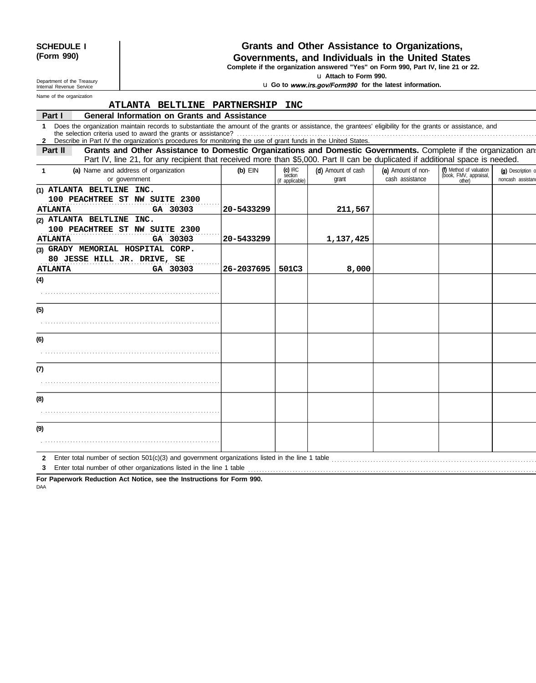| <b>SCHEDULE I</b><br>(Form 990)                                                                                                                                                                                                                                                               |                                                                                                                               |            |                                         | <b>Grants and Other Assistance to Organizations,</b><br>Governments, and Individuals in the United States<br>Complete if the organization answered "Yes" on Form 990, Part IV, line 21 or 22.<br>u Attach to Form 990. |                                       |                                                             |                                     |  |  |  |  |
|-----------------------------------------------------------------------------------------------------------------------------------------------------------------------------------------------------------------------------------------------------------------------------------------------|-------------------------------------------------------------------------------------------------------------------------------|------------|-----------------------------------------|------------------------------------------------------------------------------------------------------------------------------------------------------------------------------------------------------------------------|---------------------------------------|-------------------------------------------------------------|-------------------------------------|--|--|--|--|
| Department of the Treasury<br>Internal Revenue Service                                                                                                                                                                                                                                        | u Go to www.irs.gov/Form990 for the latest information.                                                                       |            |                                         |                                                                                                                                                                                                                        |                                       |                                                             |                                     |  |  |  |  |
| Name of the organization                                                                                                                                                                                                                                                                      |                                                                                                                               |            |                                         |                                                                                                                                                                                                                        |                                       |                                                             |                                     |  |  |  |  |
|                                                                                                                                                                                                                                                                                               | ATLANTA BELTLINE PARTNERSHIP<br><b>INC</b>                                                                                    |            |                                         |                                                                                                                                                                                                                        |                                       |                                                             |                                     |  |  |  |  |
| Part I                                                                                                                                                                                                                                                                                        | <b>General Information on Grants and Assistance</b>                                                                           |            |                                         |                                                                                                                                                                                                                        |                                       |                                                             |                                     |  |  |  |  |
| Does the organization maintain records to substantiate the amount of the grants or assistance, the grantees' eligibility for the grants or assistance, and<br>$\mathbf{1}$<br>2 Describe in Part IV the organization's procedures for monitoring the use of grant funds in the United States. |                                                                                                                               |            |                                         |                                                                                                                                                                                                                        |                                       |                                                             |                                     |  |  |  |  |
| Part II                                                                                                                                                                                                                                                                                       | Grants and Other Assistance to Domestic Organizations and Domestic Governments. Complete if the organization an               |            |                                         |                                                                                                                                                                                                                        |                                       |                                                             |                                     |  |  |  |  |
|                                                                                                                                                                                                                                                                                               | Part IV, line 21, for any recipient that received more than \$5,000. Part II can be duplicated if additional space is needed. |            |                                         |                                                                                                                                                                                                                        |                                       |                                                             |                                     |  |  |  |  |
| (a) Name and address of organization<br>$\mathbf{1}$<br>or government                                                                                                                                                                                                                         |                                                                                                                               | $(b)$ EIN  | $(c)$ IRC<br>section<br>(if applicable) | (d) Amount of cash<br>grant                                                                                                                                                                                            | (e) Amount of non-<br>cash assistance | (f) Method of valuation<br>(book, FMV, appraisal,<br>other) | (g) Description<br>noncash assistan |  |  |  |  |
| (1) ATLANTA BELTLINE INC.<br>100 PEACHTREE ST NW SUITE 2300                                                                                                                                                                                                                                   |                                                                                                                               |            |                                         |                                                                                                                                                                                                                        |                                       |                                                             |                                     |  |  |  |  |
| <b>ATLANTA</b>                                                                                                                                                                                                                                                                                | GA 30303                                                                                                                      | 20-5433299 |                                         | 211,567                                                                                                                                                                                                                |                                       |                                                             |                                     |  |  |  |  |
| (2) ATLANTA BELTLINE INC.<br>100 PEACHTREE ST NW SUITE 2300                                                                                                                                                                                                                                   |                                                                                                                               |            |                                         |                                                                                                                                                                                                                        |                                       |                                                             |                                     |  |  |  |  |
| <b>ATLANTA</b><br>(3) GRADY MEMORIAL HOSPITAL CORP.                                                                                                                                                                                                                                           | GA 30303                                                                                                                      | 20-5433299 |                                         | 1,137,425                                                                                                                                                                                                              |                                       |                                                             |                                     |  |  |  |  |
| 80 JESSE HILL JR. DRIVE, SE                                                                                                                                                                                                                                                                   |                                                                                                                               |            |                                         |                                                                                                                                                                                                                        |                                       |                                                             |                                     |  |  |  |  |
| <b>ATLANTA</b>                                                                                                                                                                                                                                                                                | GA 30303                                                                                                                      | 26-2037695 | 501C3                                   | 8,000                                                                                                                                                                                                                  |                                       |                                                             |                                     |  |  |  |  |
| (4)                                                                                                                                                                                                                                                                                           |                                                                                                                               |            |                                         |                                                                                                                                                                                                                        |                                       |                                                             |                                     |  |  |  |  |
|                                                                                                                                                                                                                                                                                               |                                                                                                                               |            |                                         |                                                                                                                                                                                                                        |                                       |                                                             |                                     |  |  |  |  |
| (5)                                                                                                                                                                                                                                                                                           |                                                                                                                               |            |                                         |                                                                                                                                                                                                                        |                                       |                                                             |                                     |  |  |  |  |
|                                                                                                                                                                                                                                                                                               |                                                                                                                               |            |                                         |                                                                                                                                                                                                                        |                                       |                                                             |                                     |  |  |  |  |
| (6)                                                                                                                                                                                                                                                                                           |                                                                                                                               |            |                                         |                                                                                                                                                                                                                        |                                       |                                                             |                                     |  |  |  |  |
|                                                                                                                                                                                                                                                                                               |                                                                                                                               |            |                                         |                                                                                                                                                                                                                        |                                       |                                                             |                                     |  |  |  |  |
| (7)                                                                                                                                                                                                                                                                                           |                                                                                                                               |            |                                         |                                                                                                                                                                                                                        |                                       |                                                             |                                     |  |  |  |  |
|                                                                                                                                                                                                                                                                                               |                                                                                                                               |            |                                         |                                                                                                                                                                                                                        |                                       |                                                             |                                     |  |  |  |  |
| (8)                                                                                                                                                                                                                                                                                           |                                                                                                                               |            |                                         |                                                                                                                                                                                                                        |                                       |                                                             |                                     |  |  |  |  |
|                                                                                                                                                                                                                                                                                               |                                                                                                                               |            |                                         |                                                                                                                                                                                                                        |                                       |                                                             |                                     |  |  |  |  |
| (9)                                                                                                                                                                                                                                                                                           |                                                                                                                               |            |                                         |                                                                                                                                                                                                                        |                                       |                                                             |                                     |  |  |  |  |
|                                                                                                                                                                                                                                                                                               |                                                                                                                               |            |                                         |                                                                                                                                                                                                                        |                                       |                                                             |                                     |  |  |  |  |
| 2 Enter total number of section 501(c)(3) and government organizations listed in the line 1 table                                                                                                                                                                                             |                                                                                                                               |            |                                         |                                                                                                                                                                                                                        |                                       |                                                             |                                     |  |  |  |  |

**3** Enter total number of other organizations listed in the line 1 table  $\,\,\ldots\, \,\ldots\, \,\ldots\, \,\ldots\, \,\ldots\, \,\ldots\, \,\ldots\, \,\ldots\, \,\ldots\, \,\ldots\, \,\ldots\, \,\ldots\, \,\ldots\, \,\ldots\, \,\ldots\, \,\ldots\, \,\ldots\, \,\ldots\, \,\ldots\, \,\ldots\, \,\ldots\, \,\ldots\, \,\ldots\, \,\ldots\, \,\ldots\,$ 

**For Paperwork Reduction Act Notice, see the Instructions for Form 990.**

DAA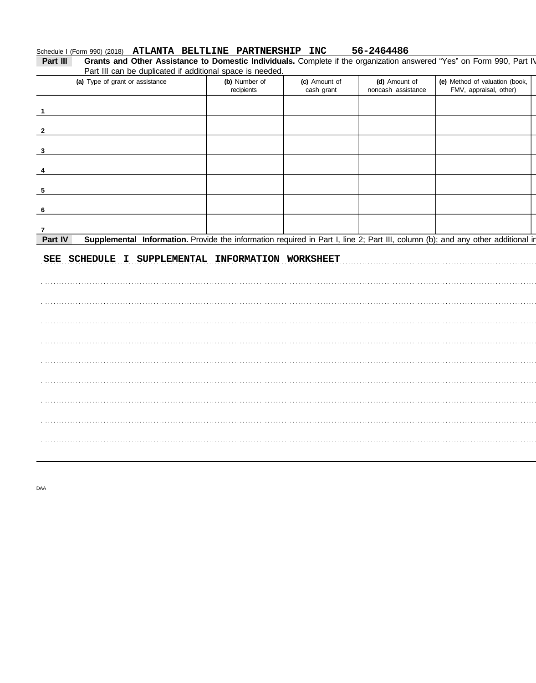### Schedule I (Form 990) (2018) ATLANTA BELTLINE PARTNERSHIP INC 56-2464486

| Part III<br><b>Grants and Other Assistance to Domestic Individuals.</b> Complete if the organization answered "Yes" on Form 990, Part IV   |               |               |                    |                                |  |
|--------------------------------------------------------------------------------------------------------------------------------------------|---------------|---------------|--------------------|--------------------------------|--|
| Part III can be duplicated if additional space is needed.<br>(a) Type of grant or assistance                                               | (b) Number of | (c) Amount of | (d) Amount of      | (e) Method of valuation (book, |  |
|                                                                                                                                            | recipients    | cash grant    | noncash assistance | FMV, appraisal, other)         |  |
|                                                                                                                                            |               |               |                    |                                |  |
| -1                                                                                                                                         |               |               |                    |                                |  |
|                                                                                                                                            |               |               |                    |                                |  |
| $\overline{\mathbf{2}}$                                                                                                                    |               |               |                    |                                |  |
|                                                                                                                                            |               |               |                    |                                |  |
| $\mathbf{3}$                                                                                                                               |               |               |                    |                                |  |
|                                                                                                                                            |               |               |                    |                                |  |
| 4                                                                                                                                          |               |               |                    |                                |  |
|                                                                                                                                            |               |               |                    |                                |  |
| 5                                                                                                                                          |               |               |                    |                                |  |
|                                                                                                                                            |               |               |                    |                                |  |
| 6                                                                                                                                          |               |               |                    |                                |  |
| 7                                                                                                                                          |               |               |                    |                                |  |
| Part IV<br>Supplemental Information. Provide the information required in Part I, line 2; Part III, column (b); and any other additional in |               |               |                    |                                |  |
|                                                                                                                                            |               |               |                    |                                |  |
| SEE SCHEDULE I SUPPLEMENTAL INFORMATION WORKSHEET                                                                                          |               |               |                    |                                |  |
|                                                                                                                                            |               |               |                    |                                |  |
|                                                                                                                                            |               |               |                    |                                |  |
|                                                                                                                                            |               |               |                    |                                |  |
|                                                                                                                                            |               |               |                    |                                |  |
|                                                                                                                                            |               |               |                    |                                |  |
|                                                                                                                                            |               |               |                    |                                |  |
|                                                                                                                                            |               |               |                    |                                |  |
|                                                                                                                                            |               |               |                    |                                |  |
|                                                                                                                                            |               |               |                    |                                |  |
|                                                                                                                                            |               |               |                    |                                |  |
|                                                                                                                                            |               |               |                    |                                |  |
|                                                                                                                                            |               |               |                    |                                |  |
|                                                                                                                                            |               |               |                    |                                |  |
|                                                                                                                                            |               |               |                    |                                |  |
|                                                                                                                                            |               |               |                    |                                |  |
|                                                                                                                                            |               |               |                    |                                |  |
|                                                                                                                                            |               |               |                    |                                |  |
|                                                                                                                                            |               |               |                    |                                |  |
|                                                                                                                                            |               |               |                    |                                |  |

 $\mathsf{DAA}$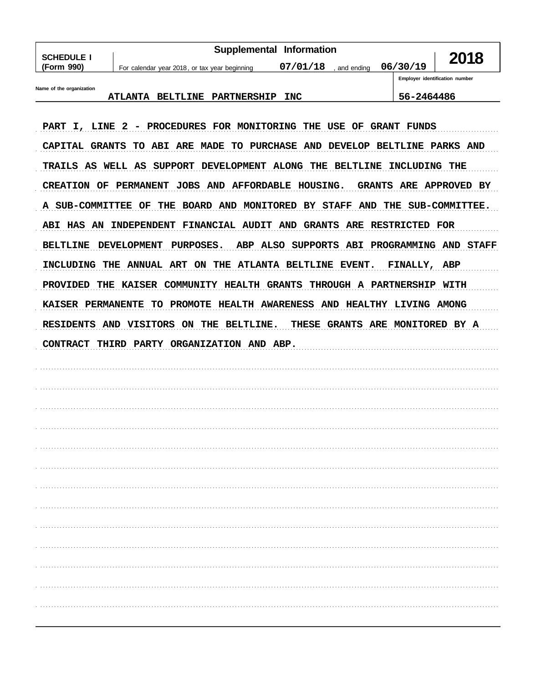| <b>SCHEDULE I</b> | Supplemental Information                      |                        |  |                                |      |  |  |  |  |
|-------------------|-----------------------------------------------|------------------------|--|--------------------------------|------|--|--|--|--|
| (Form 990)        | For calendar year 2018, or tax year beginning | 07/01/18<br>and ending |  | 06/30/19                       | 2018 |  |  |  |  |
|                   |                                               |                        |  | Employer identification number |      |  |  |  |  |

## ATLANTA BELTLINE PARTNERSHIP INC

Name of the organization

56-2464486

PART I, LINE 2 - PROCEDURES FOR MONITORING THE USE OF GRANT FUNDS CAPITAL GRANTS TO ABI ARE MADE TO PURCHASE AND DEVELOP BELTLINE PARKS AND TRAILS AS WELL AS SUPPORT DEVELOPMENT ALONG THE BELTLINE INCLUDING THE CREATION OF PERMANENT JOBS AND AFFORDABLE HOUSING. GRANTS ARE APPROVED BY A SUB-COMMITTEE OF THE BOARD AND MONITORED BY STAFF AND THE SUB-COMMITTEE. ABI HAS AN INDEPENDENT FINANCIAL AUDIT AND GRANTS ARE RESTRICTED FOR BELTLINE DEVELOPMENT PURPOSES. ABP ALSO SUPPORTS ABI PROGRAMMING AND STAFF INCLUDING THE ANNUAL ART ON THE ATLANTA BELTLINE EVENT. FINALLY, ABP PROVIDED THE KAISER COMMUNITY HEALTH GRANTS THROUGH A PARTNERSHIP WITH KAISER PERMANENTE TO PROMOTE HEALTH AWARENESS AND HEALTHY LIVING AMONG RESIDENTS AND VISITORS ON THE BELTLINE. THESE GRANTS ARE MONITORED BY A CONTRACT THIRD PARTY ORGANIZATION AND ABP.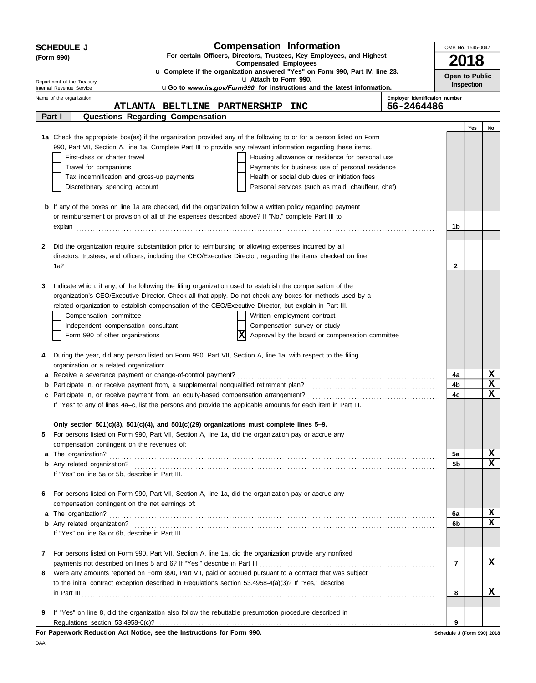|    | <b>SCHEDULE J</b>                                      |                                                                                                                                                                                                                                | <b>Compensation Information</b>                                                                                      | OMB No. 1545-0047              |            |             |
|----|--------------------------------------------------------|--------------------------------------------------------------------------------------------------------------------------------------------------------------------------------------------------------------------------------|----------------------------------------------------------------------------------------------------------------------|--------------------------------|------------|-------------|
|    | (Form 990)                                             |                                                                                                                                                                                                                                | For certain Officers, Directors, Trustees, Key Employees, and Highest                                                |                                | 2018       |             |
|    |                                                        |                                                                                                                                                                                                                                | <b>Compensated Employees</b><br>u Complete if the organization answered "Yes" on Form 990, Part IV, line 23.         |                                |            |             |
|    | Department of the Treasury                             |                                                                                                                                                                                                                                | u Attach to Form 990.                                                                                                | Open to Public                 | Inspection |             |
|    | Internal Revenue Service                               |                                                                                                                                                                                                                                | uGo to www.irs.gov/Form990 for instructions and the latest information.                                              | Employer identification number |            |             |
|    | Name of the organization                               | <b>ATLANTA BELTLINE PARTNERSHIP INC</b>                                                                                                                                                                                        |                                                                                                                      | 56-2464486                     |            |             |
|    | Part I                                                 | Questions Regarding Compensation                                                                                                                                                                                               |                                                                                                                      |                                |            |             |
|    |                                                        |                                                                                                                                                                                                                                |                                                                                                                      |                                | Yes        | No          |
|    |                                                        |                                                                                                                                                                                                                                | 1a Check the appropriate box(es) if the organization provided any of the following to or for a person listed on Form |                                |            |             |
|    |                                                        |                                                                                                                                                                                                                                | 990, Part VII, Section A, line 1a. Complete Part III to provide any relevant information regarding these items.      |                                |            |             |
|    | First-class or charter travel<br>Travel for companions |                                                                                                                                                                                                                                | Housing allowance or residence for personal use<br>Payments for business use of personal residence                   |                                |            |             |
|    |                                                        | Tax indemnification and gross-up payments                                                                                                                                                                                      | Health or social club dues or initiation fees                                                                        |                                |            |             |
|    | Discretionary spending account                         |                                                                                                                                                                                                                                | Personal services (such as maid, chauffeur, chef)                                                                    |                                |            |             |
|    |                                                        |                                                                                                                                                                                                                                |                                                                                                                      |                                |            |             |
|    |                                                        |                                                                                                                                                                                                                                | <b>b</b> If any of the boxes on line 1a are checked, did the organization follow a written policy regarding payment  |                                |            |             |
|    |                                                        | or reimbursement or provision of all of the expenses described above? If "No," complete Part III to                                                                                                                            |                                                                                                                      | 1b                             |            |             |
|    |                                                        | explain continuous contract and continuous contract of the contract of the contract of the contract of the contract of the contract of the contract of the contract of the contract of the contract of the contract of the con |                                                                                                                      |                                |            |             |
| 2  |                                                        | Did the organization require substantiation prior to reimbursing or allowing expenses incurred by all                                                                                                                          |                                                                                                                      |                                |            |             |
|    |                                                        |                                                                                                                                                                                                                                | directors, trustees, and officers, including the CEO/Executive Director, regarding the items checked on line         |                                |            |             |
|    |                                                        |                                                                                                                                                                                                                                |                                                                                                                      | 2                              |            |             |
| 3  |                                                        | Indicate which, if any, of the following the filing organization used to establish the compensation of the                                                                                                                     |                                                                                                                      |                                |            |             |
|    |                                                        |                                                                                                                                                                                                                                | organization's CEO/Executive Director. Check all that apply. Do not check any boxes for methods used by a            |                                |            |             |
|    |                                                        | related organization to establish compensation of the CEO/Executive Director, but explain in Part III.                                                                                                                         |                                                                                                                      |                                |            |             |
|    | Compensation committee                                 |                                                                                                                                                                                                                                | Written employment contract                                                                                          |                                |            |             |
|    |                                                        | Independent compensation consultant                                                                                                                                                                                            | Compensation survey or study                                                                                         |                                |            |             |
|    | Form 990 of other organizations                        |                                                                                                                                                                                                                                | ΙXΙ<br>Approval by the board or compensation committee                                                               |                                |            |             |
|    |                                                        |                                                                                                                                                                                                                                |                                                                                                                      |                                |            |             |
| 4  | organization or a related organization:                | During the year, did any person listed on Form 990, Part VII, Section A, line 1a, with respect to the filing                                                                                                                   |                                                                                                                      |                                |            |             |
|    |                                                        | a Receive a severance payment or change-of-control payment?                                                                                                                                                                    |                                                                                                                      | 4a                             |            | х           |
|    |                                                        |                                                                                                                                                                                                                                |                                                                                                                      | 4b                             |            | X           |
|    |                                                        |                                                                                                                                                                                                                                |                                                                                                                      | 4c                             |            | $\mathbf x$ |
|    |                                                        |                                                                                                                                                                                                                                | If "Yes" to any of lines 4a-c, list the persons and provide the applicable amounts for each item in Part III.        |                                |            |             |
|    |                                                        | Only section $501(c)(3)$ , $501(c)(4)$ , and $501(c)(29)$ organizations must complete lines 5–9.                                                                                                                               |                                                                                                                      |                                |            |             |
| 5. |                                                        | For persons listed on Form 990, Part VII, Section A, line 1a, did the organization pay or accrue any                                                                                                                           |                                                                                                                      |                                |            |             |
|    |                                                        | compensation contingent on the revenues of:                                                                                                                                                                                    |                                                                                                                      |                                |            |             |
|    | a The organization?                                    |                                                                                                                                                                                                                                |                                                                                                                      | 5a                             |            | X           |
|    |                                                        |                                                                                                                                                                                                                                |                                                                                                                      | 5b                             |            | $\mathbf x$ |
|    |                                                        | If "Yes" on line 5a or 5b, describe in Part III.                                                                                                                                                                               |                                                                                                                      |                                |            |             |
| 6  |                                                        | For persons listed on Form 990, Part VII, Section A, line 1a, did the organization pay or accrue any                                                                                                                           |                                                                                                                      |                                |            |             |
|    |                                                        | compensation contingent on the net earnings of:                                                                                                                                                                                |                                                                                                                      |                                |            |             |
|    |                                                        |                                                                                                                                                                                                                                |                                                                                                                      | 6а                             |            | X           |
|    |                                                        |                                                                                                                                                                                                                                |                                                                                                                      | 6b                             |            | $\mathbf x$ |
|    |                                                        | If "Yes" on line 6a or 6b, describe in Part III.                                                                                                                                                                               |                                                                                                                      |                                |            |             |
| 7  |                                                        | For persons listed on Form 990, Part VII, Section A, line 1a, did the organization provide any nonfixed                                                                                                                        |                                                                                                                      |                                |            |             |
|    |                                                        | payments not described on lines 5 and 6? If "Yes," describe in Part III                                                                                                                                                        |                                                                                                                      | $\overline{7}$                 |            | x           |
| 8  |                                                        |                                                                                                                                                                                                                                | Were any amounts reported on Form 990, Part VII, paid or accrued pursuant to a contract that was subject             |                                |            |             |
|    |                                                        | to the initial contract exception described in Regulations section 53.4958-4(a)(3)? If "Yes," describe                                                                                                                         |                                                                                                                      |                                |            |             |
|    |                                                        |                                                                                                                                                                                                                                | $\ $ n Part III $\ $                                                                                                 | 8                              |            | x           |
|    |                                                        |                                                                                                                                                                                                                                |                                                                                                                      |                                |            |             |
| 9  |                                                        | If "Yes" on line 8, did the organization also follow the rebuttable presumption procedure described in                                                                                                                         |                                                                                                                      | 9                              |            |             |
|    |                                                        | For Paperwork Reduction Act Notice, see the Instructions for Form 990.                                                                                                                                                         |                                                                                                                      | Schedule J (Form 990) 2018     |            |             |

| For Paperwork Reduction Act Notice, see the Instructions for Fo |  |  |  |  |
|-----------------------------------------------------------------|--|--|--|--|
| DAA                                                             |  |  |  |  |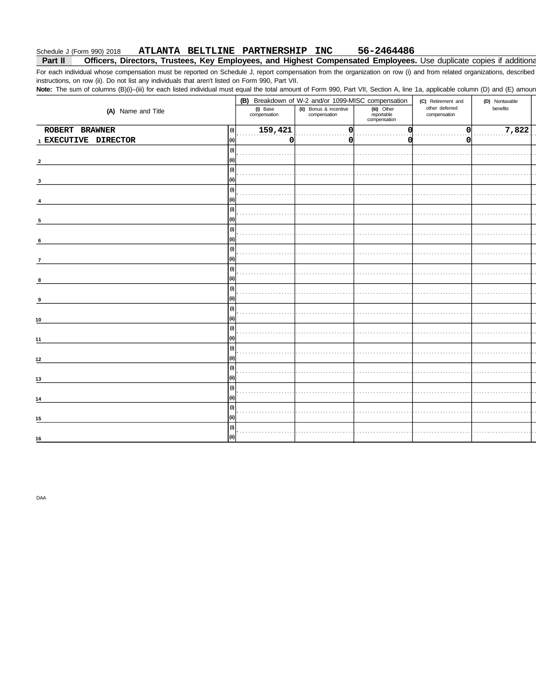### ATLANTA BELTLINE PARTNERSHIP INC 56-2464486 Schedule J (Form 990) 2018

### Part II Officers, Directors, Trustees, Key Employees, and Highest Compensated Employees. Use duplicate copies if additiona

For each individual whose compensation must be reported on Schedule J, report compensation from the organization on row (i) and from related organizations, described instructions, on row (ii). Do not list any individuals that aren't listed on Form 990, Part VII.

Note: The sum of columns (B)(i)-(iii) for each listed individual must equal the total amount of Form 990, Part VII, Section A, line 1a, applicable column (D) and (E) amoun

|                      |                              |                          | (B) Breakdown of W-2 and/or 1099-MISC compensation |                                           | (C) Retirement and             | (D) Nontaxable |  |
|----------------------|------------------------------|--------------------------|----------------------------------------------------|-------------------------------------------|--------------------------------|----------------|--|
| (A) Name and Title   |                              | (i) Base<br>compensation | (ii) Bonus & incentive<br>compensation             | (iii) Other<br>reportable<br>compensation | other deferred<br>compensation | benefits       |  |
| ROBERT BRAWNER       | (i)                          | 159,421                  | $\mathbf 0$                                        | O                                         | $\Omega$                       | 7,822          |  |
| 1 EXECUTIVE DIRECTOR | (ii)                         | 01                       | 0                                                  |                                           | 0                              |                |  |
|                      | $\qquad \qquad \textbf{(i)}$ |                          |                                                    |                                           |                                |                |  |
| $\overline{2}$       | (ii)                         |                          |                                                    |                                           |                                |                |  |
|                      | $\bf (i)$                    |                          |                                                    |                                           |                                |                |  |
| 3                    | (i)                          |                          |                                                    |                                           |                                |                |  |
|                      | $\qquad \qquad \textbf{(i)}$ |                          |                                                    |                                           |                                |                |  |
|                      | (ii)                         |                          |                                                    |                                           |                                |                |  |
|                      | (i)                          |                          |                                                    |                                           |                                |                |  |
| 5                    | (ii)                         |                          |                                                    |                                           |                                |                |  |
|                      | $\qquad \qquad \textbf{(i)}$ |                          |                                                    |                                           |                                |                |  |
| 6                    | (ii)                         |                          |                                                    |                                           |                                |                |  |
|                      | $\qquad \qquad \textbf{(i)}$ |                          |                                                    |                                           |                                |                |  |
| $\overline{7}$       | (i)                          |                          |                                                    |                                           |                                |                |  |
|                      | $\qquad \qquad \textbf{(i)}$ |                          |                                                    |                                           |                                |                |  |
| 8                    | (i)                          |                          |                                                    |                                           |                                |                |  |
|                      | $\qquad \qquad \textbf{(i)}$ |                          |                                                    |                                           |                                |                |  |
|                      | (i)                          |                          |                                                    |                                           |                                |                |  |
| 9                    | $\qquad \qquad \textbf{(i)}$ |                          |                                                    |                                           |                                |                |  |
|                      | (ii)                         |                          |                                                    |                                           |                                |                |  |
| 10                   | $\qquad \qquad \textbf{(i)}$ |                          |                                                    |                                           |                                |                |  |
|                      |                              |                          |                                                    |                                           |                                |                |  |
| 11                   | (ii)                         |                          |                                                    |                                           |                                |                |  |
|                      | $\qquad \qquad \textbf{(i)}$ |                          |                                                    |                                           |                                |                |  |
| 12                   | (i)                          |                          |                                                    |                                           |                                |                |  |
|                      | (i)                          |                          |                                                    |                                           |                                |                |  |
| 13                   | (i)                          |                          |                                                    |                                           |                                |                |  |
|                      | $\qquad \qquad \textbf{(i)}$ |                          |                                                    |                                           |                                |                |  |
| 14                   | (i)                          |                          |                                                    |                                           |                                |                |  |
|                      | $\qquad \qquad \textbf{(i)}$ |                          |                                                    |                                           |                                |                |  |
| 15                   | (ii)                         |                          |                                                    |                                           |                                |                |  |
|                      | (i)                          |                          |                                                    |                                           |                                |                |  |
| 16                   | (i)                          |                          |                                                    |                                           |                                |                |  |

DAA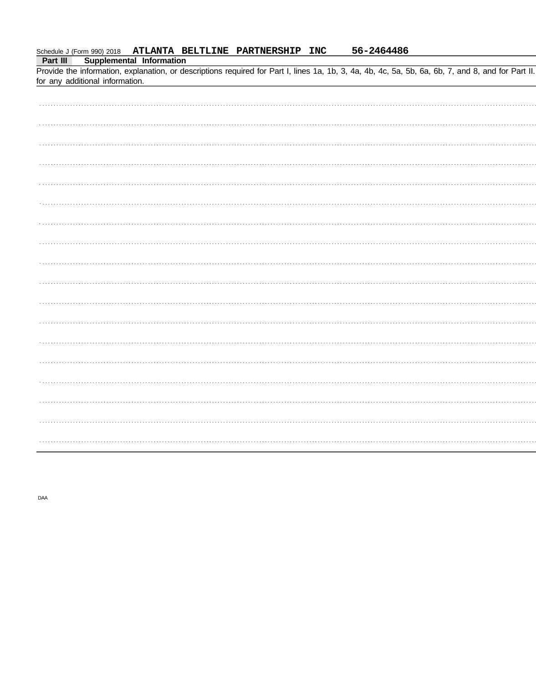| Schedule J (Form 990) 2018 ATLANTA BELTLINE PARTNERSHIP INC |  |  |  |  | 56-2464486 |
|-------------------------------------------------------------|--|--|--|--|------------|
|-------------------------------------------------------------|--|--|--|--|------------|

Part III Supplemental Information

|  |                                 | Provide the information, explanation, or descriptions required for Part I, lines 1a, 1b, 3, 4a, 4b, 4c, 5a, 5b, 6a, 6b, 7, and 8, and for Part II. |  |  |  |  |  |  |
|--|---------------------------------|----------------------------------------------------------------------------------------------------------------------------------------------------|--|--|--|--|--|--|
|  | for any additional information. |                                                                                                                                                    |  |  |  |  |  |  |
|  |                                 |                                                                                                                                                    |  |  |  |  |  |  |

|  |  | . |
|--|--|---|
|  |  |   |
|  |  |   |

DAA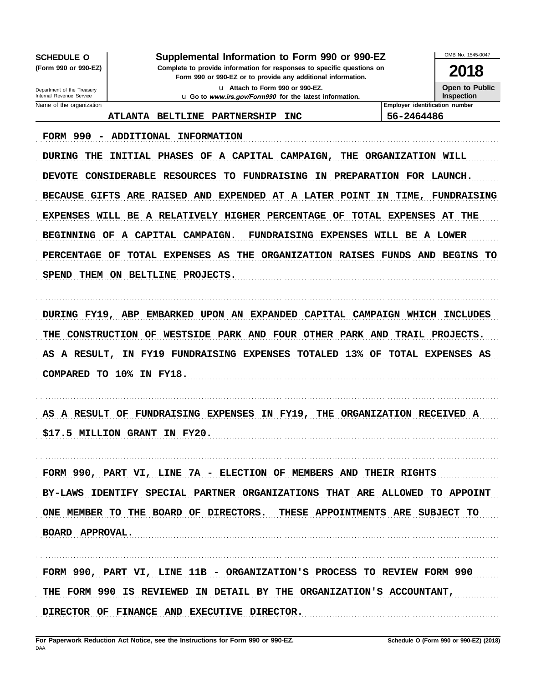**SCHEDULE O** (Form 990 or 990-EZ)

Department of the Treasury<br>Internal Revenue Service

Name of the organization

Supplemental Information to Form 990 or 990-EZ

Complete to provide information for responses to specific questions on Form 990 or 990-EZ or to provide any additional information.

u Attach to Form 990 or 990-EZ. u Go to www.irs.gov/Form990 for the latest information.

2018 **Open to Public Inspection** 

OMB No. 1545-0047

**Employer identification number** 

ATLANTA BELTLINE PARTNERSHIP INC

56-2464486

FORM 990 - ADDITIONAL INFORMATION

DURING THE INITIAL PHASES OF A CAPITAL CAMPAIGN, THE ORGANIZATION WILL DEVOTE CONSIDERABLE RESOURCES TO FUNDRAISING IN PREPARATION FOR LAUNCH. BECAUSE GIFTS ARE RAISED AND EXPENDED AT A LATER POINT IN TIME, FUNDRAISING EXPENSES WILL BE A RELATIVELY HIGHER PERCENTAGE OF TOTAL EXPENSES AT THE BEGINNING OF A CAPITAL CAMPAIGN. FUNDRAISING EXPENSES WILL BE A LOWER PERCENTAGE OF TOTAL EXPENSES AS THE ORGANIZATION RAISES FUNDS AND BEGINS TO SPEND THEM ON BELTLINE PROJECTS.

DURING FY19, ABP EMBARKED UPON AN EXPANDED CAPITAL CAMPAIGN WHICH INCLUDES THE CONSTRUCTION OF WESTSIDE PARK AND FOUR OTHER PARK AND TRAIL PROJECTS. AS A RESULT, IN FY19 FUNDRAISING EXPENSES TOTALED 13% OF TOTAL EXPENSES AS COMPARED TO 10% IN FY18.

AS A RESULT OF FUNDRAISING EXPENSES IN FY19, THE ORGANIZATION RECEIVED A \$17.5 MILLION GRANT IN FY20.

FORM 990, PART VI, LINE 7A - ELECTION OF MEMBERS AND THEIR RIGHTS BY-LAWS IDENTIFY SPECIAL PARTNER ORGANIZATIONS THAT ARE ALLOWED TO APPOINT ONE MEMBER TO THE BOARD OF DIRECTORS. THESE APPOINTMENTS ARE SUBJECT TO BOARD APPROVAL.

FORM 990, PART VI, LINE 11B - ORGANIZATION'S PROCESS TO REVIEW FORM 990 THE FORM 990 IS REVIEWED IN DETAIL BY THE ORGANIZATION'S ACCOUNTANT, DIRECTOR OF FINANCE AND EXECUTIVE DIRECTOR.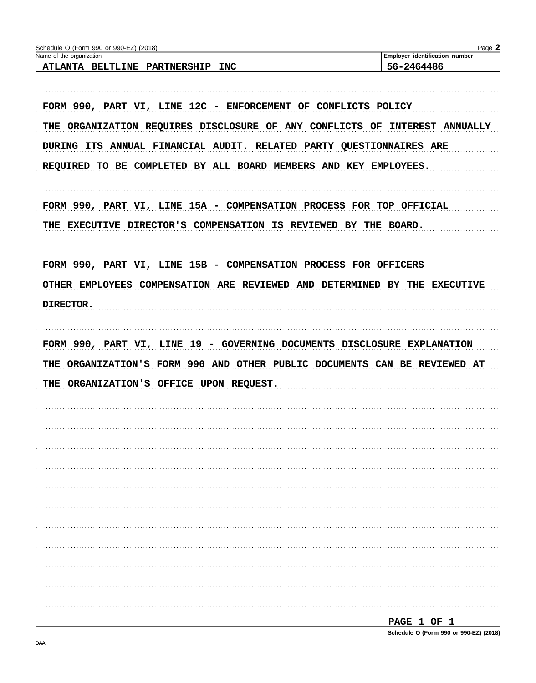| ATLANTA BELTLINE PARTNERSHIP<br><b>INC</b>                                                                                                                                                                                                                                             | Page 2<br>Employer identification number |
|----------------------------------------------------------------------------------------------------------------------------------------------------------------------------------------------------------------------------------------------------------------------------------------|------------------------------------------|
|                                                                                                                                                                                                                                                                                        | 56-2464486                               |
| FORM 990, PART VI, LINE 12C - ENFORCEMENT OF CONFLICTS POLICY<br>THE ORGANIZATION REQUIRES DISCLOSURE OF ANY CONFLICTS OF INTEREST ANNUALLY<br>DURING ITS ANNUAL FINANCIAL AUDIT. RELATED PARTY QUESTIONNAIRES ARE<br>REQUIRED TO BE COMPLETED BY ALL BOARD MEMBERS AND KEY EMPLOYEES. |                                          |
| FORM 990, PART VI, LINE 15A - COMPENSATION PROCESS FOR TOP OFFICIAL<br>THE EXECUTIVE DIRECTOR'S COMPENSATION IS REVIEWED BY THE BOARD.                                                                                                                                                 |                                          |
| FORM 990, PART VI, LINE 15B - COMPENSATION PROCESS FOR OFFICERS<br>OTHER EMPLOYEES COMPENSATION ARE REVIEWED AND DETERMINED BY THE EXECUTIVE<br>DIRECTOR.                                                                                                                              |                                          |
| FORM 990, PART VI, LINE 19 - GOVERNING DOCUMENTS DISCLOSURE EXPLANATION                                                                                                                                                                                                                |                                          |
| ORGANIZATION'S FORM 990 AND OTHER PUBLIC DOCUMENTS CAN BE REVIEWED AT<br>THE<br><b>THE</b><br>ORGANIZATION'S OFFICE UPON REQUEST.                                                                                                                                                      |                                          |
|                                                                                                                                                                                                                                                                                        |                                          |
|                                                                                                                                                                                                                                                                                        |                                          |
|                                                                                                                                                                                                                                                                                        |                                          |
|                                                                                                                                                                                                                                                                                        |                                          |
|                                                                                                                                                                                                                                                                                        |                                          |
|                                                                                                                                                                                                                                                                                        |                                          |
|                                                                                                                                                                                                                                                                                        |                                          |
|                                                                                                                                                                                                                                                                                        |                                          |
|                                                                                                                                                                                                                                                                                        |                                          |

Schedule O (Form 990 or 990-EZ) (2018)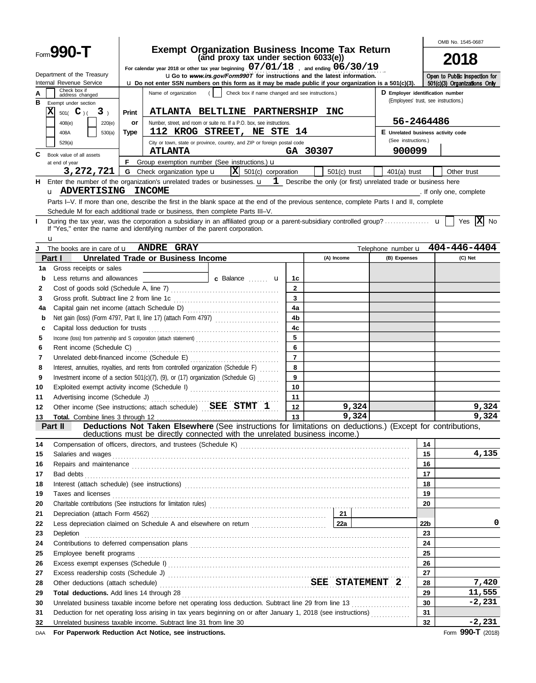|             |                                                                               |             |                                           |                                                                                                                                                                                                                                     |                  |          |                |                                                                           |                                    | OMB No. 1545-0687             |  |
|-------------|-------------------------------------------------------------------------------|-------------|-------------------------------------------|-------------------------------------------------------------------------------------------------------------------------------------------------------------------------------------------------------------------------------------|------------------|----------|----------------|---------------------------------------------------------------------------|------------------------------------|-------------------------------|--|
|             | Form 990-T                                                                    |             |                                           | <b>Exempt Organization Business Income Tax Return</b><br>(and proxy tax under section 6033(e))                                                                                                                                      |                  |          |                |                                                                           |                                    | 2018                          |  |
|             | Department of the Treasury                                                    |             |                                           | For calendar year 2018 or other tax year beginning $07/01/18$ , and ending $06/30/19$<br><b>uGo to www.irs.gov/Form990T</b> for instructions and the latest information.                                                            |                  |          |                |                                                                           |                                    | Open to Public Inspection for |  |
|             | Internal Revenue Service                                                      |             |                                           | $\mu$ Do not enter SSN numbers on this form as it may be made public if your organization is a 501(c)(3).                                                                                                                           |                  |          |                |                                                                           |                                    | 501(c)(3) Organizations Only  |  |
| А<br>в      | Check box if<br>address changed                                               |             | Name of organization                      | Check box if name changed and see instructions.)                                                                                                                                                                                    |                  |          |                | D Employer identification number<br>(Employees' trust, see instructions.) |                                    |                               |  |
|             | Exempt under section<br>$\overline{\mathbf{x}}$<br>$501($ C <sub>)</sub> ( 3) | Print       |                                           | <b>ATLANTA BELTLINE PARTNERSHIP</b>                                                                                                                                                                                                 |                  |          | <b>INC</b>     |                                                                           |                                    |                               |  |
|             | 220(e)<br>408(e)                                                              | or          |                                           | Number, street, and room or suite no. If a P.O. box, see instructions.                                                                                                                                                              |                  |          |                |                                                                           | 56-2464486                         |                               |  |
|             | 408A<br>530(a)                                                                | <b>Type</b> |                                           | 112 KROG STREET, NE STE 14                                                                                                                                                                                                          |                  |          |                |                                                                           | E Unrelated business activity code |                               |  |
|             | 529(a)                                                                        |             |                                           | City or town, state or province, country, and ZIP or foreign postal code                                                                                                                                                            |                  |          |                | (See instructions.)                                                       |                                    |                               |  |
| C           | Book value of all assets                                                      |             | <b>ATLANTA</b>                            |                                                                                                                                                                                                                                     |                  | GA 30307 |                | 900099                                                                    |                                    |                               |  |
|             | at end of year                                                                | F.          |                                           | Group exemption number (See instructions.) u                                                                                                                                                                                        |                  |          |                |                                                                           |                                    |                               |  |
|             | 3,272,721                                                                     |             | <b>G</b> Check organization type <b>u</b> | $ X $ 501(c) corporation                                                                                                                                                                                                            |                  |          | $501(c)$ trust | $401(a)$ trust                                                            |                                    | Other trust                   |  |
| н           |                                                                               |             | <b>INCOME</b>                             | Enter the number of the organization's unrelated trades or businesses. $\mathbf{u}$ <b>1</b> Describe the only (or first) unrelated trade or business here                                                                          |                  |          |                |                                                                           |                                    |                               |  |
|             | u ADVERTISING                                                                 |             |                                           | Parts I-V. If more than one, describe the first in the blank space at the end of the previous sentence, complete Parts I and II, complete                                                                                           |                  |          |                |                                                                           |                                    | . If only one, complete       |  |
|             |                                                                               |             |                                           | Schedule M for each additional trade or business, then complete Parts III-V.                                                                                                                                                        |                  |          |                |                                                                           |                                    |                               |  |
| L.          |                                                                               |             |                                           |                                                                                                                                                                                                                                     |                  |          |                |                                                                           |                                    | $ {\bf x} $<br>Yes<br>No      |  |
|             | u                                                                             |             |                                           | If "Yes," enter the name and identifying number of the parent corporation.                                                                                                                                                          |                  |          |                |                                                                           |                                    |                               |  |
| . I         | The books are in care of <b>u ANDRE GRAY</b>                                  |             |                                           |                                                                                                                                                                                                                                     |                  |          |                | Telephone number u                                                        |                                    | 404-446-4404                  |  |
|             | Part I                                                                        |             | <b>Unrelated Trade or Business Income</b> |                                                                                                                                                                                                                                     |                  |          | (A) Income     | (B) Expenses                                                              |                                    | (C) Net                       |  |
| 1a          | Gross receipts or sales                                                       |             |                                           |                                                                                                                                                                                                                                     |                  |          |                |                                                                           |                                    |                               |  |
| b           | Less returns and allowances                                                   |             |                                           | c Balance <b>u</b>                                                                                                                                                                                                                  | 1c               |          |                |                                                                           |                                    |                               |  |
| 2           |                                                                               |             |                                           |                                                                                                                                                                                                                                     | $\overline{2}$   |          |                |                                                                           |                                    |                               |  |
| 3           | Gross profit. Subtract line 2 from line 1c                                    |             |                                           |                                                                                                                                                                                                                                     | 3                |          |                |                                                                           |                                    |                               |  |
| 4a          |                                                                               |             |                                           |                                                                                                                                                                                                                                     | 4a               |          |                |                                                                           |                                    |                               |  |
| $\mathbf b$ |                                                                               |             |                                           | Net gain (loss) (Form 4797, Part II, line 17) (attach Form 4797)                                                                                                                                                                    | 4 <sub>b</sub>   |          |                |                                                                           |                                    |                               |  |
| C           | Capital loss deduction for trusts                                             |             |                                           |                                                                                                                                                                                                                                     | 4 <sub>c</sub>   |          |                |                                                                           |                                    |                               |  |
| 5           |                                                                               |             |                                           |                                                                                                                                                                                                                                     | 5                |          |                |                                                                           |                                    |                               |  |
| 6           | Rent income (Schedule C)                                                      |             |                                           |                                                                                                                                                                                                                                     | 6                |          |                |                                                                           |                                    |                               |  |
| 7           |                                                                               |             |                                           |                                                                                                                                                                                                                                     | $\overline{7}$   |          |                |                                                                           |                                    |                               |  |
| 8           |                                                                               |             |                                           | Interest, annuities, royalties, and rents from controlled organization (Schedule F)                                                                                                                                                 | 8                |          |                |                                                                           |                                    |                               |  |
| 9           |                                                                               |             |                                           | Investment income of a section 501(c)(7), (9), or (17) organization (Schedule G)                                                                                                                                                    | 9                |          |                |                                                                           |                                    |                               |  |
| 10          |                                                                               |             |                                           | Exploited exempt activity income (Schedule I)                                                                                                                                                                                       | 10               |          |                |                                                                           |                                    |                               |  |
| 11          |                                                                               |             |                                           |                                                                                                                                                                                                                                     | 11               |          |                |                                                                           |                                    |                               |  |
| 12          |                                                                               |             |                                           | Other income (See instructions; attach schedule) SEE STMT 1                                                                                                                                                                         | 12 <sup>12</sup> |          | 9,324<br>9,324 |                                                                           |                                    | 9,324                         |  |
| 13          |                                                                               |             |                                           | Deductions Not Taken Elsewhere (See instructions for limitations on deductions.) (Except for contributions,                                                                                                                         | 13               |          |                |                                                                           |                                    | 9,324                         |  |
|             | Part II                                                                       |             |                                           | deductions must be directly connected with the unrelated business income.)                                                                                                                                                          |                  |          |                |                                                                           |                                    |                               |  |
| 14          |                                                                               |             |                                           |                                                                                                                                                                                                                                     |                  |          |                |                                                                           | 14                                 |                               |  |
| 15          |                                                                               |             |                                           |                                                                                                                                                                                                                                     |                  |          |                |                                                                           | 15                                 | 4,135                         |  |
| 16          |                                                                               |             |                                           | Repairs and maintenance communications are all the contract of the contract of the contract of the contract of                                                                                                                      |                  |          |                |                                                                           | 16                                 |                               |  |
| 17<br>18    | Bad debts                                                                     |             |                                           |                                                                                                                                                                                                                                     |                  |          |                |                                                                           | 17<br>18                           |                               |  |
| 19          |                                                                               |             |                                           |                                                                                                                                                                                                                                     |                  |          |                |                                                                           | 19                                 |                               |  |
| 20          |                                                                               |             |                                           | Taxes and licenses <b>construction and construction</b> and intervention and intervention and intervention and intervention and intervention and intervention and intervention and intervention and intervention and intervention a |                  |          |                |                                                                           | 20                                 |                               |  |
| 21          |                                                                               |             |                                           |                                                                                                                                                                                                                                     |                  |          |                |                                                                           |                                    |                               |  |
| 22          |                                                                               |             |                                           | Less depreciation claimed on Schedule A and elsewhere on return [11, 11, 11, 11, 1221   22a                                                                                                                                         |                  |          |                |                                                                           | 22 <sub>b</sub>                    | 0                             |  |
| 23          | Depletion                                                                     |             |                                           |                                                                                                                                                                                                                                     |                  |          |                |                                                                           | 23                                 |                               |  |
| 24          |                                                                               |             |                                           |                                                                                                                                                                                                                                     |                  |          |                |                                                                           | 24                                 |                               |  |
| 25          |                                                                               |             |                                           |                                                                                                                                                                                                                                     |                  |          |                |                                                                           | 25                                 |                               |  |
| 26          |                                                                               |             |                                           |                                                                                                                                                                                                                                     |                  |          |                |                                                                           | 26                                 |                               |  |
| 27          |                                                                               |             |                                           |                                                                                                                                                                                                                                     |                  |          |                |                                                                           | 27                                 |                               |  |
| 28          |                                                                               |             |                                           | Other deductions (attach schedule) Material Material SEE STATEMENT 2                                                                                                                                                                |                  |          |                |                                                                           | 28                                 | 7,420                         |  |
| 29          | Total deductions. Add lines 14 through 28                                     |             |                                           |                                                                                                                                                                                                                                     |                  |          |                |                                                                           | 29                                 | 11,555                        |  |
| 30          |                                                                               |             |                                           | Unrelated business taxable income before net operating loss deduction. Subtract line 29 from line 13                                                                                                                                |                  |          |                |                                                                           | 30                                 | $-2,231$                      |  |
| 31          |                                                                               |             |                                           | Deduction for net operating loss arising in tax years beginning on or after January 1, 2018 (see instructions)                                                                                                                      |                  |          |                |                                                                           | 31                                 |                               |  |
| 32          | Unrelated business taxable income. Subtract line 31 from line 30              |             |                                           |                                                                                                                                                                                                                                     |                  |          |                |                                                                           | 32                                 | $-2,231$                      |  |
| DAA         | For Paperwork Reduction Act Notice, see instructions.                         |             |                                           |                                                                                                                                                                                                                                     |                  |          |                |                                                                           |                                    | Form 990-T (2018)             |  |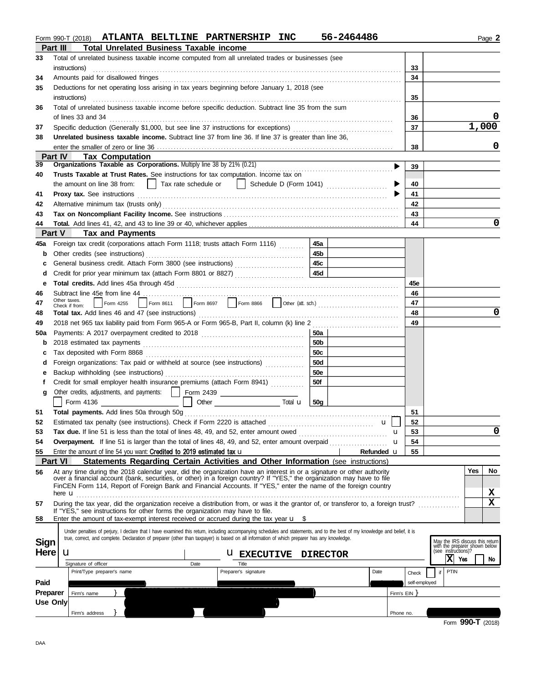|  | Form 990-T (2018) |  |  | <b>ATLANTA BELTLINE PARTNERSHIP</b> | <b>INC</b> | 56-2464486 | $P$ age $\blacktriangle$ |
|--|-------------------|--|--|-------------------------------------|------------|------------|--------------------------|
|--|-------------------|--|--|-------------------------------------|------------|------------|--------------------------|

|--|

|                 | <b>Total Unrelated Business Taxable income</b><br>Part III                                                                                                                                                                                 |              |               |                                                      |       |                         |
|-----------------|--------------------------------------------------------------------------------------------------------------------------------------------------------------------------------------------------------------------------------------------|--------------|---------------|------------------------------------------------------|-------|-------------------------|
| 33              | Total of unrelated business taxable income computed from all unrelated trades or businesses (see                                                                                                                                           |              |               |                                                      |       |                         |
|                 | instructions)                                                                                                                                                                                                                              | 33           |               |                                                      |       |                         |
| 34              | Amounts paid for disallowed fringes                                                                                                                                                                                                        | 34           |               |                                                      |       |                         |
| 35              | Deductions for net operating loss arising in tax years beginning before January 1, 2018 (see                                                                                                                                               |              |               |                                                      |       |                         |
|                 | instructions)                                                                                                                                                                                                                              | 35           |               |                                                      |       |                         |
| 36              | Total of unrelated business taxable income before specific deduction. Subtract line 35 from the sum                                                                                                                                        |              |               |                                                      |       |                         |
|                 | of lines 33 and 34                                                                                                                                                                                                                         | 36           |               |                                                      |       |                         |
| 37              | Specific deduction (Generally \$1,000, but see line 37 instructions for exceptions) [[[[[[[[[[[[[[[[[[[[[[[[[[                                                                                                                             | 37           |               |                                                      | 1,000 |                         |
| 38              | Unrelated business taxable income. Subtract line 37 from line 36. If line 37 is greater than line 36,                                                                                                                                      |              |               |                                                      |       |                         |
|                 |                                                                                                                                                                                                                                            | 38           |               |                                                      |       | 0                       |
|                 | Part IV<br><b>Tax Computation</b>                                                                                                                                                                                                          |              |               |                                                      |       |                         |
| 39              | Organizations Taxable as Corporations. Multiply line 38 by 21% (0.21)                                                                                                                                                                      | ▶<br>39      |               |                                                      |       |                         |
| 40              | Trusts Taxable at Trust Rates. See instructions for tax computation. Income tax on                                                                                                                                                         |              |               |                                                      |       |                         |
|                 | Tax rate schedule or     Schedule D (Form 1041)<br>the amount on line 38 from:                                                                                                                                                             | 40           |               |                                                      |       |                         |
| 41              |                                                                                                                                                                                                                                            | 41           |               |                                                      |       |                         |
| 42              |                                                                                                                                                                                                                                            | 42           |               |                                                      |       |                         |
| 43              |                                                                                                                                                                                                                                            | 43           |               |                                                      |       |                         |
| 44              |                                                                                                                                                                                                                                            | 44           |               |                                                      |       | 0                       |
|                 | Part V<br><b>Tax and Payments</b>                                                                                                                                                                                                          |              |               |                                                      |       |                         |
| 45a             | Foreign tax credit (corporations attach Form 1118; trusts attach Form 1116)<br>45a                                                                                                                                                         |              |               |                                                      |       |                         |
| b               | 45b<br>Other credits (see instructions)                                                                                                                                                                                                    |              |               |                                                      |       |                         |
| с               | 45c<br>General business credit. Attach Form 3800 (see instructions)                                                                                                                                                                        |              |               |                                                      |       |                         |
| d               | <b>45d</b><br>Credit for prior year minimum tax (attach Form 8801 or 8827)                                                                                                                                                                 |              |               |                                                      |       |                         |
| е               |                                                                                                                                                                                                                                            | 45e          |               |                                                      |       |                         |
| 46              | Subtract line 45e from line 44<br>Other taxes.                                                                                                                                                                                             | 46           |               |                                                      |       |                         |
| 47              | Form 4255<br>Check if from:                                                                                                                                                                                                                | 47           |               |                                                      |       |                         |
| 48              | <b>Total tax.</b> Add lines 46 and 47 (see instructions)                                                                                                                                                                                   | 48           |               |                                                      |       | 0                       |
| 49              |                                                                                                                                                                                                                                            | 49           |               |                                                      |       |                         |
| <b>50a</b>      | 50a                                                                                                                                                                                                                                        |              |               |                                                      |       |                         |
| b               | 50 <sub>b</sub><br>2018 estimated tax payments                                                                                                                                                                                             |              |               |                                                      |       |                         |
| с               | Tax deposited with Form 8868<br>50c                                                                                                                                                                                                        |              |               |                                                      |       |                         |
| d               | 50d<br>Foreign organizations: Tax paid or withheld at source (see instructions) [[[[[[[[[[[[[[[[[[[[[[[[[[]]]]]]]]]]                                                                                                                       |              |               |                                                      |       |                         |
| е               | <b>50e</b>                                                                                                                                                                                                                                 |              |               |                                                      |       |                         |
| f               | Credit for small employer health insurance premiums (attach Form 8941)<br>50f                                                                                                                                                              |              |               |                                                      |       |                         |
| g               | Other credits, adjustments, and payments:                                                                                                                                                                                                  |              |               |                                                      |       |                         |
|                 | Total <b>u</b><br>50g                                                                                                                                                                                                                      |              |               |                                                      |       |                         |
| 51              | Total payments. Add lines 50a through 50g                                                                                                                                                                                                  | 51           |               |                                                      |       |                         |
| 52              | u                                                                                                                                                                                                                                          | 52           |               |                                                      |       |                         |
| 53              |                                                                                                                                                                                                                                            | 53<br>u      |               |                                                      |       | 0                       |
| 54              |                                                                                                                                                                                                                                            | 54<br>u      |               |                                                      |       |                         |
| 55              | Enter the amount of line 54 you want: Credited to 2019 estimated tax u<br>Refunded u                                                                                                                                                       | 55           |               |                                                      |       |                         |
|                 | Statements Regarding Certain Activities and Other Information (see instructions)<br><b>Part VI</b>                                                                                                                                         |              |               |                                                      |       |                         |
| 56              | At any time during the 2018 calendar year, did the organization have an interest in or a signature or other authority                                                                                                                      |              |               |                                                      | Yes   | No                      |
|                 | over a financial account (bank, securities, or other) in a foreign country? If "YES," the organization may have to file<br>FinCEN Form 114, Report of Foreign Bank and Financial Accounts. If "YES," enter the name of the foreign country |              |               |                                                      |       |                         |
|                 |                                                                                                                                                                                                                                            |              |               |                                                      |       | x                       |
| 57              | During the tax year, did the organization receive a distribution from, or was it the grantor of, or transferor to, a foreign trust?                                                                                                        |              |               |                                                      |       | $\overline{\mathbf{X}}$ |
|                 | If "YES," see instructions for other forms the organization may have to file.                                                                                                                                                              |              |               |                                                      |       |                         |
| 58              | Enter the amount of tax-exempt interest received or accrued during the tax year $\mathbf{u}$ \$                                                                                                                                            |              |               |                                                      |       |                         |
|                 | Under penalties of perjury, I declare that I have examined this return, including accompanying schedules and statements, and to the best of my knowledge and belief, it is                                                                 |              |               |                                                      |       |                         |
| Sign            | true, correct, and complete. Declaration of preparer (other than taxpayer) is based on all information of which preparer has any knowledge.                                                                                                |              |               | May the IRS discuss this return                      |       |                         |
| <b>Here</b>     | u<br><b>U EXECUTIVE</b><br><b>DIRECTOR</b>                                                                                                                                                                                                 |              |               | with the preparer shown below<br>(see instructions)? |       |                         |
|                 | Signature of officer<br>Title<br>Date                                                                                                                                                                                                      |              |               | xı<br>Yes                                            |       | No.                     |
|                 | Preparer's signature<br>Date<br>Print/Type preparer's name                                                                                                                                                                                 | Check        |               | PTIN<br>if                                           |       |                         |
| Paid            |                                                                                                                                                                                                                                            |              | self-employed |                                                      |       |                         |
| Preparer        | Firm's name                                                                                                                                                                                                                                | Firm's EIN } |               |                                                      |       |                         |
| <b>Use Only</b> |                                                                                                                                                                                                                                            |              |               |                                                      |       |                         |
|                 | Firm's address                                                                                                                                                                                                                             | Phone no.    |               |                                                      |       |                         |
|                 |                                                                                                                                                                                                                                            |              |               |                                                      |       |                         |

Form **990-T** (2018)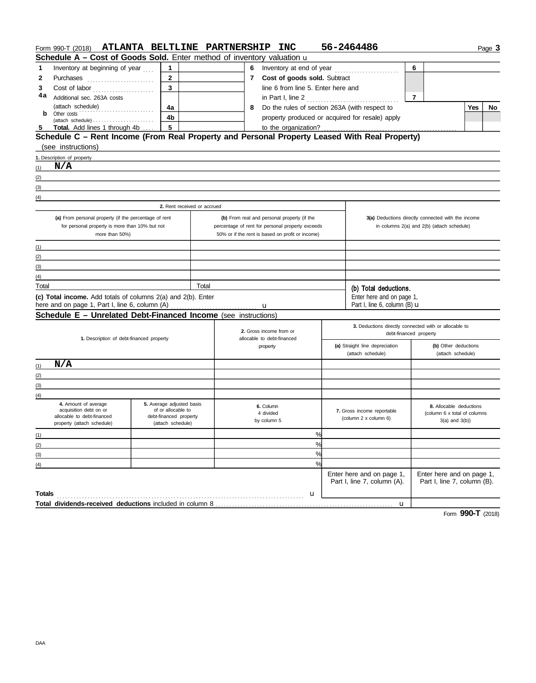|               | Form 990-T (2018)                                                                                                                                                                                                             | ATLANTA BELTLINE PARTNERSHIP INC                |       |                                                  |                          |                                    |               | 56-2464486                                                            |                |                                                          |            | Page 3    |
|---------------|-------------------------------------------------------------------------------------------------------------------------------------------------------------------------------------------------------------------------------|-------------------------------------------------|-------|--------------------------------------------------|--------------------------|------------------------------------|---------------|-----------------------------------------------------------------------|----------------|----------------------------------------------------------|------------|-----------|
|               | Schedule A - Cost of Goods Sold. Enter method of inventory valuation u                                                                                                                                                        |                                                 |       |                                                  |                          |                                    |               |                                                                       |                |                                                          |            |           |
| 1             | Inventory at beginning of year                                                                                                                                                                                                | $\mathbf{1}$                                    |       |                                                  |                          |                                    |               |                                                                       | 6              |                                                          |            |           |
| 2             | Purchases                                                                                                                                                                                                                     | $\mathbf{2}$                                    |       |                                                  |                          | 7 Cost of goods sold. Subtract     |               |                                                                       |                |                                                          |            |           |
| 3             | Cost of labor                                                                                                                                                                                                                 | $\overline{3}$                                  |       |                                                  |                          | line 6 from line 5. Enter here and |               |                                                                       |                |                                                          |            |           |
| 4a            | Additional sec. 263A costs                                                                                                                                                                                                    |                                                 |       |                                                  |                          | in Part I, line 2                  |               |                                                                       | $\overline{7}$ |                                                          |            |           |
|               | (attach schedule)<br>.                                                                                                                                                                                                        | 4a                                              |       | 8                                                |                          |                                    |               | Do the rules of section 263A (with respect to                         |                |                                                          | <b>Yes</b> | <b>No</b> |
| b             | Other costs                                                                                                                                                                                                                   | 4 <sub>b</sub>                                  |       |                                                  |                          |                                    |               | property produced or acquired for resale) apply                       |                |                                                          |            |           |
| 5             | Total. Add lines 1 through 4b                                                                                                                                                                                                 | $\overline{5}$                                  |       |                                                  |                          | to the organization? $\ldots$      |               |                                                                       |                |                                                          |            |           |
|               | Schedule C - Rent Income (From Real Property and Personal Property Leased With Real Property)                                                                                                                                 |                                                 |       |                                                  |                          |                                    |               |                                                                       |                |                                                          |            |           |
|               | (see instructions)                                                                                                                                                                                                            |                                                 |       |                                                  |                          |                                    |               |                                                                       |                |                                                          |            |           |
|               | 1. Description of property                                                                                                                                                                                                    |                                                 |       |                                                  |                          |                                    |               |                                                                       |                |                                                          |            |           |
| (1)           | N/A                                                                                                                                                                                                                           |                                                 |       |                                                  |                          |                                    |               |                                                                       |                |                                                          |            |           |
| (2)           |                                                                                                                                                                                                                               |                                                 |       |                                                  |                          |                                    |               |                                                                       |                |                                                          |            |           |
| (3)           | the control of the control of the control of the control of the control of the control of the control of the control of the control of the control of the control of the control of the control of the control of the control |                                                 |       |                                                  |                          |                                    |               |                                                                       |                |                                                          |            |           |
| (4)           |                                                                                                                                                                                                                               |                                                 |       |                                                  |                          |                                    |               |                                                                       |                |                                                          |            |           |
|               |                                                                                                                                                                                                                               | 2. Rent received or accrued                     |       |                                                  |                          |                                    |               |                                                                       |                |                                                          |            |           |
|               | (a) From personal property (if the percentage of rent                                                                                                                                                                         |                                                 |       | (b) From real and personal property (if the      |                          |                                    |               |                                                                       |                | 3(a) Deductions directly connected with the income       |            |           |
|               | for personal property is more than 10% but not<br>more than 50%)                                                                                                                                                              |                                                 |       | percentage of rent for personal property exceeds |                          |                                    |               |                                                                       |                | in columns 2(a) and 2(b) (attach schedule)               |            |           |
|               |                                                                                                                                                                                                                               |                                                 |       | 50% or if the rent is based on profit or income) |                          |                                    |               |                                                                       |                |                                                          |            |           |
| (1)           |                                                                                                                                                                                                                               |                                                 |       |                                                  |                          |                                    |               |                                                                       |                |                                                          |            |           |
| (2)           |                                                                                                                                                                                                                               |                                                 |       |                                                  |                          |                                    |               |                                                                       |                |                                                          |            |           |
| (3)           |                                                                                                                                                                                                                               |                                                 |       |                                                  |                          |                                    |               |                                                                       |                |                                                          |            |           |
| (4)<br>Total  |                                                                                                                                                                                                                               |                                                 | Total |                                                  |                          |                                    |               |                                                                       |                |                                                          |            |           |
|               |                                                                                                                                                                                                                               |                                                 |       |                                                  |                          |                                    |               | (b) Total deductions.                                                 |                |                                                          |            |           |
|               | (c) Total income. Add totals of columns 2(a) and 2(b). Enter<br>here and on page 1, Part I, line 6, column (A)                                                                                                                |                                                 |       |                                                  | u                        |                                    |               | Enter here and on page 1,<br>Part I, line 6, column $(B)$ $\mathbf u$ |                |                                                          |            |           |
|               | <b>Schedule E - Unrelated Debt-Financed Income</b> (see instructions)                                                                                                                                                         |                                                 |       |                                                  |                          |                                    |               |                                                                       |                |                                                          |            |           |
|               |                                                                                                                                                                                                                               |                                                 |       |                                                  |                          |                                    |               | 3. Deductions directly connected with or allocable to                 |                |                                                          |            |           |
|               |                                                                                                                                                                                                                               |                                                 |       |                                                  |                          | 2. Gross income from or            |               | debt-financed property                                                |                |                                                          |            |           |
|               | 1. Description of debt-financed property                                                                                                                                                                                      |                                                 |       |                                                  | property                 | allocable to debt-financed         |               | (a) Straight line depreciation                                        |                | (b) Other deductions                                     |            |           |
|               |                                                                                                                                                                                                                               |                                                 |       |                                                  |                          |                                    |               | (attach schedule)                                                     |                | (attach schedule)                                        |            |           |
| (1)           | N/A                                                                                                                                                                                                                           |                                                 |       |                                                  |                          |                                    |               |                                                                       |                |                                                          |            |           |
| (2)           |                                                                                                                                                                                                                               |                                                 |       |                                                  |                          |                                    |               |                                                                       |                |                                                          |            |           |
| (3)           |                                                                                                                                                                                                                               |                                                 |       |                                                  |                          |                                    |               |                                                                       |                |                                                          |            |           |
| (4)           |                                                                                                                                                                                                                               |                                                 |       |                                                  |                          |                                    |               |                                                                       |                |                                                          |            |           |
|               | 4. Amount of average<br>acquisition debt on or                                                                                                                                                                                | 5. Average adjusted basis<br>of or allocable to |       |                                                  | 6. Column                |                                    |               |                                                                       |                | 8. Allocable deductions                                  |            |           |
|               | allocable to debt-financed                                                                                                                                                                                                    | debt-financed property                          |       |                                                  | 4 divided<br>by column 5 |                                    |               | 7. Gross income reportable<br>(column 2 x column 6)                   |                | (column 6 x total of columns)<br>$3(a)$ and $3(b)$ )     |            |           |
|               | property (attach schedule)                                                                                                                                                                                                    | (attach schedule)                               |       |                                                  |                          |                                    |               |                                                                       |                |                                                          |            |           |
| (1)           |                                                                                                                                                                                                                               |                                                 |       |                                                  |                          |                                    | %             |                                                                       |                |                                                          |            |           |
| (2)           |                                                                                                                                                                                                                               |                                                 |       |                                                  |                          |                                    | %             |                                                                       |                |                                                          |            |           |
| (3)           |                                                                                                                                                                                                                               |                                                 |       |                                                  |                          |                                    | %             |                                                                       |                |                                                          |            |           |
| (4)           |                                                                                                                                                                                                                               |                                                 |       |                                                  |                          |                                    | $\frac{0}{0}$ |                                                                       |                |                                                          |            |           |
|               |                                                                                                                                                                                                                               |                                                 |       |                                                  |                          |                                    |               | Enter here and on page 1,<br>Part I, line 7, column (A).              |                | Enter here and on page 1,<br>Part I, line 7, column (B). |            |           |
|               |                                                                                                                                                                                                                               |                                                 |       |                                                  |                          |                                    |               |                                                                       |                |                                                          |            |           |
| <b>Totals</b> |                                                                                                                                                                                                                               |                                                 |       |                                                  |                          |                                    | u             |                                                                       |                |                                                          |            |           |
|               |                                                                                                                                                                                                                               |                                                 |       |                                                  |                          |                                    |               | $\mathbf{u}$                                                          |                |                                                          |            |           |

Form **990-T** (2018)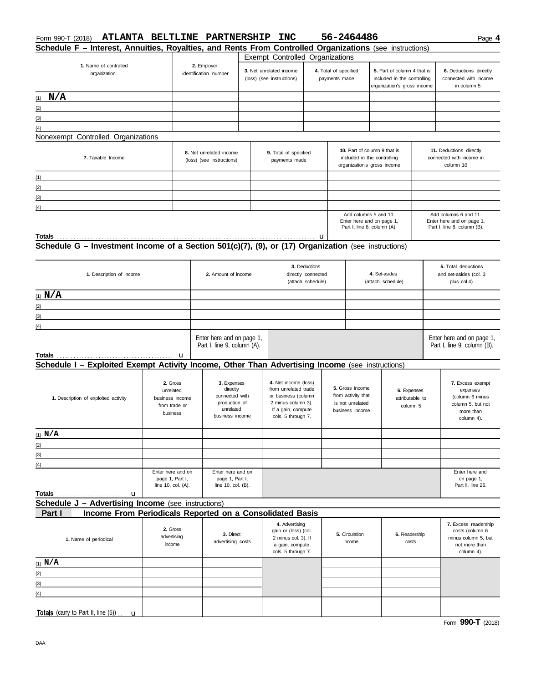| Form 990-T (2018)                                                                                                     | ATLANTA BELTLINE PARTNERSHIP                                          |                                                                                            |                                                          | <b>INC</b>                                                                                                                            |   | 56-2464486                                                                   |                                                                                            |                                                              | Page 4                                                                                          |  |
|-----------------------------------------------------------------------------------------------------------------------|-----------------------------------------------------------------------|--------------------------------------------------------------------------------------------|----------------------------------------------------------|---------------------------------------------------------------------------------------------------------------------------------------|---|------------------------------------------------------------------------------|--------------------------------------------------------------------------------------------|--------------------------------------------------------------|-------------------------------------------------------------------------------------------------|--|
| Schedule F - Interest, Annuities, Royalties, and Rents From Controlled Organizations (see instructions)               |                                                                       |                                                                                            |                                                          |                                                                                                                                       |   |                                                                              |                                                                                            |                                                              |                                                                                                 |  |
| 1. Name of controlled<br>organization                                                                                 |                                                                       | 2. Employer<br>identification number                                                       |                                                          | Exempt Controlled Organizations<br>3. Net unrelated income<br>(loss) (see instructions)                                               |   | 4. Total of specified<br>payments made                                       | 5. Part of column 4 that is<br>included in the controlling<br>organization's gross income  |                                                              | 6. Deductions directly<br>connected with income<br>in column 5                                  |  |
| N/A<br>(1)                                                                                                            |                                                                       |                                                                                            |                                                          |                                                                                                                                       |   |                                                                              |                                                                                            |                                                              |                                                                                                 |  |
|                                                                                                                       |                                                                       |                                                                                            |                                                          |                                                                                                                                       |   |                                                                              |                                                                                            |                                                              |                                                                                                 |  |
| (2)<br><u> 1989 - Johann Barn, amerikansk politiker (d. 1989)</u>                                                     |                                                                       | <u> 1980 - Johann Barbara, martx</u>                                                       |                                                          |                                                                                                                                       |   |                                                                              |                                                                                            |                                                              |                                                                                                 |  |
| (3)<br><u> 1989 - Johann Barbara, martxa alemaniar a</u>                                                              |                                                                       |                                                                                            |                                                          |                                                                                                                                       |   |                                                                              |                                                                                            |                                                              |                                                                                                 |  |
| (4)                                                                                                                   |                                                                       |                                                                                            |                                                          |                                                                                                                                       |   |                                                                              |                                                                                            |                                                              |                                                                                                 |  |
| Nonexempt Controlled Organizations                                                                                    |                                                                       |                                                                                            |                                                          |                                                                                                                                       |   |                                                                              |                                                                                            |                                                              |                                                                                                 |  |
| 7. Taxable Income                                                                                                     |                                                                       | 8. Net unrelated income<br>(loss) (see instructions)                                       |                                                          | 9. Total of specified<br>payments made                                                                                                |   |                                                                              | 10. Part of column 9 that is<br>included in the controlling<br>organization's gross income |                                                              | 11. Deductions directly<br>connected with income in<br>column 10                                |  |
| (1)<br>the control of the control of the control of the control of the control of the control of                      |                                                                       |                                                                                            |                                                          |                                                                                                                                       |   |                                                                              |                                                                                            |                                                              |                                                                                                 |  |
| (2)<br>the control of the control of the control of the control of the control of the control of                      |                                                                       | the control of the control of the control of                                               |                                                          |                                                                                                                                       |   |                                                                              |                                                                                            |                                                              |                                                                                                 |  |
| (3)<br>the control of the control of the control of the control of the control of the control of                      |                                                                       | the control of the control of the control of                                               |                                                          |                                                                                                                                       |   |                                                                              |                                                                                            |                                                              |                                                                                                 |  |
| (4)                                                                                                                   |                                                                       | <u> 1989 - Jan Alexandria (</u>                                                            |                                                          |                                                                                                                                       |   |                                                                              |                                                                                            |                                                              |                                                                                                 |  |
|                                                                                                                       |                                                                       |                                                                                            |                                                          |                                                                                                                                       | u |                                                                              | Add columns 5 and 10.<br>Enter here and on page 1,<br>Part I, line 8, column (A).          |                                                              | Add columns 6 and 11.<br>Enter here and on page 1,<br>Part I, line 8, column (B).               |  |
| Schedule G - Investment Income of a Section 501(c)(7), (9), or (17) Organization (see instructions)                   |                                                                       |                                                                                            |                                                          |                                                                                                                                       |   |                                                                              |                                                                                            |                                                              |                                                                                                 |  |
| 1. Description of income                                                                                              | 2. Amount of income                                                   |                                                                                            | 3. Deductions<br>directly connected<br>(attach schedule) |                                                                                                                                       |   | 4. Set-asides<br>(attach schedule)                                           |                                                                                            | 5. Total deductions<br>and set-asides (col. 3<br>plus col.4) |                                                                                                 |  |
| (1) $N/A$                                                                                                             |                                                                       |                                                                                            |                                                          |                                                                                                                                       |   |                                                                              |                                                                                            |                                                              |                                                                                                 |  |
| (2)<br><u> 1989 - Johann Stein, mars an deus Amerikaansk kommunister (* 1958)</u>                                     |                                                                       |                                                                                            |                                                          |                                                                                                                                       |   |                                                                              |                                                                                            |                                                              |                                                                                                 |  |
| (3)                                                                                                                   |                                                                       |                                                                                            |                                                          |                                                                                                                                       |   |                                                                              |                                                                                            |                                                              |                                                                                                 |  |
| (4)                                                                                                                   |                                                                       |                                                                                            |                                                          |                                                                                                                                       |   |                                                                              |                                                                                            |                                                              |                                                                                                 |  |
|                                                                                                                       |                                                                       | Enter here and on page 1,<br>Part I, line 9, column (A).                                   |                                                          |                                                                                                                                       |   |                                                                              |                                                                                            |                                                              | Enter here and on page 1,<br>Part I, line 9, column (B).                                        |  |
| Schedule I - Exploited Exempt Activity Income, Other Than Advertising Income (see instructions)                       |                                                                       |                                                                                            |                                                          |                                                                                                                                       |   |                                                                              |                                                                                            |                                                              |                                                                                                 |  |
|                                                                                                                       |                                                                       |                                                                                            |                                                          |                                                                                                                                       |   |                                                                              |                                                                                            |                                                              |                                                                                                 |  |
| 1. Description of exploited activity                                                                                  | 2. Gross<br>unrelated<br>business income<br>from trade or<br>business | 3. Expenses<br>directly<br>connected with<br>production of<br>unrelated<br>business income |                                                          | 4. Net income (loss)<br>from unrelated trade<br>or business (column<br>2 minus column 3).<br>If a gain, compute<br>cols. 5 through 7. |   | 5. Gross income<br>from activity that<br>is not unrelated<br>business income |                                                                                            | 6. Expenses<br>attributable to<br>column 5                   | 7. Excess exempt<br>expenses<br>(column 6 minus<br>column 5. but not<br>more than<br>column 4). |  |
| $(1)$ N/A                                                                                                             |                                                                       |                                                                                            |                                                          |                                                                                                                                       |   |                                                                              |                                                                                            |                                                              |                                                                                                 |  |
| (2)                                                                                                                   |                                                                       |                                                                                            |                                                          |                                                                                                                                       |   |                                                                              |                                                                                            |                                                              |                                                                                                 |  |
| (3)                                                                                                                   |                                                                       |                                                                                            |                                                          |                                                                                                                                       |   |                                                                              |                                                                                            |                                                              |                                                                                                 |  |
| (4)                                                                                                                   |                                                                       |                                                                                            |                                                          |                                                                                                                                       |   |                                                                              |                                                                                            |                                                              |                                                                                                 |  |
|                                                                                                                       | Enter here and on<br>page 1, Part I,<br>line 10, col. (A).            | Enter here and on<br>page 1, Part I,<br>line 10, col. (B).                                 |                                                          |                                                                                                                                       |   |                                                                              |                                                                                            |                                                              | Enter here and<br>on page 1,<br>Part II, line 26.                                               |  |
| Totals<br>u                                                                                                           |                                                                       |                                                                                            |                                                          |                                                                                                                                       |   |                                                                              |                                                                                            |                                                              |                                                                                                 |  |
| <b>Schedule J - Advertising Income</b> (see instructions)<br>Income From Periodicals Reported on a Consolidated Basis |                                                                       |                                                                                            |                                                          |                                                                                                                                       |   |                                                                              |                                                                                            |                                                              |                                                                                                 |  |
| Part I                                                                                                                |                                                                       |                                                                                            |                                                          |                                                                                                                                       |   |                                                                              |                                                                                            |                                                              |                                                                                                 |  |
| 1. Name of periodical                                                                                                 | 2. Gross<br>advertising<br>income                                     | 3. Direct<br>advertising costs                                                             |                                                          | 4. Advertising<br>gain or (loss) (col.<br>2 minus col. 3). If<br>a gain, compute<br>cols. 5 through 7.                                |   | 5. Circulation<br>income                                                     | 6. Readership<br>costs                                                                     |                                                              | 7. Excess readership<br>costs (column 6<br>minus column 5, but<br>not more than<br>column 4).   |  |
| $(1)$ N/A                                                                                                             |                                                                       |                                                                                            |                                                          |                                                                                                                                       |   |                                                                              |                                                                                            |                                                              |                                                                                                 |  |
| (2)                                                                                                                   |                                                                       |                                                                                            |                                                          |                                                                                                                                       |   |                                                                              |                                                                                            |                                                              |                                                                                                 |  |
| (3)                                                                                                                   |                                                                       |                                                                                            |                                                          |                                                                                                                                       |   |                                                                              |                                                                                            |                                                              |                                                                                                 |  |
| (4)                                                                                                                   |                                                                       |                                                                                            |                                                          |                                                                                                                                       |   |                                                                              |                                                                                            |                                                              |                                                                                                 |  |
|                                                                                                                       |                                                                       |                                                                                            |                                                          |                                                                                                                                       |   |                                                                              |                                                                                            |                                                              |                                                                                                 |  |
| <b>Totals</b> (carry to Part II, line $(5)$ ) . $\mathbf{u}$                                                          |                                                                       |                                                                                            |                                                          |                                                                                                                                       |   |                                                                              |                                                                                            |                                                              |                                                                                                 |  |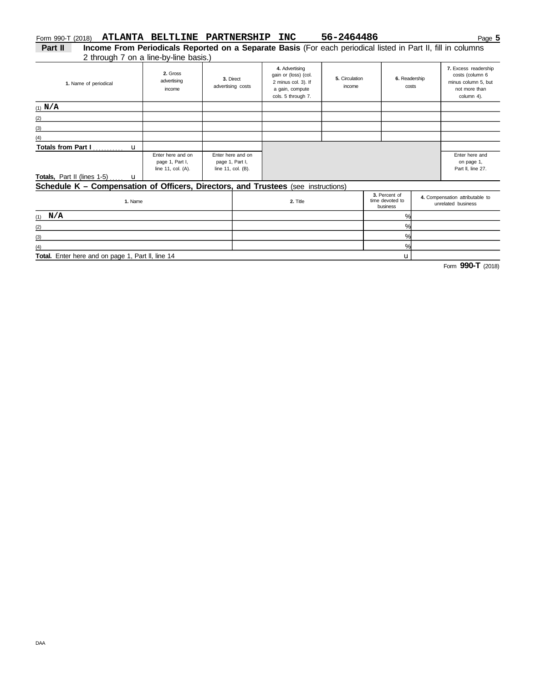2 through 7 on a line-by-line basis.) **Part II Income From Periodicals Reported on a Separate Basis** (For each periodical listed in Part II, fill in columns

| 1. Name of periodical          | 2. Gross<br>advertising<br>income                          | 3. Direct<br>advertising costs                             | 4. Advertising<br>gain or (loss) (col.<br>2 minus col. 3). If<br>a gain, compute<br>cols. 5 through 7. | 5. Circulation<br>income | 6. Readership<br>costs | 7. Excess readership<br>costs (column 6<br>minus column 5, but<br>not more than<br>column 4). |
|--------------------------------|------------------------------------------------------------|------------------------------------------------------------|--------------------------------------------------------------------------------------------------------|--------------------------|------------------------|-----------------------------------------------------------------------------------------------|
| (1) $N/A$                      |                                                            |                                                            |                                                                                                        |                          |                        |                                                                                               |
| (2)                            |                                                            |                                                            |                                                                                                        |                          |                        |                                                                                               |
| (3)                            |                                                            |                                                            |                                                                                                        |                          |                        |                                                                                               |
| (4)                            |                                                            |                                                            |                                                                                                        |                          |                        |                                                                                               |
|                                |                                                            |                                                            |                                                                                                        |                          |                        |                                                                                               |
|                                | Enter here and on<br>page 1, Part I,<br>line 11, col. (A). | Enter here and on<br>page 1, Part I,<br>line 11, col. (B). |                                                                                                        |                          |                        | Enter here and<br>on page 1,<br>Part II, line 27.                                             |
| Totals, Part II (lines 1-5)  u |                                                            |                                                            |                                                                                                        |                          |                        |                                                                                               |

# **Schedule K – Compensation of Officers, Directors, and Trustees** (see instructions)

| 1. Name                                           | 2. Title | 3. Percent of<br>time devoted to<br>business | 4. Compensation attributable to<br>unrelated business |
|---------------------------------------------------|----------|----------------------------------------------|-------------------------------------------------------|
| $(1)$ N/A                                         |          | 0/                                           |                                                       |
| (2)                                               |          | O/2                                          |                                                       |
| (3)                                               |          | O/2                                          |                                                       |
| (4)                                               |          | $\Omega$                                     |                                                       |
| Total. Enter here and on page 1, Part II, line 14 |          | u                                            |                                                       |

Form **990-T** (2018)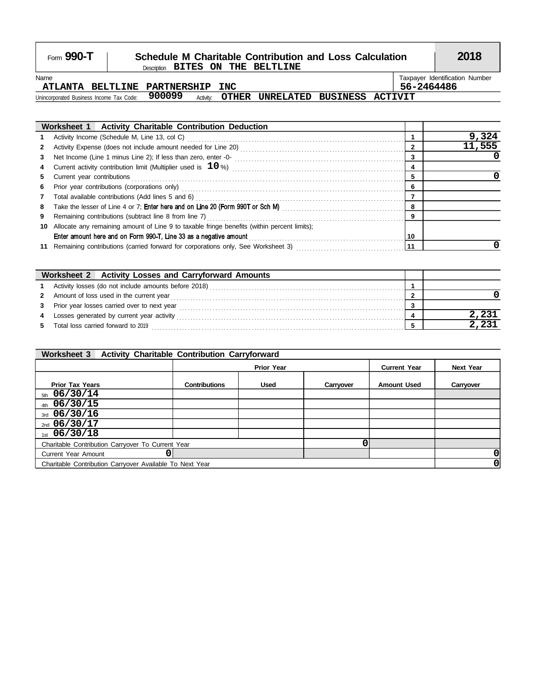|  | Form 990- |
|--|-----------|
|--|-----------|

# Schedule M Charitable Contribution and Loss Calculation | 2018 **Description BITES ON THE BELTLINE**

**ATLANTA BELTLINE PARTNERSHIP INC 56-2464486**

Name Taxpayer Identification Number

Unincorporated Business Income Tax Code: 900099 Activity: **900099 OTHER UNRELATED BUSINESS ACTIVIT**

|                | Worksheet 1 Activity Charitable Contribution Deduction                                                                                                                                                                         |    |        |
|----------------|--------------------------------------------------------------------------------------------------------------------------------------------------------------------------------------------------------------------------------|----|--------|
| $\mathbf{1}$   |                                                                                                                                                                                                                                |    | 9,324  |
| $\mathbf{2}$   |                                                                                                                                                                                                                                |    | 11,555 |
| $\mathbf{3}$   |                                                                                                                                                                                                                                | 3  | 0      |
| $\overline{4}$ | Current activity contribution limit (Multiplier used is 10%) Multipurer and the control of the contribution of the contribution of the contribution of the contribution of the contribution of the contribution of the contrib | 4  |        |
| 5              | Current year contributions contributions and contained a state of the contact of the contributions of the contributions of the contributions of the contributions of the contributions of the contributions of the contributio | 5  |        |
| 6              | Prior year contributions (corporations only) contained and according to the contributions (corporations only)                                                                                                                  | -6 |        |
| $\mathbf{7}$   | Total available contributions (Add lines 5 and 6) Materian Contract Contract and South Ann and South Ann and S                                                                                                                 |    |        |
| 8              | Take the lesser of Line 4 or 7; Enter here and on Line 20 (Form 990T or Sch M) [[[[[[[[[[[[[[[[[[[[[[[[[[[[[[                                                                                                                  |    |        |
| 9              |                                                                                                                                                                                                                                | 9  |        |
| 10             | Allocate any remaining amount of Line 9 to taxable fringe benefits (within percent limits);                                                                                                                                    |    |        |
|                |                                                                                                                                                                                                                                | 10 |        |
|                |                                                                                                                                                                                                                                | 11 |        |

|    | Worksheet 2 Activity Losses and Carryforward Amounts |  |
|----|------------------------------------------------------|--|
|    | Activity losses (do not include amounts before 2018) |  |
| 2  | Amount of loss used in the current year              |  |
| 3  | Prior year losses carried over to next year          |  |
| 4  | Losses generated by current year activity            |  |
| 5. | Total loss carried forward to 2019                   |  |

| <b>Activity Charitable Contribution Carryforward</b><br>Worksheet 3 |                      |                   |           |                     |                  |
|---------------------------------------------------------------------|----------------------|-------------------|-----------|---------------------|------------------|
|                                                                     |                      | <b>Prior Year</b> |           | <b>Current Year</b> | <b>Next Year</b> |
| <b>Prior Tax Years</b>                                              | <b>Contributions</b> | <b>Used</b>       | Carryover | <b>Amount Used</b>  | Carryover        |
| $_{5th}$ 06/30/14                                                   |                      |                   |           |                     |                  |
| $_{4th}$ 06/30/15                                                   |                      |                   |           |                     |                  |
| $_{3rd}$ 06/30/16                                                   |                      |                   |           |                     |                  |
| $_{2nd}$ 06/30/17                                                   |                      |                   |           |                     |                  |
| 1st $06/30/18$                                                      |                      |                   |           |                     |                  |
| Charitable Contribution Carryover To Current Year                   |                      |                   |           |                     |                  |
| <b>Current Year Amount</b>                                          |                      |                   |           |                     | 0                |
| Charitable Contribution Carryover Available To Next Year            |                      |                   |           |                     | 0                |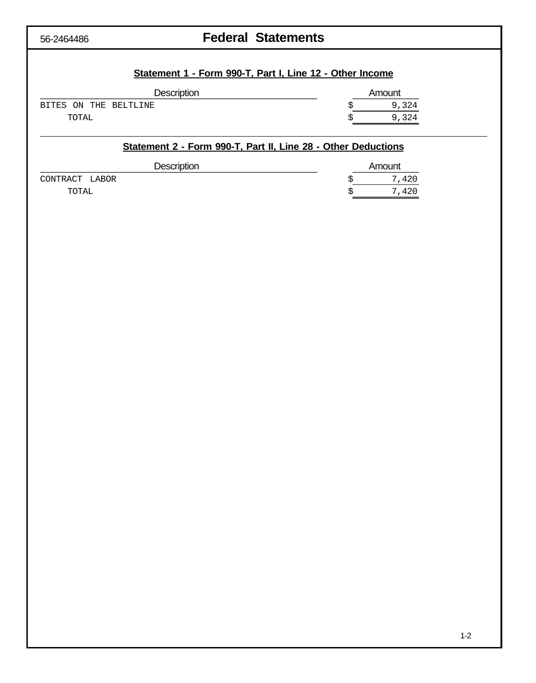# 56-2464486 **Federal Statements**

# **Statement 1 - Form 990-T, Part I, Line 12 - Other Income**

| <b>Description</b>    | Amount |
|-----------------------|--------|
| BITES ON THE BELTLINE | 9,324  |
| TOTAL                 | 9,324  |
|                       |        |

# **Statement 2 - Form 990-T, Part II, Line 28 - Other Deductions**

|                | <b>Description</b> | Amount |
|----------------|--------------------|--------|
| CONTRACT LABOR |                    | 7,420  |
| TOTAL          |                    | 7,420  |